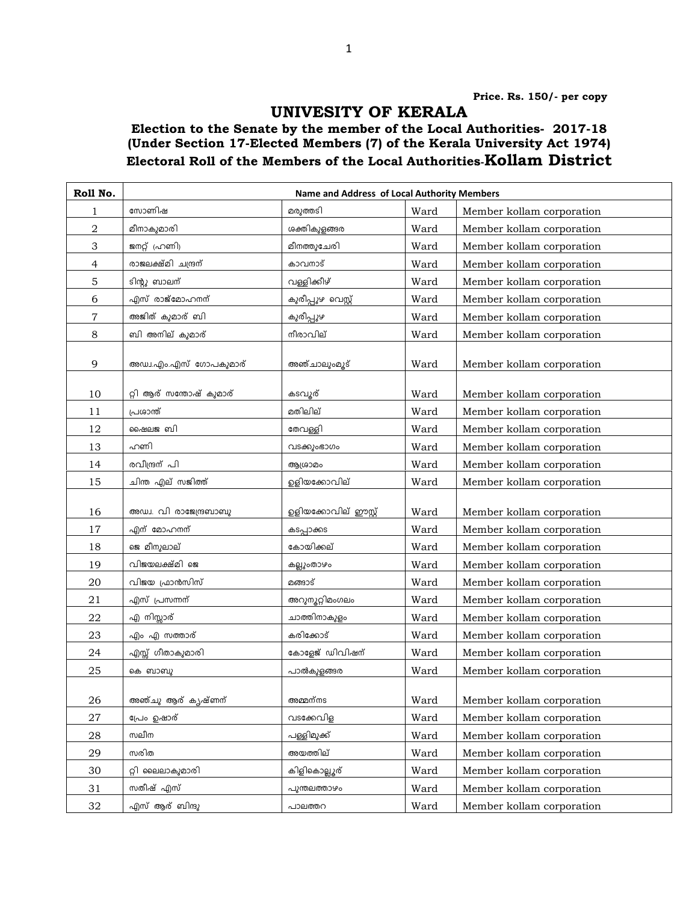## UNIVESITY OF KERALA

## Election to the Senate by the member of the Local Authorities- 2017-18 (Under Section 17-Elected Members (7) of the Kerala University Act 1974) Electoral Roll of the Members of the Local Authorities-Kollam District

| Roll No.         | Name and Address of Local Authority Members |                      |      |                           |  |
|------------------|---------------------------------------------|----------------------|------|---------------------------|--|
| 1                | സോണിഷ                                       | മരുത്തടി             | Ward | Member kollam corporation |  |
| $\boldsymbol{2}$ | മീനാകുമാരി                                  | ശക്തികുളങ്ങര         | Ward | Member kollam corporation |  |
| 3                | ജനറ്റ് (ഹണി)                                | മീനത്തുചേരി          | Ward | Member kollam corporation |  |
| $\overline{4}$   | രാജലക്ഷ്മി ചന്ദ്രന്                         | കാവനാട്              | Ward | Member kollam corporation |  |
| 5                | ടിന്റു ബാലന്                                | വള്ളിക്കീഴ്          | Ward | Member kollam corporation |  |
| 6                | എസ് രാജ്മോഹനന്                              | കുരീപ്പുഴ വെസ്റ്റ്   | Ward | Member kollam corporation |  |
| 7                | അജിത് കുമാര് ബി                             | കുരീപ്പുഴ            | Ward | Member kollam corporation |  |
| 8                | ബി അനില് കുമാര്                             | നീരാവില്             | Ward | Member kollam corporation |  |
| 9                | അഡ്വ.എം.എസ് ഗോപകുമാര്                       | അഞ്ചാലുംമൂട്         | Ward | Member kollam corporation |  |
| 10               | റ്റി ആര് സന്തോഷ് കുമാര്                     | കടവൂര്               | Ward | Member kollam corporation |  |
| 11               | പ്രശാന്ത്                                   | മതിലില്              | Ward | Member kollam corporation |  |
| 12               | ഷൈലജ ബി                                     | തേവള്ളി              | Ward | Member kollam corporation |  |
| 13               | ഹണി                                         | വടക്കുംഭാഗം          | Ward | Member kollam corporation |  |
| 14               | രവീന്ദ്രന് പി                               | ആശ്രാമം              | Ward | Member kollam corporation |  |
| 15               | ചിന്ത എല് സജിത്ത്                           | ഉളിയക്കോവില്         | Ward | Member kollam corporation |  |
| 16               | അഡ്വ. വി രാജേന്ദ്രബാബു                      | ഉളിയക്കോവില് ഈസ്റ്റ് | Ward | Member kollam corporation |  |
| 17               | എന് മോഹനന്                                  | കടപ്പാക്കട           | Ward | Member kollam corporation |  |
| 18               | ജെ മീനുലാല്                                 | കോയിക്കല്            | Ward | Member kollam corporation |  |
| 19               | വിജയലക്ഷ്മി ജെ                              | കല്ലുംതാഴം           | Ward | Member kollam corporation |  |
| 20               | വിജയ ഫ്രാൻസിസ്                              | മങ്ങാട്              | Ward | Member kollam corporation |  |
| 21               | എസ് പ്രസന്നന്                               | അറുന്മറ്റിമംഗലം      | Ward | Member kollam corporation |  |
| 22               | എ നിസ്സാര്                                  | ചാത്തിനാകുളം         | Ward | Member kollam corporation |  |
| 23               | എം എ സത്താര്                                | കരിക്കോട്            | Ward | Member kollam corporation |  |
| 24               | എസ്സ് ഗീതാകുമാരി                            | കോളേജ് ഡിവിഷന്       | Ward | Member kollam corporation |  |
| 25               | കെ ബാബു                                     | പാൽകുളങ്ങര           | Ward | Member kollam corporation |  |
| 26               | അഞ്ചു ആര് കൃഷ്ണന്                           | അമ്മന്നട             | Ward | Member kollam corporation |  |
| 27               | പ്രേം ഉഷാര്                                 | വടക്കേവിള            | Ward | Member kollam corporation |  |
| 28               | സലീന                                        | പള്ളിമുക്ക്          | Ward | Member kollam corporation |  |
| 29               | സരിത                                        | അയത്തില്             | Ward | Member kollam corporation |  |
| 30               | റ്റി ലൈലാകുമാരി                             | കിളികൊല്ലൂര്         | Ward | Member kollam corporation |  |
| 31               | സതീഷ് എസ്                                   | പുന്തലത്താഴം         | Ward | Member kollam corporation |  |
| 32               | എസ് ആര് ബിന്ദു                              | പാലത്തറ              | Ward | Member kollam corporation |  |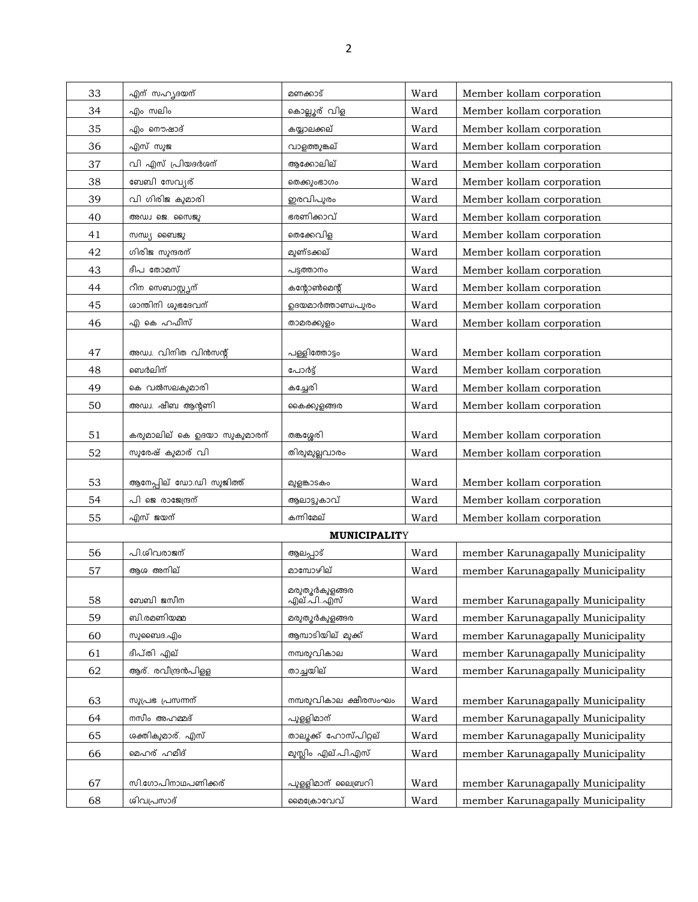| 33 | എന് സഹൃദയന്                      | മണക്കാട്                            | Ward | Member kollam corporation         |
|----|----------------------------------|-------------------------------------|------|-----------------------------------|
| 34 | എം സലിം                          | കൊല്ലൂര് വിള                        | Ward | Member kollam corporation         |
| 35 | എം നൌഷാദ്                        | കയ്യാലക്കല്                         | Ward | Member kollam corporation         |
| 36 | എസ് സുജ                          | വാളത്തുങ്കല്                        | Ward | Member kollam corporation         |
| 37 | <u>വി എസ്</u> പ്രിയദർശന്         | ആക്കോലില്                           | Ward | Member kollam corporation         |
| 38 | ബേബി സേവ്യര്                     | തെക്കുംഭാഗം                         | Ward | Member kollam corporation         |
| 39 | വി ഗിരിജ കുമാരി                  | ഇരവിപുരം                            | Ward | Member kollam corporation         |
| 40 | അഡ്വ ജെ. സൈജു                    | ഭരണിക്കാവ്                          | Ward | Member kollam corporation         |
| 41 | സന്ധ്യ ബൈജു                      | തെക്കേവിള                           | Ward | Member kollam corporation         |
| 42 | ഗിരിജ സുന്ദരന്                   | മുണ്ടക്കല്                          | Ward | Member kollam corporation         |
| 43 | ദീപ തോമസ്                        | പട്ടത്താനം                          | Ward | Member kollam corporation         |
| 44 | റീന സെബാസ്റ്റ്വന്                | കന്റോൺമെന്റ്                        | Ward | Member kollam corporation         |
| 45 | ശാന്തിനി ശുഭദേവന്                | ഉദയമാർത്താണ്ഡപുരം                   | Ward | Member kollam corporation         |
| 46 | <u>എ കെ ഹഫീസ്</u>                | താമരക്കുളം                          | Ward | Member kollam corporation         |
|    |                                  |                                     |      |                                   |
| 47 | അഡ്വ. വിനിത വിൻസന്റ്             | പള്ളിത്തോട്ടം                       | Ward | Member kollam corporation         |
| 48 | ബെർലിന്                          | പോർട്ട്                             | Ward | Member kollam corporation         |
| 49 | കെ വൽസലകുമാരി                    | കച്ചേരി                             | Ward | Member kollam corporation         |
| 50 | അഡ്വ. ഷീബ ആന്റണി                 | കൈക്കുളങ്ങര                         | Ward | Member kollam corporation         |
|    |                                  |                                     |      |                                   |
| 51 | കരുമാലില് കെ ഉദയാ സുകുമാരന്      | തങ്കശ്ശേരി                          | Ward | Member kollam corporation         |
| 52 | സുരേഷ് കുമാര് വി                 | തിരുമുല്ലവാരം                       | Ward | Member kollam corporation         |
| 53 | <u>ആനേപ്പില്</u> ഡോ.ഡി സുജിത്ത്  | മുളങ്കാടകം                          | Ward | Member kollam corporation         |
| 54 | പി ജെ രാജേന്ദ്രന്                | ആലാട്ടുകാവ്                         | Ward | Member kollam corporation         |
| 55 | എസ് ജയന്                         | കന്നിമേല്                           | Ward | Member kollam corporation         |
|    |                                  | <b>MUNICIPALITY</b>                 |      |                                   |
| 56 | പി.ശിവരാജന്                      | ആലപ്പാട്                            | Ward | member Karunagapally Municipality |
| 57 | ആശ അനില്                         | മാമ്പോഴില്                          | Ward | member Karunagapally Municipality |
|    |                                  | മരുതൂർകുളങ്ങര<br>എല്.പിഎസ്          |      |                                   |
| 58 | ബേബി ജസീന                        |                                     | Ward | member Karunagapally Municipality |
| 59 | ബി.രമണിയമ്മ                      | മരുതുർകുളങ്ങര                       | Ward | member Karunagapally Municipality |
| 60 | സുബൈദ.എം                         | ആമ്പാടിയില് മുക്ക്                  | Ward | member Karunagapally Municipality |
| 61 | ദീപ്തി എല്                       | നമ്പരുവികാല                         | Ward | member Karunagapally Municipality |
| 62 | ആര്. രവീന്ദ്രൻപിള്ള              | താച്ചയില്                           | Ward | member Karunagapally Municipality |
|    |                                  |                                     |      |                                   |
| 63 | സുപ്രഭ പ്രസന്നന്<br>നസീം അഹമ്മദ് | നമ്പരുവികാല ക്ഷീരസംഘം<br>പൂള്ളിമാന് | Ward | member Karunagapally Municipality |
| 64 |                                  |                                     | Ward | member Karunagapally Municipality |
| 65 | ശക്തികുമാര്. എസ്                 | താലൂക്ക് ഹോസ്പിറ്റല്                | Ward | member Karunagapally Municipality |
| 66 | മെഹര് ഹമീദ്                      | മുസ്ലിം എല്.പി.എസ്                  | Ward | member Karunagapally Municipality |
| 67 | സി.ഗോപിനാഥപണിക്കര്               | പുള്ളിമാന് ലൈബ്രറി                  | Ward | member Karunagapally Municipality |
| 68 | ശിവപ്രസാദ്                       | മൈക്രോവേവ്                          | Ward | member Karunagapally Municipality |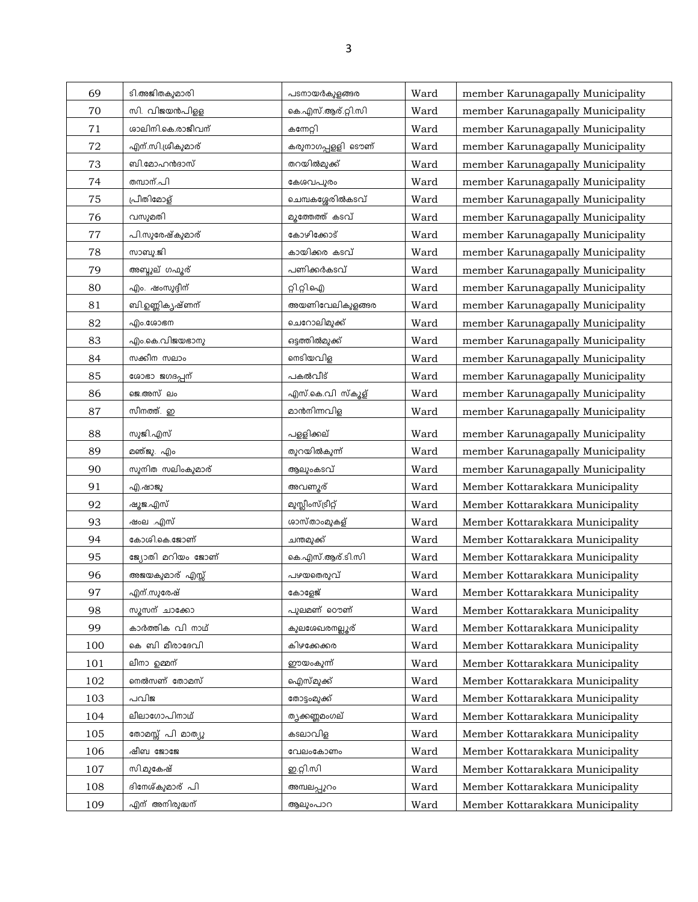| 69  | ടി.അജിതകുമാരി     | പടനായർകുളങ്ങര             | Ward | member Karunagapally Municipality |
|-----|-------------------|---------------------------|------|-----------------------------------|
| 70  | സി. വിജയൻപിള്ള    | കെ.എസ്.ആര്.റ്റി.സി        | Ward | member Karunagapally Municipality |
| 71  | ശാലിനി.കെ.രാജീവന് | കന്നേറ്റി                 | Ward | member Karunagapally Municipality |
| 72  | എന്.സി.ശ്രീകുമാര് | <u>കരുനാ</u> ഗപ്പളളി ടൌണ് | Ward | member Karunagapally Municipality |
| 73  | ബി.മോഹൻദാസ്       | തറയിൽമുക്ക്               | Ward | member Karunagapally Municipality |
| 74  | തമ്പാന്.പി        | കേശവപുരം                  | Ward | member Karunagapally Municipality |
| 75  | പ്രീതിമോള്        | ചെമ്പകശ്ശേരിൽകടവ്         | Ward | member Karunagapally Municipality |
| 76  | വസുമതി            | മൂത്തേത്ത് കടവ്           | Ward | member Karunagapally Municipality |
| 77  | പി.സുരേഷ്കുമാര്   | കോഴിക്കോട്                | Ward | member Karunagapally Municipality |
| 78  | സാബു.ജി           | കായിക്കര കടവ്             | Ward | member Karunagapally Municipality |
| 79  | അബ്ദുല് ഗഫൂര്     | പണിക്കർകടവ്               | Ward | member Karunagapally Municipality |
| 80  | എം. ഷംസൂദ്ദീന്    | റ്റി.റ്റി.ഐ               | Ward | member Karunagapally Municipality |
| 81  | ബി.ഉണ്ണിക്യഷ്ണന്  | അയണിവേലികുളങ്ങര           | Ward | member Karunagapally Municipality |
| 82  | എം.ശോഭന           | ചെറോലിമുക്ക്              | Ward | member Karunagapally Municipality |
| 83  | എം.കെ.വിജയഭാനു    | ഒട്ടത്തിൽമുക്ക്           | Ward | member Karunagapally Municipality |
| 84  | സക്കീന സലാം       | നെടിയവിള                  | Ward | member Karunagapally Municipality |
| 85  | ശോഭാ ജഗദപ്പന്     | പകൽവീട്                   | Ward | member Karunagapally Municipality |
| 86  | ജെ.അസ്ലം          | എസ്.കെ.വി സ്കൂള്          | Ward | member Karunagapally Municipality |
| 87  | സീനത്ത്. ഇ        | മാൻനിന്നവിള               | Ward | member Karunagapally Municipality |
| 88  | സുജി.എസ്          | പളളിക്കല്                 | Ward | member Karunagapally Municipality |
| 89  | മഞ്ജു. എം         | തുറയിൽകുന്ന്              | Ward | member Karunagapally Municipality |
| 90  | സുനിത സലിംകുമാര്  | ആലുംകടവ്                  | Ward | member Karunagapally Municipality |
| 91  | എ.ഷാജു            | അവണ്യര്                   | Ward | Member Kottarakkara Municipality  |
| 92  | ഷൂജ.എസ്           | മുസ്ലീംസ്ട്രീറ്റ്         | Ward | Member Kottarakkara Municipality  |
| 93  | ഷംല .എസ്          | ശാസ്താംമുകള്              | Ward | Member Kottarakkara Municipality  |
| 94  | കോശി.കെ.ജോണ്      | ചന്തമുക്ക്                | Ward | Member Kottarakkara Municipality  |
| 95  | ജ്യോതി മറിയം ജോണ് | കെ.എസ്.ആര്.ടി.സി          | Ward | Member Kottarakkara Municipality  |
| 96  | അജയകുമാര് എസ്സ്   | പഴയതെരുവ്                 | Ward | Member Kottarakkara Municipality  |
| 97  | എന്.സുരേഷ്        | കോളേജ്                    | Ward | Member Kottarakkara Municipality  |
| 98  | സൂസന് ചാക്കോ      | പുലമണ് റൌണ്               | Ward | Member Kottarakkara Municipality  |
| 99  | കാർത്തിക വി നാഥ്  | കുലശേഖരനല്ലൂര്            | Ward | Member Kottarakkara Municipality  |
| 100 | കെ ബി മീരാദേവി    | കിഴക്കേക്കര               | Ward | Member Kottarakkara Municipality  |
| 101 | ലീനാ ഉമ്മന്       | ഈയംകുന്ന്                 | Ward | Member Kottarakkara Municipality  |
| 102 | നെൽസണ് തോമസ്      | ഐസ്മുക്ക്                 | Ward | Member Kottarakkara Municipality  |
| 103 | പവിജ              | തോട്ടംമുക്ക്              | Ward | Member Kottarakkara Municipality  |
| 104 | ലീലാഗോപിനാഥ്      | ത്യക്കണ്ണമംഗല്            | Ward | Member Kottarakkara Municipality  |
| 105 | തോമസ്സ് പി മാത്യൂ | കടലാവിള                   | Ward | Member Kottarakkara Municipality  |
| 106 | ഷീബ ജോജേ          | വേലംകോണം                  | Ward | Member Kottarakkara Municipality  |
| 107 | സി.മുകേഷ്         | ഇ.റ്റി.സി                 | Ward | Member Kottarakkara Municipality  |
| 108 | ദിനേശ്കുമാര് പി   | അമ്പലപ്പുറം               | Ward | Member Kottarakkara Municipality  |
| 109 | എന് അനിരുദ്ധന്    | ആലുംപാറ                   | Ward | Member Kottarakkara Municipality  |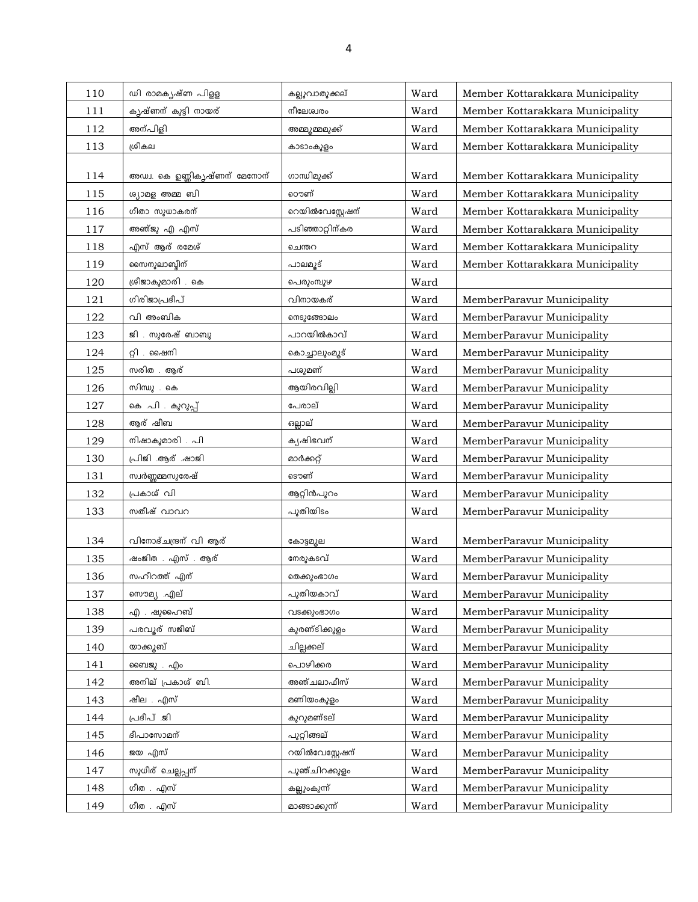| 110 | ഡി രാമകൃഷ്ണ പിളള             | കല്ലുവാതുക്കല്   | Ward | Member Kottarakkara Municipality |
|-----|------------------------------|------------------|------|----------------------------------|
| 111 | കൃഷ്ണന് കുട്ടി നായര്         | നീലേശ്വരം        | Ward | Member Kottarakkara Municipality |
| 112 | അന്പിളി                      | അമ്മൂമ്മമുക്ക്   | Ward | Member Kottarakkara Municipality |
| 113 | ശ്രീകല                       | കാടാംകുളം        | Ward | Member Kottarakkara Municipality |
|     |                              |                  |      |                                  |
| 114 | അഡ്വ. കെ ഉണ്ണികൃഷ്ണന് മേനോന് | ഗാന്ധിമുക്ക്     | Ward | Member Kottarakkara Municipality |
| 115 | ശ്യാമള അമ്മ ബി               | ൌണ്              | Ward | Member Kottarakkara Municipality |
| 116 | ഗീതാ സുധാകരന്                | റെയിൽവേസ്റ്റേഷന് | Ward | Member Kottarakkara Municipality |
| 117 | അഞ്ജു എ എസ്                  | പടിഞ്ഞാറ്റിന്കര  | Ward | Member Kottarakkara Municipality |
| 118 | എസ് ആര് രമേശ്                | ചെന്തറ           | Ward | Member Kottarakkara Municipality |
| 119 | സൈനുലാബ്ദീന്                 | പാലമൂട്          | Ward | Member Kottarakkara Municipality |
| 120 | ശ്രീജാകുമാരി . കെ            | പെരുംമ്പുഴ       | Ward |                                  |
| 121 | ഗിരിജാപ്രദീപ്                | വിനായകര്         | Ward | MemberParavur Municipality       |
| 122 | വി അംബിക                     | നെടുങ്ങോലം       | Ward | MemberParavur Municipality       |
| 123 | ജി . സുരേഷ് ബാബു             | പാറയിൽകാവ്       | Ward | MemberParavur Municipality       |
| 124 | റ്റി . ഷൈനി                  | കൊച്ചാലുംമൂട്    | Ward | MemberParavur Municipality       |
| 125 | സരിത . ആര്                   | പശുമണ്           | Ward | MemberParavur Municipality       |
| 126 | സിന്ധു . കെ                  | ആയിരവില്ലി       | Ward | MemberParavur Municipality       |
| 127 | കെ .പി . കുറുപ്പ്            | പേരാല്           | Ward | MemberParavur Municipality       |
| 128 | ആര് ഷീബ                      | ഒല്ലാല്          | Ward | MemberParavur Municipality       |
| 129 | നിഷാകുമാരി . പി              | കൃഷിഭവന്         | Ward | MemberParavur Municipality       |
| 130 | പ്രിജി ആര് ഷാജി              | മാർക്കറ്റ്       | Ward | MemberParavur Municipality       |
| 131 | സ്വർണ്ണമ്മസുരേഷ്             | ടൌണ്             | Ward | MemberParavur Municipality       |
| 132 | പ്രകാശ് വി                   | ആറ്റിൻപുറം       | Ward | MemberParavur Municipality       |
| 133 | സതീഷ് വാവറ                   | പുതിയിടം         | Ward | MemberParavur Municipality       |
|     |                              |                  |      |                                  |
| 134 | വിനോദ്ചന്ദ്രന് വി ആര്        | കോട്ടമുല         | Ward | MemberParavur Municipality       |
| 135 | ഷംജിത എസ് ആര്                | നേരുകടവ്         | Ward | MemberParavur Municipality       |
| 136 | സഹീറത്ത് എന്                 | തെക്കുംഭാഗം      | Ward | MemberParavur Municipality       |
| 137 | <u>സൌമ്യ</u> .എല്            | പുതിയകാവ്        | Ward | MemberParavur Municipality       |
| 138 | എ . ഷുഹൈബ്                   | വടക്കുംഭാഗം      | Ward | MemberParavur Municipality       |
| 139 | പരവൂര് സജീബ്                 | കുരണ്ടിക്കുളം    | Ward | MemberParavur Municipality       |
| 140 | യാക്കുബ്                     | ചില്ലക്കല്       | Ward | MemberParavur Municipality       |
| 141 | ബൈജു . എം                    | പൊഴിക്കര         | Ward | MemberParavur Municipality       |
| 142 | അനില് പ്രകാശ് ബി.            | അഞ്ചലാഫീസ്       | Ward | MemberParavur Municipality       |
| 143 | ഷീല . എസ്                    | മണിയംകുളം        | Ward | MemberParavur Municipality       |
| 144 | പ്രദീപ് .ജി                  | കുറുമണ്ടല്       | Ward | MemberParavur Municipality       |
| 145 | ദീപാസോമന്                    | പുറ്റിങ്ങല്      | Ward | MemberParavur Municipality       |
| 146 | ജയ എസ്                       | റയിൽവേസ്റ്റേഷന്  | Ward | MemberParavur Municipality       |
| 147 | സുധീര് ചെല്ലപ്പന്            | പുഞ്ചിറക്കുളം    | Ward | MemberParavur Municipality       |
| 148 | ഗീത . എസ്                    | കല്ലുംകുന്ന്     | Ward | MemberParavur Municipality       |
| 149 | ഗീത . എസ്                    | മാങ്ങാക്കുന്ന്   | Ward | MemberParavur Municipality       |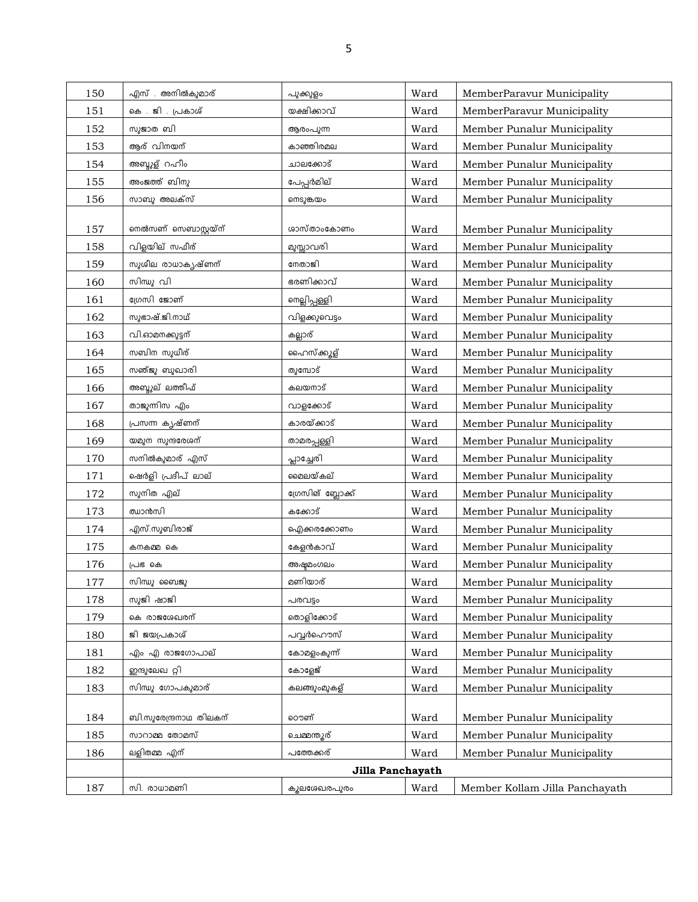| 150 | എസ് . അനിൽകുമാര്       | പുക്കുളം          | Ward | MemberParavur Municipality     |
|-----|------------------------|-------------------|------|--------------------------------|
| 151 | കെ . ജി . പ്രകാശ്      | യക്ഷിക്കാവ്       | Ward | MemberParavur Municipality     |
| 152 | സുജാത ബി               | ആരംപുന്ന          | Ward | Member Punalur Municipality    |
| 153 | ആര് വിനയന്             | കാഞ്ഞിരമല         | Ward | Member Punalur Municipality    |
| 154 | അബ്ദുള് റഹീം           | ചാലക്കോട്         | Ward | Member Punalur Municipality    |
| 155 | അംജത്ത് ബിനു           | പേപ്പർമില്        | Ward | Member Punalur Municipality    |
| 156 | സാബു അലക്സ്            | ണടുങ്കയം          | Ward | Member Punalur Municipality    |
| 157 | നെൽസണ് സെബാസ്റ്റയ്ന്   | ശാസ്താംകോണം       | Ward | Member Punalur Municipality    |
| 158 | വിളയില് സഫീര്          | മുസ്സാവരി         | Ward | Member Punalur Municipality    |
| 159 | സുശീല രാധാകൃഷ്ണന്      | നേതാജി            | Ward | Member Punalur Municipality    |
| 160 | സിന്ധു വി              | ഭരണിക്കാവ്        | Ward | Member Punalur Municipality    |
| 161 | ഗ്രേസി ജോണ്            | നെല്ലിപ്പള്ളി     | Ward | Member Punalur Municipality    |
| 162 | സുഭാഷ്.ജി.നാഥ്         | വിളക്കുവെട്ടം     | Ward | Member Punalur Municipality    |
| 163 | വി.ഓമനക്കുട്ടന്        | കല്ലാര്           | Ward | Member Punalur Municipality    |
| 164 | സബിന സുധീര്            | ഹൈസ്ക്കൂള്        | Ward | Member Punalur Municipality    |
| 165 | സഞ്ജു ബുഖാരി           | തുമ്പോട്          | Ward | Member Punalur Municipality    |
| 166 | അബ്ദുല് ലത്തീഫ്        | കലയനാട്           | Ward | Member Punalur Municipality    |
| 167 | താജുന്നിസ എം           | വാളക്കോട്         | Ward | Member Punalur Municipality    |
| 168 | പ്രസന്ന കൃഷ്ണന്        | കാരയ്ക്കാട്       | Ward | Member Punalur Municipality    |
| 169 | യമുന സുന്ദരേശന്        | താമരപ്പള്ളി       | Ward | Member Punalur Municipality    |
| 170 | സനിൽകുമാര് എസ്         | പ്ലാച്ചേരി        | Ward | Member Punalur Municipality    |
| 171 | ഷെർളി പ്രദീപ് ലാല്     | മൈലയ്കല്          | Ward | Member Punalur Municipality    |
| 172 | സുനിത എല്              | ഗ്രേസിങ് ബ്ലോക്ക് | Ward | Member Punalur Municipality    |
| 173 | ഝാൻസി                  | കക്കോട്           | Ward | Member Punalur Municipality    |
| 174 | എസ്.സുബിരാജ്           | ഐക്കരക്കോണം       | Ward | Member Punalur Municipality    |
| 175 | കനകമ്മ കെ              | കേളൻകാവ്          | Ward | Member Punalur Municipality    |
| 176 | പ്രഭ കെ                | അഷ്ടമംഗലം         | Ward | Member Punalur Municipality    |
| 177 | സിന്ധു ബൈജു            | മണിയാര്           | Ward | Member Punalur Municipality    |
| 178 | സുജി ഷാജി              | പരവട്ടം           | Ward | Member Punalur Municipality    |
| 179 | കെ രാജശേഖരന്           | തൊളിക്കോട്        | Ward | Member Punalur Municipality    |
| 180 | ജി ജയപ്രകാശ്           | പവൃർഹൌസ്          | Ward | Member Punalur Municipality    |
| 181 | എം എ രാജഗോപാല്         | കോമളംകുന്ന്       | Ward | Member Punalur Municipality    |
| 182 | ഇന്ദുലേഖ റ്റി          | കോളേജ്            | Ward | Member Punalur Municipality    |
| 183 | സിന്ധു ഗോപകുമാര്       | കലങ്ങുംമുകള്      | Ward | Member Punalur Municipality    |
|     |                        |                   |      |                                |
| 184 | ബി.സുരേന്ദ്രനാഥ തിലകന് | റൌണ്              | Ward | Member Punalur Municipality    |
| 185 | സാറാമ്മ തോമസ്          | ചെമ്മന്തൂര്       | Ward | Member Punalur Municipality    |
| 186 | ലളിതമ്മ എന്            | പത്തേക്കര്        | Ward | Member Punalur Municipality    |
|     |                        | Jilla Panchayath  |      |                                |
| 187 | സി. രാധാമണി            | കുലശേഖരപുരം       | Ward | Member Kollam Jilla Panchayath |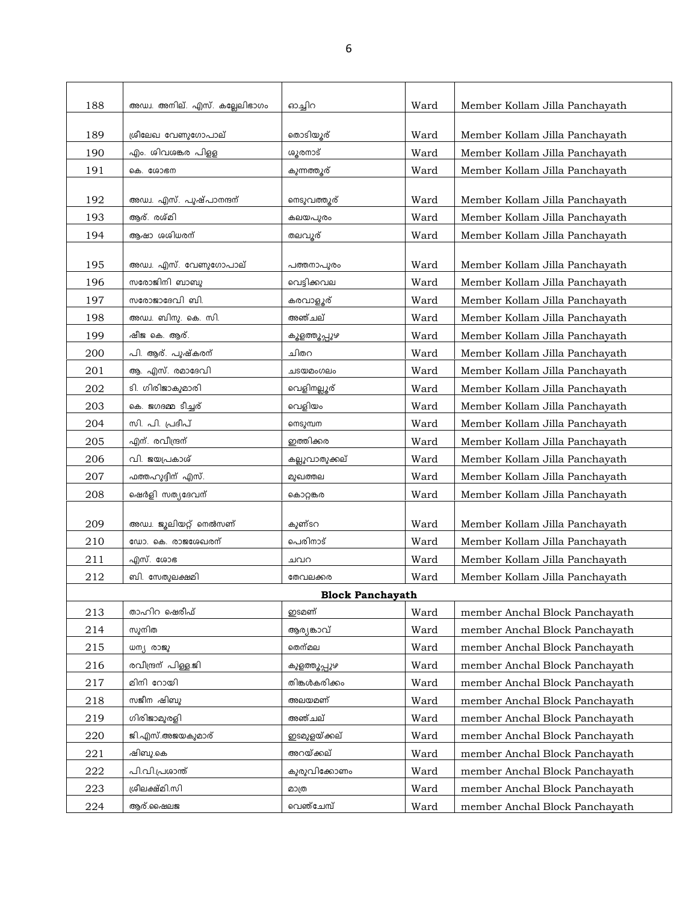| 188 | അഡ്വ. അനില്. എസ്. കല്ലേലിഭാഗം | ഓച്ചിറ                  | Ward | Member Kollam Jilla Panchayath |
|-----|-------------------------------|-------------------------|------|--------------------------------|
|     |                               |                         |      |                                |
| 189 | ശ്രീലേഖ വേണുഗോപാല്            | തൊടിയൂര്                | Ward | Member Kollam Jilla Panchayath |
| 190 | എം. ശിവശങ്കര പിള്ള            | ശൂരനാട്                 | Ward | Member Kollam Jilla Panchayath |
| 191 | കെ. ശോഭന                      | കുന്നത്തൂര്             | Ward | Member Kollam Jilla Panchayath |
| 192 | അഡ്വ. എസ്. പൂഷ്പാനന്ദന്       | നെടുവത്തൂര്             | Ward | Member Kollam Jilla Panchayath |
| 193 | ആര്. രശ്മി                    | കലയപുരം                 | Ward | Member Kollam Jilla Panchayath |
| 194 | ആഷാ ശശിധരന്                   | തലവൂര്                  | Ward | Member Kollam Jilla Panchayath |
|     |                               |                         |      |                                |
| 195 | അഡ്വ. എസ്. വേണുഗോപാല്         | പത്തനാപുരം              | Ward | Member Kollam Jilla Panchayath |
| 196 | സരോജിനി ബാബു                  | വെട്ടിക്കവല             | Ward | Member Kollam Jilla Panchayath |
| 197 | സരോജാദേവി ബി.                 | കരവാളൂര്                | Ward | Member Kollam Jilla Panchayath |
| 198 | അഡ്വ. ബിനു. കെ. സി.           | അഞ്ചല്                  | Ward | Member Kollam Jilla Panchayath |
| 199 | ഷീജ കെ. ആര്.                  | കൂളത്തൂപ്പുഴ            | Ward | Member Kollam Jilla Panchayath |
| 200 | പി. ആര്. പൂഷ്കരന്             | ചിതറ                    | Ward | Member Kollam Jilla Panchayath |
| 201 | ആ. എസ്. രമാദേവി               | ചടയമംഗലം                | Ward | Member Kollam Jilla Panchayath |
| 202 | ടി. ഗിരിജാകുമാരി              | വെളിനല്ലൂര്             | Ward | Member Kollam Jilla Panchayath |
| 203 | കെ. ജഗദമ്മ ടീച്ചര്            | വെളിയം                  | Ward | Member Kollam Jilla Panchayath |
| 204 | സി. പി. പ്രദീപ്               | നെടുമ്പന                | Ward | Member Kollam Jilla Panchayath |
| 205 | എന്. രവീന്ദ്രന്               | ഇത്തിക്കര               | Ward | Member Kollam Jilla Panchayath |
| 206 | വി. ജയപ്രകാശ്                 | കല്ലുവാതുക്കല്          | Ward | Member Kollam Jilla Panchayath |
| 207 | ഫത്തഹുദ്ദീന് എസ്.             | മുഖത്തല                 | Ward | Member Kollam Jilla Panchayath |
| 208 | ഷെർളി സത്യദേവന്               | കൊറ്റങ്കര               | Ward | Member Kollam Jilla Panchayath |
|     |                               |                         |      |                                |
| 209 | അഡ്വ. ജൂലിയറ്റ് നെൽസണ്        | കുണ്ടറ                  | Ward | Member Kollam Jilla Panchayath |
| 210 | ഡോ. കെ. രാജശേഖരന്             | പെരിനാട്                | Ward | Member Kollam Jilla Panchayath |
| 211 | എസ്. ശോഭ                      | ചവറ                     | Ward | Member Kollam Jilla Panchayath |
| 212 | ബി. സേതുലക്ഷമി                | തേവലക്കര                | Ward | Member Kollam Jilla Panchayath |
|     |                               | <b>Block Panchayath</b> |      |                                |
| 213 | താഹിറ ഷെരീഫ്                  | ഇടമണ്                   | Ward | member Anchal Block Panchayath |
| 214 | സുനിത                         | ആര്യങ്കാവ്              | Ward | member Anchal Block Panchayath |
| 215 | ധന്യ രാജു                     | തെന്മല                  | Ward | member Anchal Block Panchayath |
| 216 | രവീന്ദ്രന് പിള്ള.ജി           | കുളത്തുപ്പുഴ            | Ward | member Anchal Block Panchayath |
| 217 | മിനി റോയി                     | തിങ്കൾകരിക്കം           | Ward | member Anchal Block Panchayath |
| 218 | സജീന ഷിബു                     | അലയമണ്                  | Ward | member Anchal Block Panchayath |
| 219 | ഗിരിജാമുരളി                   | അഞ്ചല്                  | Ward | member Anchal Block Panchayath |
| 220 | ജി.എസ്.അജയകുമാര്              | ഇടമുളയ്ക്കല്            | Ward | member Anchal Block Panchayath |
| 221 | ഷിബു.കെ                       | അറയ്ക്കല്               | Ward | member Anchal Block Panchayath |
| 222 | പി.വി.പ്രശാന്ത്               | കുരുവിക്കോണം            | Ward | member Anchal Block Panchayath |
| 223 | ശ്രീലക്ഷ്മി.സി                | മാത്ര                   | Ward | member Anchal Block Panchayath |
| 224 | ആര്.ഷൈലജ                      | വെഞ്ചേമ്പ്              | Ward | member Anchal Block Panchayath |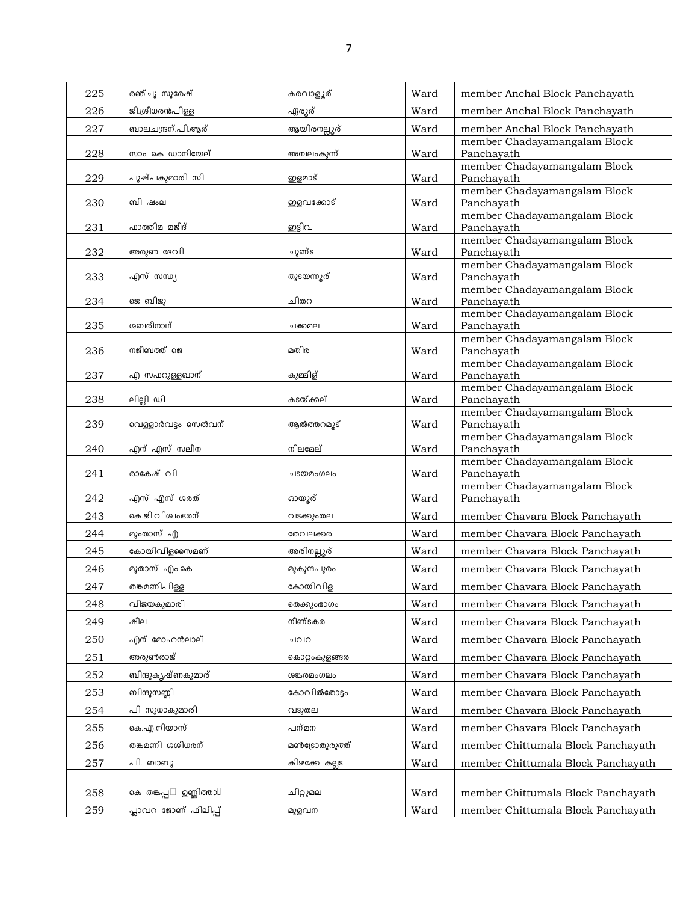| 225 | രഞ്ചു സുരേഷ്                        | കരവാളൂര്       | Ward | member Anchal Block Panchayath             |
|-----|-------------------------------------|----------------|------|--------------------------------------------|
| 226 | ജി.ശ്രീധരൻപിള്ള                     | ഏരൂര്          | Ward | member Anchal Block Panchayath             |
| 227 | ബാലചന്ദ്രന്.പി.ആര്                  | ആയിരനല്ലൂര്    | Ward | member Anchal Block Panchayath             |
|     |                                     |                |      | member Chadayamangalam Block               |
| 228 | സാം കെ ഡാനിയേല്                     | അമ്പലംകുന്ന്   | Ward | Panchayath<br>member Chadayamangalam Block |
| 229 | പുഷ്പകുമാരി സി                      | ഇളമാട്         | Ward | Panchayath                                 |
|     |                                     |                |      | member Chadayamangalam Block               |
| 230 | ബി ഷംല                              | ഇളവക്കോട്      | Ward | Panchayath                                 |
| 231 | ഫാത്തിമ മജീദ്                       | ഇട്ടിവ         | Ward | member Chadayamangalam Block<br>Panchayath |
|     |                                     |                |      | member Chadayamangalam Block               |
| 232 | അരുണ ദേവി                           | ചുണ്ട          | Ward | Panchayath                                 |
| 233 | എസ് സന്ധ്യ                          | തുടയന്നുര്     | Ward | member Chadayamangalam Block<br>Panchayath |
|     |                                     |                |      | member Chadayamangalam Block               |
| 234 | ജെ ബിജു                             | ചിതറ           | Ward | Panchayath                                 |
|     | ശബരീനാഥ്                            |                |      | member Chadayamangalam Block               |
| 235 |                                     | ചക്കമല         | Ward | Panchayath<br>member Chadayamangalam Block |
| 236 | നജീബത്ത് ജെ                         | മതിര           | Ward | Panchayath                                 |
|     |                                     |                |      | member Chadayamangalam Block               |
| 237 | എ സഫറുള്ളഖാന്                       | കുമ്മിള്       | Ward | Panchayath<br>member Chadayamangalam Block |
| 238 | ലില്ലി ഡി                           | കടയ്ക്കല്      | Ward | Panchayath                                 |
|     |                                     |                |      | member Chadayamangalam Block               |
| 239 | വെള്ളാർവട്ടം സെൽവന്                 | ആൽത്തറമൂട്     | Ward | Panchayath                                 |
| 240 | എന് എസ് സലീന                        | നിലമേല്        | Ward | member Chadayamangalam Block<br>Panchayath |
|     |                                     |                |      | member Chadayamangalam Block               |
| 241 | രാകേഷ് വി                           | ചടയമംഗലം       | Ward | Panchayath                                 |
| 242 | എസ് എസ് ശരത്                        | ഓയൂര്          | Ward | member Chadayamangalam Block<br>Panchayath |
| 243 | കെ.ജി.വിശ്വംഭരന്                    | വടക്കുംതല      | Ward | member Chavara Block Panchayath            |
|     | മുംതാസ് എ                           | തേവലക്കര       |      |                                            |
| 244 |                                     |                | Ward | member Chavara Block Panchayath            |
| 245 | കോയിവിളസൈമണ്                        | അരിനല്ലൂര്     | Ward | member Chavara Block Panchayath            |
| 246 | മുതാസ് എം.കെ                        | മുകുന്ദപുരം    | Ward | member Chavara Block Panchayath            |
| 247 | തങ്കമണിപിള്ള                        | കോയിവിള        | Ward | member Chavara Block Panchayath            |
| 248 | വിജയകുമാരി                          | തെക്കുംഭാഗം    | Ward | member Chavara Block Panchayath            |
| 249 | ഷീല                                 | നീണ്ടകര        | Ward | member Chavara Block Panchayath            |
| 250 | എന് മോഹൻലാല്                        | ചവറ            | Ward | member Chavara Block Panchayath            |
| 251 | അരുൺരാജ്                            | കൊറ്റംകുളങ്ങര  | Ward | member Chavara Block Panchayath            |
| 252 | ബിന്ദുകൃഷ്ണകുമാര്                   | ശങ്കരമംഗലം     | Ward | member Chavara Block Panchayath            |
| 253 | ബിന്ദുസണ്ണി                         | കോവിൽതോട്ടം    | Ward | member Chavara Block Panchayath            |
| 254 | പി സുധാകുമാരി                       | വടുതല          | Ward | member Chavara Block Panchayath            |
|     |                                     |                |      |                                            |
| 255 | കെ.എ.നിയാസ്                         | പന്മന          | Ward | member Chavara Block Panchayath            |
| 256 | തങ്കമണി ശശിധരന്                     | മൺട്രോതുരുത്ത് | Ward | member Chittumala Block Panchayath         |
| 257 | പി. ബാബു                            | കിഴക്കേ കല്ലട  | Ward | member Chittumala Block Panchayath         |
|     |                                     |                |      |                                            |
| 258 | ഉണ്ണിത്താ $\mathbb I$<br>കെ തങ്കപ്പ | ചിറ്റുമല       | Ward | member Chittumala Block Panchayath         |
| 259 | പ്ലാവറ ജോണ് ഫിലിപ്പ്                | മുളവന          | Ward | member Chittumala Block Panchayath         |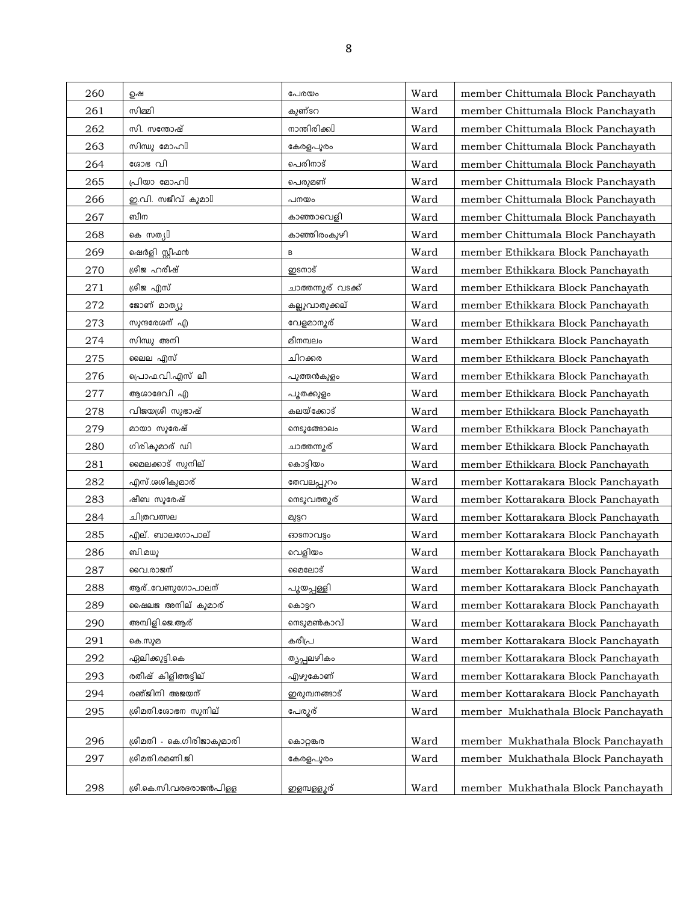| 260 | ഉഷ                           | പേരയം               | Ward | member Chittumala Block Panchayath  |
|-----|------------------------------|---------------------|------|-------------------------------------|
| 261 | സിമ്മി                       | കുണ്ടറ              | Ward | member Chittumala Block Panchayath  |
| 262 | സി. സന്തോഷ്                  | നാന്തിരിക്കി        | Ward | member Chittumala Block Panchayath  |
| 263 | സിന്ധു മോഹി                  | കേരളപുരം            | Ward | member Chittumala Block Panchayath  |
| 264 | ശോഭ വി                       | പെരിനാട്            | Ward | member Chittumala Block Panchayath  |
| 265 | പ്രിയാ മോഹി                  | പെരുമണ്             | Ward | member Chittumala Block Panchayath  |
| 266 | ഇ.വി. സജീവ് കുമാ $\mathbb I$ | പനയം                | Ward | member Chittumala Block Panchayath  |
| 267 | ബീന                          | കാഞ്ഞാവെളി          | Ward | member Chittumala Block Panchayath  |
| 268 | கை സതൃ∐                      | കാഞ്ഞിരംകുഴി        | Ward | member Chittumala Block Panchayath  |
| 269 | ഷെർളി സ്റ്റീഫൻ               | в                   | Ward | member Ethikkara Block Panchayath   |
| 270 | ശ്രീജഹരീഷ്                   | ഇടനാട്              | Ward | member Ethikkara Block Panchayath   |
| 271 | ശ്രീജ എസ്                    | ചാത്തന്നൂര് വടക്ക്  | Ward | member Ethikkara Block Panchayath   |
| 272 | ജോണ് മാത്യു                  | കല്ലുവാതുക്കല്      | Ward | member Ethikkara Block Panchayath   |
| 273 | സുന്ദരേശന് എ                 | വേളമാനൂര്           | Ward | member Ethikkara Block Panchayath   |
| 274 | സിന്ധു അനി                   | മീനമ്പലം            | Ward | member Ethikkara Block Panchayath   |
| 275 | ലൈല എസ്                      | ചിറക്കര             | Ward | member Ethikkara Block Panchayath   |
| 276 | പ്രൊഫ.വി.എസ് ലീ              | പുത്തൻകുളം          | Ward | member Ethikkara Block Panchayath   |
| 277 | ആശാദേവി എ                    | പൂതക്കുളം           | Ward | member Ethikkara Block Panchayath   |
| 278 | വിജയശ്രീ സുഭാഷ്              | കലയ്ക്കോട്          | Ward | member Ethikkara Block Panchayath   |
| 279 | മായാ സുരേഷ്                  | നെടുങ്ങോലം          | Ward | member Ethikkara Block Panchayath   |
| 280 | ഗിരികുമാര് ഡി                | ചാത്തന്നൂര്         | Ward | member Ethikkara Block Panchayath   |
| 281 | മൈലക്കാട് സുനില്             | കൊട്ടിയം            | Ward | member Ethikkara Block Panchayath   |
| 282 | എസ്.ശശികുമാര്                | തേവലപ്പുറം          | Ward | member Kottarakara Block Panchayath |
| 283 | ഷീബ സുരേഷ്                   | നെടുവത്തൂര്         | Ward | member Kottarakara Block Panchayath |
| 284 | ചിത്രവത്സല                   | മുട്ടറ              | Ward | member Kottarakara Block Panchayath |
| 285 | എല്. ബാലഗോപാല്               | ഓണാവട്ടം            | Ward | member Kottarakara Block Panchayath |
| 286 | ബി.മധു                       | വെളിയം              | Ward | member Kottarakara Block Panchayath |
| 287 | വൈ.രാജന്                     | മൈലോട്              | Ward | member Kottarakara Block Panchayath |
| 288 | ആര്വേണുഗോപാലന്               | <u>പൂയപ്പള്ളി</u>   | Ward | member Kottarakara Block Panchayath |
| 289 | ഷൈലജ അനില് കുമാര്            | കൊട്ടറ              | Ward | member Kottarakara Block Panchayath |
| 290 | അമ്പിളി.ജെ.ആര്               | നെടുമൺകാവ്          | Ward | member Kottarakara Block Panchayath |
| 291 | കെ.സുമ                       | കരീപ്ര              | Ward | member Kottarakara Block Panchayath |
| 292 | ഏലിക്കുട്ടി.കെ               | തൃപ്പലഴികം          | Ward | member Kottarakara Block Panchayath |
| 293 | രതീഷ് കിളിത്തട്ടില്          | എഴുകോണ്             | Ward | member Kottarakara Block Panchayath |
| 294 | രഞ്ജിനി അജയന്                | ഇരുമ്പനങ്ങാട്       | Ward | member Kottarakara Block Panchayath |
| 295 | ശ്രീമതി.ശോഭന സുനില്          | പേരൂര്              | Ward | member Mukhathala Block Panchayath  |
|     |                              |                     |      |                                     |
| 296 | ശ്രീമതി - കെ.ഗിരിജാകുമാരി    | കൊറ്റങ്കര           | Ward | member Mukhathala Block Panchayath  |
| 297 | ശ്രീമതി.രമണി.ജി              | കേരളപുരം            | Ward | member Mukhathala Block Panchayath  |
| 298 | ശ്രീ.കെ.സി.വരദരാജൻപിള്ള      | <u>ഇളമ്പള്ളൂ</u> ര് | Ward | member Mukhathala Block Panchayath  |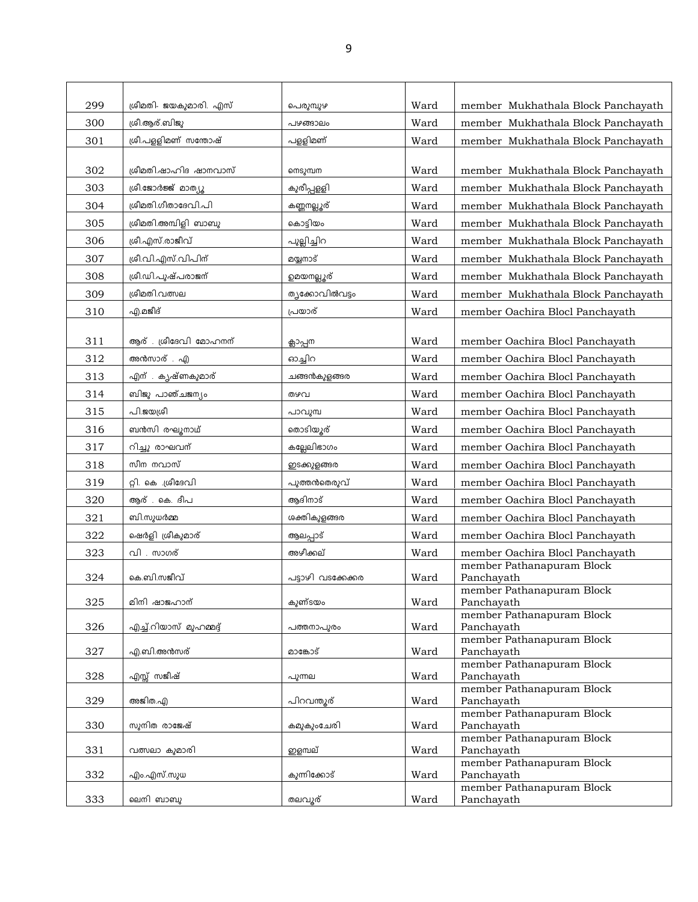| 299 | ശ്രീമതി- ജയകുമാരി. എസ്  | പെരുമ്പുഴ          | Ward | member Mukhathala Block Panchayath      |
|-----|-------------------------|--------------------|------|-----------------------------------------|
| 300 | ശ്രീ.ആര്.ബിജു           | പഴങ്ങാലം           | Ward | member Mukhathala Block Panchayath      |
| 301 | ശ്രീ.പളളിമണ് സന്തോഷ്    | പളളിമണ്            | Ward | member Mukhathala Block Panchayath      |
|     |                         |                    |      |                                         |
| 302 | ശ്രീമതി.ഷാഹിദ ഷാനവാസ്   | നെടുമ്പന           | Ward | member Mukhathala Block Panchayath      |
| 303 | ശ്രീ.ജോർജ്ജ് മാത്യൂ     | കുരീപ്പളളി         | Ward | member Mukhathala Block Panchayath      |
| 304 | ശ്രീമതി.ഗീതാദേവി.പി     | കണ്ണനല്ലൂര്        | Ward | member Mukhathala Block Panchayath      |
| 305 | ശ്രീമതി.അമ്പിളി ബാബു    | കൊട്ടിയം           | Ward | member Mukhathala Block Panchayath      |
| 306 | ശ്രീ.എസ്.രാജീവ്         | പുല്ലിച്ചിറ        | Ward | member Mukhathala Block Panchayath      |
| 307 | ശ്രീ.വി.എസ്.വിപിന്      | മയ്യനാട്           | Ward | member Mukhathala Block Panchayath      |
| 308 | ശ്രീ.ഡി.പൂഷ്പരാജന്      | <u>ഉമയനല്ലൂ</u> ര് | Ward | member Mukhathala Block Panchayath      |
| 309 | ശ്രീമതി.വത്സല           | തൃക്കോവിൽവട്ടം     | Ward | member Mukhathala Block Panchayath      |
| 310 | എ.മജീദ്                 | പ്രയാര്            | Ward | member Oachira Blocl Panchayath         |
|     |                         |                    |      |                                         |
| 311 | ആര് . ശ്രീദേവി മോഹനന്   | ക്ലാപ്പന           | Ward | member Oachira Blocl Panchayath         |
| 312 | അൻസാര് . എ              | ഓച്ചിറ             | Ward | member Oachira Blocl Panchayath         |
| 313 | എന്. കൃഷ്ണകുമാര്        | ചങ്ങൻകുളങ്ങര       | Ward | member Oachira Blocl Panchayath         |
| 314 | ബിജു പാഞ്ചജന്യം         | തഴവ                | Ward | member Oachira Blocl Panchayath         |
| 315 | പി.ജയശ്രീ               | പാവുമ്പ            | Ward | member Oachira Blocl Panchayath         |
| 316 | ബൻസി രഘൂനാഥ്            | തൊടിയൂര്           | Ward | member Oachira Blocl Panchayath         |
| 317 | റിച്ചു രാഘവന്           | കല്ലേലിഭാഗം        | Ward | member Oachira Blocl Panchayath         |
| 318 | സീന നവാസ്               | ഇടക്കുളങ്ങര        | Ward | member Oachira Blocl Panchayath         |
| 319 | റ്റി. കെ ശ്രീദേവി       | പുത്തൻതെരുവ്       | Ward | member Oachira Blocl Panchayath         |
| 320 | ആര് . കെ. ദീപ           | ആദിനാട്            | Ward | member Oachira Blocl Panchayath         |
| 321 | ബി.സുധർമ്മ              | ശക്തികുളങ്ങര       | Ward | member Oachira Blocl Panchayath         |
| 322 | ഷെർളി ശ്രീകുമാര്        | ആലപ്പാട്           | Ward | member Oachira Blocl Panchayath         |
| 323 | വി . സാഗര്              | അഴീക്കല്           | Ward | member Oachira Blocl Panchayath         |
|     |                         |                    |      | member Pathanapuram Block               |
| 324 | കെ.ബി.സജീവ്             | പട്ടാഴി വടക്കേക്കര | Ward | Panchayath<br>member Pathanapuram Block |
| 325 | മിനി ഷാജഹാന്            | കുണ്ടയം            | Ward | Panchayath                              |
|     |                         |                    |      | member Pathanapuram Block               |
| 326 | എച്ച്.റിയാസ് മുഹമ്മദ്ദ് | പത്തനാപുരം         | Ward | Panchayath<br>member Pathanapuram Block |
| 327 | എ.ബി.അൻസര്              | മാങ്കോട്           | Ward | Panchayath                              |
| 328 | എസ്സ് സജീഷ്             | പുന്നല             | Ward | member Pathanapuram Block<br>Panchayath |
|     |                         |                    |      | member Pathanapuram Block               |
| 329 | അജിത.എ                  | പിറവന്തൂര്         | Ward | Panchayath                              |
| 330 | സുനിത രാജേഷ്            | കമുകുംചേരി         | Ward | member Pathanapuram Block<br>Panchayath |
|     |                         |                    |      | member Pathanapuram Block               |
| 331 | വത്സലാ കുമാരി           | ഇളമ്പല്            | Ward | Panchayath                              |
| 332 | എം.എസ്.സുധ              | കുന്നിക്കോട്       | Ward | member Pathanapuram Block<br>Panchayath |
|     |                         |                    |      | member Pathanapuram Block               |
| 333 | ലെനി ബാബു               | തലവൂര്             | Ward | Panchayath                              |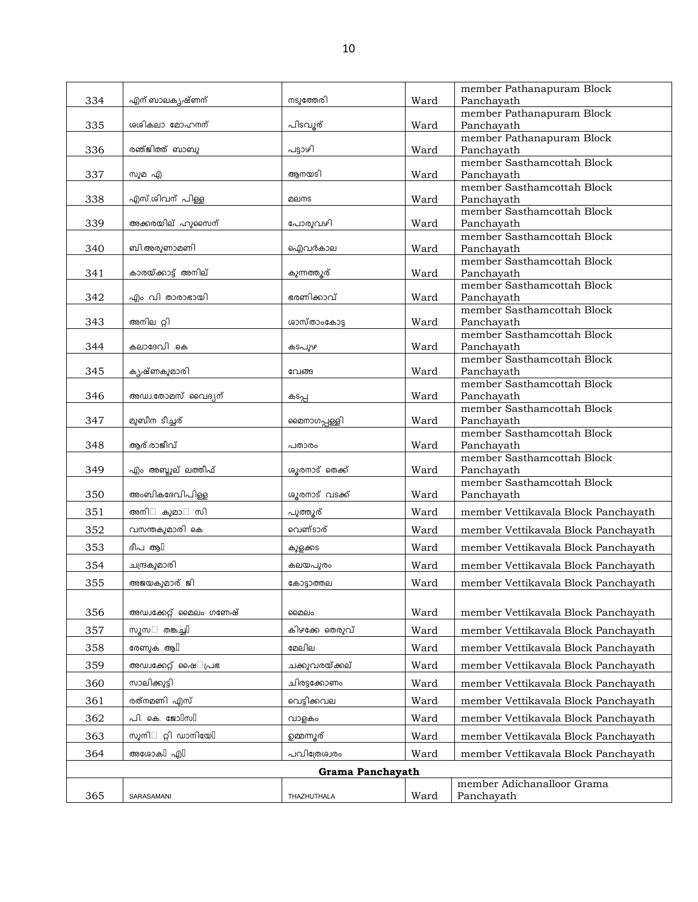|     |                                        |                  |      | member Pathanapuram Block                |
|-----|----------------------------------------|------------------|------|------------------------------------------|
| 334 | എന്.ബാലകൃഷ്ണന്                         | നടുത്തേരി        | Ward | Panchayath                               |
|     |                                        |                  |      | member Pathanapuram Block                |
| 335 | ശശികലാ മോഹനന്                          | പിടവൂര്          | Ward | Panchayath                               |
| 336 | രഞ്ജിത്ത് ബാബു                         | പട്ടാഴി          | Ward | member Pathanapuram Block                |
|     |                                        |                  |      | Panchayath<br>member Sasthamcottah Block |
| 337 | സുമ എ                                  | ആനയടി            | Ward | Panchayath                               |
|     |                                        |                  |      | member Sasthamcottah Block               |
| 338 | എസ്.ശിവന് പിള്ള                        | മലനട             | Ward | Panchayath                               |
|     |                                        |                  |      | member Sasthamcottah Block               |
| 339 | അക്കരയില് ഹുസൈന്                       | പോരുവഴി          | Ward | Panchayath                               |
|     |                                        |                  |      | member Sasthamcottah Block               |
| 340 | ബി.അരുണാമണി                            | ഐവർകാല           | Ward | Panchayath                               |
|     |                                        |                  |      | member Sasthamcottah Block               |
| 341 | കാരയ്ക്കാട്ട് അനില്                    | കുന്നത്തുര്      | Ward | Panchayath<br>member Sasthamcottah Block |
| 342 | എം വി താരാഭായി                         | ഭരണിക്കാവ്       | Ward | Panchayath                               |
|     |                                        |                  |      | member Sasthamcottah Block               |
| 343 | അനില റ്റി                              | ശാസ്താംകോട       | Ward | Panchayath                               |
|     |                                        |                  |      | member Sasthamcottah Block               |
| 344 | കലാദേവി .കെ                            | കടപുഴ            | Ward | Panchayath                               |
|     |                                        |                  |      | member Sasthamcottah Block               |
| 345 | കൃഷ്ണകുമാരി                            | വേങ്ങ            | Ward | Panchayath                               |
|     |                                        |                  |      | member Sasthamcottah Block               |
| 346 | അഡ⊥.തോമസ് വൈദ്യന്                      | കടപ്പ            | Ward | Panchayath<br>member Sasthamcottah Block |
| 347 | മുബീന ടീച്ചര്                          | മൈനാഗപ്പള്ളി     | Ward | Panchayath                               |
|     |                                        |                  |      | member Sasthamcottah Block               |
| 348 | ആര്.രാജീവ്                             | പതാരം            | Ward | Panchayath                               |
|     |                                        |                  |      | member Sasthamcottah Block               |
| 349 | എം അബ്ദുല് ലത്തീഫ്                     | ശൂരനാട് തെക്ക്   | Ward | Panchayath                               |
|     |                                        |                  |      | member Sasthamcottah Block               |
| 350 | അംബികദേവിപിള്ള                         | ശൂരനാട് വടക്ക്   | Ward | Panchayath                               |
| 351 | അനി<br>കുമാ<br>സി                      | പുത്തൂര്         | Ward | member Vettikavala Block Panchayath      |
| 352 | വസന്തകുമാരി കെ                         | വെണ്ടാര്         | Ward | member Vettikavala Block Panchayath      |
| 353 | ദീപ ആ $\mathbb I$                      | കുളക്കട          | Ward | member Vettikavala Block Panchayath      |
| 354 | ചന്ദ്രകുമാരി                           | കലയപുരം          | Ward | member Vettikavala Block Panchayath      |
|     |                                        |                  |      |                                          |
| 355 | അജയകുമാര് ജി                           | കോട്ടാത്തല       | Ward | member Vettikavala Block Panchayath      |
|     |                                        |                  |      |                                          |
| 356 | അഡ്വക്കേറ്റ് മൈലം ഗണേഷ്                | മൈലം             | Ward | member Vettikavala Block Panchayath      |
| 357 | തങ്കച്ചി<br>സൂസ                        | കിഴക്കേ തെരുവ്   | Ward | member Vettikavala Block Panchayath      |
| 358 | <u>രേണുക ആ</u> [                       | മേലില            | Ward | member Vettikavala Block Panchayath      |
| 359 | അഡ്വക്കേറ്റ് ഷൈ പ്രഭ                   | ചക്കുവരയ്ക്കല്   | Ward | member Vettikavala Block Panchayath      |
| 360 | സാലിക്കുട്ടി                           | ചിരട്ടക്കോണം     | Ward | member Vettikavala Block Panchayath      |
| 361 | രത്നമണി എസ്                            | വെട്ടിക്കവല      | Ward | member Vettikavala Block Panchayath      |
|     | പി. കെ. ജോ $\mathbb{I}$ സ $\mathbb{I}$ |                  |      |                                          |
| 362 |                                        | വാളകം            | Ward | member Vettikavala Block Panchayath      |
| 363 | റ്റി ഡാനിയേ $\mathbb I$<br>സുനി        | ഉമ്മന്നൂര്       | Ward | member Vettikavala Block Panchayath      |
| 364 | അശോകി എി                               | പവിത്രേശ്വരം     | Ward | member Vettikavala Block Panchayath      |
|     |                                        | Grama Panchayath |      |                                          |
|     |                                        |                  |      | member Adichanalloor Grama               |
| 365 | SARASAMANI                             | THAZHUTHALA      | Ward | Panchayath                               |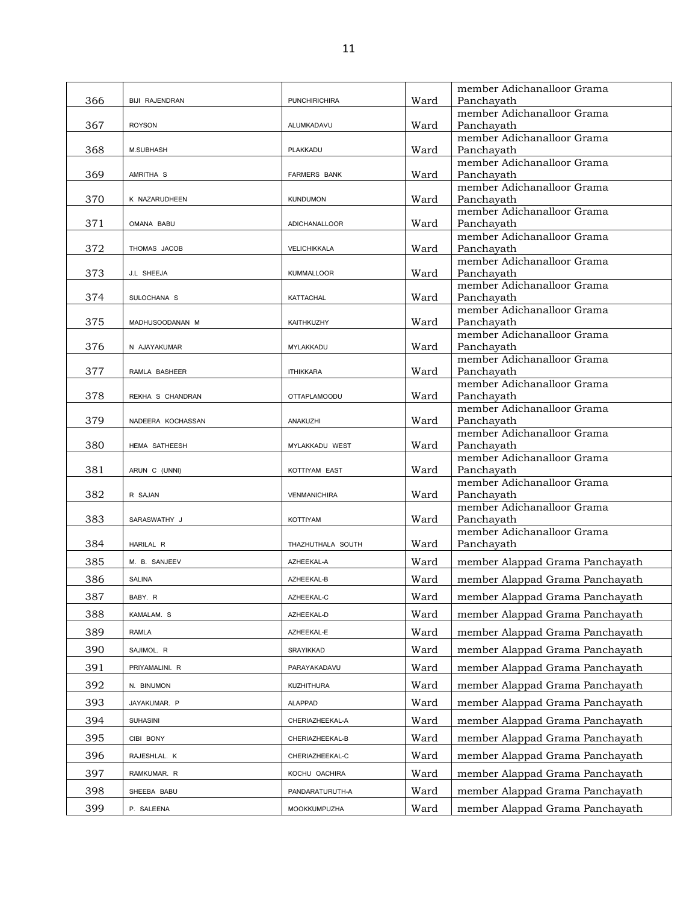|     |                       |                      |      | member Adichanalloor Grama               |
|-----|-----------------------|----------------------|------|------------------------------------------|
| 366 | <b>BIJI RAJENDRAN</b> | <b>PUNCHIRICHIRA</b> | Ward | Panchayath                               |
|     |                       |                      |      | member Adichanalloor Grama               |
| 367 | <b>ROYSON</b>         | ALUMKADAVU           | Ward | Panchayath                               |
| 368 |                       |                      | Ward | member Adichanalloor Grama<br>Panchayath |
|     | <b>M.SUBHASH</b>      | PLAKKADU             |      | member Adichanalloor Grama               |
| 369 | AMRITHA S             | <b>FARMERS BANK</b>  | Ward | Panchayath                               |
|     |                       |                      |      | member Adichanalloor Grama               |
| 370 | K NAZARUDHEEN         | <b>KUNDUMON</b>      | Ward | Panchavath                               |
|     |                       |                      |      | member Adichanalloor Grama               |
| 371 | OMANA BABU            | <b>ADICHANALLOOR</b> | Ward | Panchayath                               |
|     |                       |                      |      | member Adichanalloor Grama               |
| 372 | THOMAS JACOB          | VELICHIKKALA         | Ward | Panchayath                               |
|     |                       |                      |      | member Adichanalloor Grama               |
| 373 | J.L SHEEJA            | <b>KUMMALLOOR</b>    | Ward | Panchayath<br>member Adichanalloor Grama |
| 374 | SULOCHANA S           | <b>KATTACHAL</b>     | Ward | Panchayath                               |
|     |                       |                      |      | member Adichanalloor Grama               |
| 375 | MADHUSOODANAN M       | KAITHKUZHY           | Ward | Panchayath                               |
|     |                       |                      |      | member Adichanalloor Grama               |
| 376 | N AJAYAKUMAR          | MYLAKKADU            | Ward | Panchavath                               |
|     |                       |                      |      | member Adichanalloor Grama               |
| 377 | RAMLA BASHEER         | <b>ITHIKKARA</b>     | Ward | Panchayath                               |
| 378 |                       |                      |      | member Adichanalloor Grama               |
|     | REKHA S CHANDRAN      | <b>OTTAPLAMOODU</b>  | Ward | Panchayath<br>member Adichanalloor Grama |
| 379 | NADEERA KOCHASSAN     | ANAKUZHI             | Ward | Panchayath                               |
|     |                       |                      |      | member Adichanalloor Grama               |
| 380 | HEMA SATHEESH         | MYLAKKADU WEST       | Ward | Panchayath                               |
|     |                       |                      |      | member Adichanalloor Grama               |
| 381 | ARUN C (UNNI)         | KOTTIYAM EAST        | Ward | Panchayath                               |
|     |                       |                      |      | member Adichanalloor Grama               |
| 382 | R SAJAN               | <b>VENMANICHIRA</b>  | Ward | Panchayath<br>member Adichanalloor Grama |
| 383 | SARASWATHY J          | KOTTIYAM             | Ward | Panchayath                               |
|     |                       |                      |      | member Adichanalloor Grama               |
| 384 | HARILAL R             | THAZHUTHALA SOUTH    | Ward | Panchayath                               |
| 385 | M. B. SANJEEV         | AZHEEKAL-A           | Ward | member Alappad Grama Panchayath          |
|     |                       |                      |      |                                          |
| 386 | <b>SALINA</b>         | AZHEEKAL-B           | Ward | member Alappad Grama Panchayath          |
| 387 | BABY. R               | AZHEEKAL-C           | Ward | member Alappad Grama Panchayath          |
| 388 | KAMALAM. S            | AZHEEKAL-D           | Ward | member Alappad Grama Panchayath          |
| 389 | RAMLA                 | AZHEEKAL-E           | Ward | member Alappad Grama Panchayath          |
| 390 | SAJIMOL. R            | SRAYIKKAD            | Ward | member Alappad Grama Panchayath          |
| 391 | PRIYAMALINI. R        | PARAYAKADAVU         | Ward | member Alappad Grama Panchayath          |
| 392 | N. BINUMON            | KUZHITHURA           | Ward | member Alappad Grama Panchayath          |
|     |                       |                      |      |                                          |
| 393 | JAYAKUMAR. P          | <b>ALAPPAD</b>       | Ward | member Alappad Grama Panchayath          |
| 394 | <b>SUHASINI</b>       | CHERIAZHEEKAL-A      | Ward | member Alappad Grama Panchayath          |
| 395 | CIBI BONY             | CHERIAZHEEKAL-B      | Ward | member Alappad Grama Panchayath          |
| 396 | RAJESHLAL. K          | CHERIAZHEEKAL-C      | Ward | member Alappad Grama Panchayath          |
| 397 | RAMKUMAR. R           | KOCHU OACHIRA        | Ward | member Alappad Grama Panchayath          |
| 398 | SHEEBA BABU           | PANDARATURUTH-A      | Ward | member Alappad Grama Panchayath          |
| 399 | P. SALEENA            | MOOKKUMPUZHA         | Ward | member Alappad Grama Panchayath          |
|     |                       |                      |      |                                          |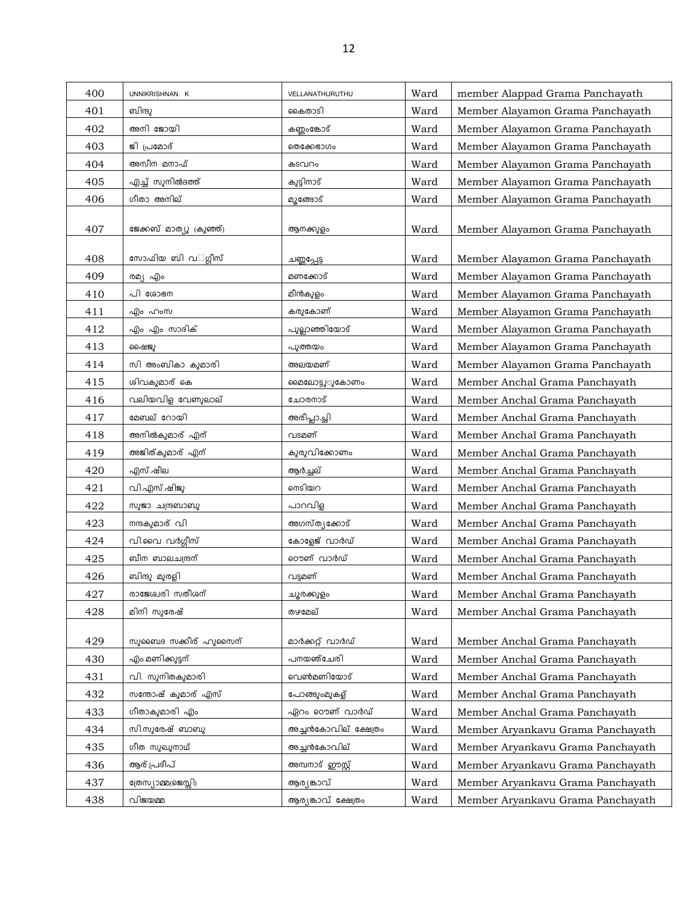| 400 | UNNIKRISHNAN. K         | VELLANATHURUTHU      | Ward | member Alappad Grama Panchayath   |
|-----|-------------------------|----------------------|------|-----------------------------------|
| 401 | ബിന്ദു                  | കൈതാടി               | Ward | Member Alayamon Grama Panchayath  |
| 402 | അനി ജോയി                | കണ്ണംങ്കോട്          | Ward | Member Alayamon Grama Panchayath  |
| 403 | ജി പ്രമോദ്              | ഩൌക്കേഭാഗം           | Ward | Member Alayamon Grama Panchayath  |
|     | അസീന മനാഫ്              |                      |      |                                   |
| 404 |                         | കടവറം                | Ward | Member Alayamon Grama Panchayath  |
| 405 | എച്ച് സുനിൽദത്ത്        | കുട്ടിനാട്           | Ward | Member Alayamon Grama Panchayath  |
| 406 | ഗീതാ അനില്              | മുങ്ങോട്             | Ward | Member Alayamon Grama Panchayath  |
| 407 | ജേക്കബ് മാത്യു (കുഞ്ഞ്) | ആനക്കുളം             | Ward | Member Alayamon Grama Panchayath  |
| 408 | സോഫിയ ബി വ ഗ്ഗീസ്       | ചണ്ണപ്പേട്ട          | Ward | Member Alayamon Grama Panchayath  |
| 409 | രമ്യ എം                 | മണക്കോട്             | Ward | Member Alayamon Grama Panchayath  |
| 410 | പി ശോഭന                 | മീൻകുളം              | Ward | Member Alayamon Grama Panchayath  |
| 411 | എം ഹംസ                  | കരുകോണ്              | Ward | Member Alayamon Grama Panchayath  |
| 412 | എം എം സാദിക്            | പുല്ലാഞ്ഞിയോട്       | Ward | Member Alayamon Grama Panchayath  |
| 413 | ഷൈജു                    | പുത്തയം              | Ward | Member Alayamon Grama Panchayath  |
| 414 | സി അംബികാ കുമാരി        | അലയമണ്               | Ward | Member Alayamon Grama Panchayath  |
| 415 | ശിവകുമാര് കെ            | മൈലോട്ടുരുകോണം       | Ward | Member Anchal Grama Panchayath    |
| 416 | വലിയവിള വേണുലാല്        | ചോരനാട്              | Ward | Member Anchal Grama Panchayath    |
| 417 | മേബല് റോയി              | അരീപ്ലാച്ചി          | Ward | Member Anchal Grama Panchayath    |
| 418 | അനിൽകുമാര് എന്          | വടമണ്                | Ward | Member Anchal Grama Panchayath    |
| 419 | അജിത്കുമാര് എന്         | കുരുവിക്കോണം         | Ward | Member Anchal Grama Panchayath    |
| 420 | എസ്.ഷീല                 | ആർച്ചല്              | Ward | Member Anchal Grama Panchayath    |
| 421 | വി.എസ്.ഷിജു             | ണടിയറ                | Ward | Member Anchal Grama Panchayath    |
| 422 | സുജാ ചന്ദ്രബാബു         | പാറവിള               | Ward | Member Anchal Grama Panchayath    |
| 423 | നന്ദകുമാര് വി           | അഗസ്ത്യക്കോട്        | Ward | Member Anchal Grama Panchayath    |
| 424 | വി.വൈ വർഗ്ഗീസ്          | കോളേജ് വാർഡ്         | Ward | Member Anchal Grama Panchayath    |
| 425 | ബീന ബാലചന്ദ്രന്         | റൌണ് വാർഡ്           | Ward | Member Anchal Grama Panchayath    |
| 426 | ബിന്ദു മുരളി            | വട്ടമണ്              | Ward | Member Anchal Grama Panchayath    |
| 427 | രാജേശ്വരി സതീശന്        | ചൂരക്കുളം            | Ward | Member Anchal Grama Panchayath    |
| 428 | മിനി സുരേഷ്             | തഴമേല്               | Ward | Member Anchal Grama Panchayath    |
|     |                         |                      |      |                                   |
| 429 | സുബൈദ സക്കീര് ഹുസൈന്    | മാർക്കറ്റ് വാർഡ്     | Ward | Member Anchal Grama Panchayath    |
| 430 | എം.മണിക്കുട്ടന്         | പനയഞ്ചേരി            | Ward | Member Anchal Grama Panchayath    |
| 431 | വി. സുനിതകുമാരി         | വെൺമണിയോട്           | Ward | Member Anchal Grama Panchayath    |
| 432 | സന്തോഷ് കുമാര് എസ്      | പോങ്ങുംമുകള്         | Ward | Member Anchal Grama Panchayath    |
| 433 | ഗീതാകുമാരി എം           | ഏറം റൌണ് വാർഡ്       | Ward | Member Anchal Grama Panchayath    |
| 434 | സി.സുരേഷ് ബാബു          | അച്ചൻകോവില് ക്ഷേത്രം | Ward | Member Aryankavu Grama Panchayath |
| 435 | ഗീത സുഖുനാഥ്            | അച്ചൻകോവില്          | Ward | Member Aryankavu Grama Panchayath |
| 436 | ആര്.പ്രദീപ്             | അമ്പനാട് ഈസ്റ്റ്     | Ward | Member Aryankavu Grama Panchayath |
| 437 | ത്രേസ്യാമ്മ(ജെസ്സി)     | ആര്യങ്കാവ്           | Ward | Member Aryankavu Grama Panchayath |
| 438 | വിജയമ്മ                 | ആര്യങ്കാവ് ക്ഷേത്രം  | Ward | Member Aryankavu Grama Panchayath |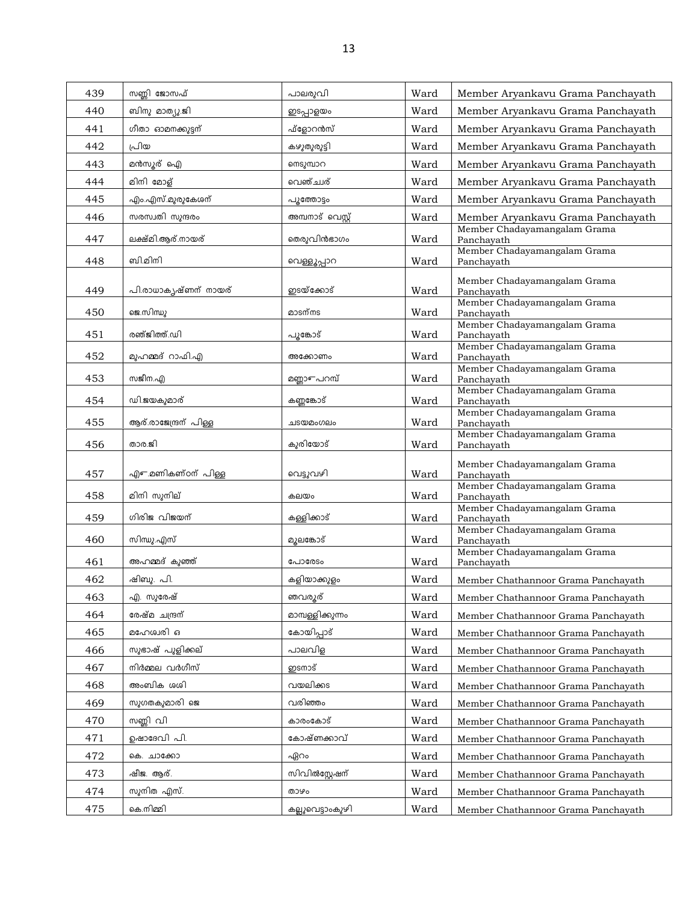| 439 | സണ്ണി ജോസഫ്           | പാലരൂവി               | Ward | Member Aryankavu Grama Panchayath          |
|-----|-----------------------|-----------------------|------|--------------------------------------------|
| 440 | ബിനു മാത്യു.ജി        | ഇടപ്പാളയം             | Ward | Member Aryankavu Grama Panchayath          |
| 441 | ഗീതാ ഓമനക്കുട്ടന്     | ഫ്ളോറൻസ്              | Ward | Member Aryankavu Grama Panchayath          |
| 442 | പ്രിയ                 | കഴുതുരുട്ടി           | Ward | Member Aryankavu Grama Panchayath          |
| 443 | മൻസൂര് ഐ              | നെടുമ്പാറ             | Ward | Member Aryankavu Grama Panchayath          |
| 444 | മിനി മോള്             | വെഞ്ച്ചര്             | Ward | Member Aryankavu Grama Panchayath          |
| 445 | എം.എസ്.മുരുകേശന്      | പുത്തോട്ടം            | Ward | Member Aryankavu Grama Panchayath          |
| 446 | സരസ്വതി സുന്ദരം       | അമ്പനാട് വെസ്റ്റ്     | Ward | Member Aryankavu Grama Panchayath          |
| 447 | ലക്ഷ്മി.ആര്.നായര്     | തെരുവിൻഭാഗം           | Ward | Member Chadayamangalam Grama<br>Panchayath |
| 448 | ബി.മിനി               | വെള്ളൂപ്പാറ           | Ward | Member Chadayamangalam Grama<br>Panchayath |
| 449 | പി.രാധാകൃഷ്ണന് നായര്  | ഇടയ്ക്കോട്            | Ward | Member Chadayamangalam Grama<br>Panchayath |
| 450 | ജെ.സിന്ധു             | മാടന്നട               | Ward | Member Chadayamangalam Grama<br>Panchayath |
| 451 | രഞ്ജിത്ത്.ഡി          | പൂങ്കോട്              | Ward | Member Chadayamangalam Grama<br>Panchayath |
|     |                       |                       |      | Member Chadayamangalam Grama               |
| 452 | മുഹമ്മദ് റാഫി.എ       | അക്കോണം               | Ward | Panchayath<br>Member Chadayamangalam Grama |
| 453 | സജീന.എ                | മണ്ണാ $\epsilon$ പറസ് | Ward | Panchayath                                 |
| 454 | ഡി.ജയകുമാര്           | കണ്ണങ്കോട്            | Ward | Member Chadayamangalam Grama<br>Panchayath |
| 455 | ആര്.രാജേന്ദ്രന് പിള്ള | ചടയമംഗലം              | Ward | Member Chadayamangalam Grama<br>Panchayath |
| 456 | താര.ജി                | കുരിയോട്              | Ward | Member Chadayamangalam Grama<br>Panchayath |
| 457 | എം മണികണ്ഠന് പിള്ള    | വെട്ടുവഴി             | Ward | Member Chadayamangalam Grama<br>Panchayath |
| 458 | മിനി സുനില്           | കലയം                  | Ward | Member Chadayamangalam Grama<br>Panchayath |
| 459 | ഗിരിജ വിജയന്          | കള്ളിക്കാട്           |      | Member Chadayamangalam Grama               |
|     |                       |                       | Ward | Panchayath<br>Member Chadayamangalam Grama |
| 460 | സിന്ധു.എസ്            | മുലങ്കോട്             | Ward | Panchayath<br>Member Chadayamangalam Grama |
| 461 | അഹമ്മദ് കുഞ്ഞ്        | പോരേടം                | Ward | Panchayath                                 |
| 462 | ഷിബു. പി.             | കളിയാക്കുളം           | Ward | Member Chathannoor Grama Panchayath        |
| 463 | എ. സുരേഷ്             | ഞവരുര്                | Ward | Member Chathannoor Grama Panchayath        |
| 464 | രേഷ്മ ചന്ദ്രന്        | മാമ്പള്ളിക്കുന്നം     | Ward | Member Chathannoor Grama Panchayath        |
| 465 | മഹേശ്വരി ഒ            | കോയിപ്പാട്            | Ward | Member Chathannoor Grama Panchayath        |
| 466 | സുഭാഷ് പുളിക്കല്      | പാലവിള                | Ward | Member Chathannoor Grama Panchayath        |
| 467 | നിർമ്മല വർഗീസ്        | ഇടനാട്                | Ward | Member Chathannoor Grama Panchayath        |
| 468 | അംബിക ശശി             | വയലിക്കട              | Ward | Member Chathannoor Grama Panchayath        |
| 469 | സുഗതകുമാരി ജെ         | വരിഞ്ഞം               | Ward | Member Chathannoor Grama Panchayath        |
| 470 | സണ്ണി വി              | കാരംകോട്              | Ward | Member Chathannoor Grama Panchayath        |
| 471 | ഉഷാദേവി പി.           | കോഷ്ണക്കാവ്           | Ward | Member Chathannoor Grama Panchayath        |
| 472 | കെ. ചാക്കോ            | ഏറം                   | Ward | Member Chathannoor Grama Panchayath        |
| 473 | ഷീജ. ആര്.             | സിവിൽസ്റ്റേഷന്        | Ward | Member Chathannoor Grama Panchayath        |
| 474 | സുനിത എസ്.            | താഴം                  | Ward | Member Chathannoor Grama Panchayath        |
| 475 | കെ.നിമ്മി             | കല്ലുവെട്ടാംകുഴി      | Ward | Member Chathannoor Grama Panchayath        |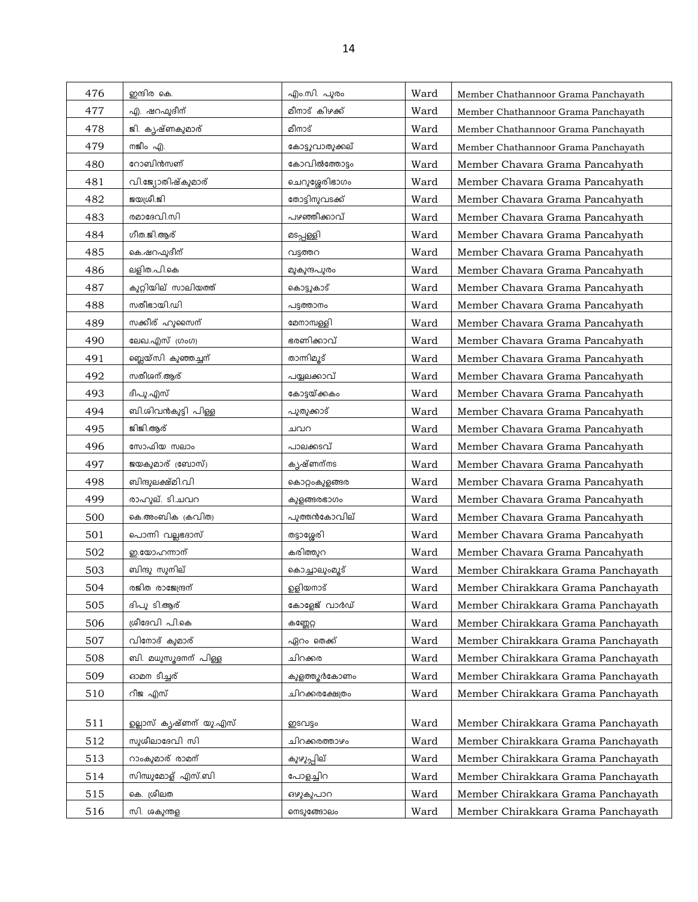| 476 | ഇന്ദിര കെ.             | എം.സി. പൂരം     | Ward | Member Chathannoor Grama Panchayath |
|-----|------------------------|-----------------|------|-------------------------------------|
| 477 | എ. ഷറഫുദീന്            | മീനാട് കിഴക്ക്  | Ward | Member Chathannoor Grama Panchayath |
| 478 | ജി. കൃഷ്ണകുമാര്        | മീനാട്          | Ward | Member Chathannoor Grama Panchayath |
| 479 | നജീം എ.                | കോട്ടുവാതുക്കല് | Ward | Member Chathannoor Grama Panchayath |
| 480 | റോബിൻസണ്               | കോവിൽത്തോട്ടം   | Ward | Member Chavara Grama Pancahyath     |
| 481 | വി.ജ്യോതിഷ്കുമാര്      | ചെറുശ്ശേരിഭാഗം  | Ward | Member Chavara Grama Pancahyath     |
| 482 | ജയശ്രീ.ജി              | തോട്ടിനുവടക്ക്  | Ward | Member Chavara Grama Pancahyath     |
| 483 | രമാദേവി.സി             | പഴഞ്ഞീക്കാവ്    | Ward | Member Chavara Grama Pancahyath     |
| 484 | ഗീത.ജി.ആര്             | മടപ്പള്ളി       | Ward | Member Chavara Grama Pancahyath     |
| 485 | കെ.ഷറഫുദീന്            | വട്ടത്തറ        | Ward | Member Chavara Grama Pancahyath     |
| 486 | ലളിത.പി.കെ             | മുകുന്ദപുരം     | Ward | Member Chavara Grama Pancahyath     |
| 487 | കൂറ്റിയില് സാലിയത്ത്   | കൊട്ടുകാട്      | Ward | Member Chavara Grama Pancahyath     |
| 488 | സതീഭായി.ഡി             | പട്ടത്താനം      | Ward | Member Chavara Grama Pancahyath     |
| 489 | സക്കീര് ഹുസൈന്         | മേനാമ്പള്ളി     | Ward | Member Chavara Grama Pancahyath     |
| 490 | ലേഖ.എസ് (ഗംഗ)          | ഭരണിക്കാവ്      | Ward | Member Chavara Grama Pancahyath     |
| 491 | ബ്ലെയ്സി കുഞ്ഞച്ചന്    | താന്നിമൂട്      | Ward | Member Chavara Grama Pancahyath     |
| 492 | സതീശന്.ആര്             | പയ്യലക്കാവ്     | Ward | Member Chavara Grama Pancahyath     |
| 493 | ദീപു.എസ്               | കോട്ടയ്ക്കകം    | Ward | Member Chavara Grama Pancahyath     |
| 494 | ബി.ശിവൻകുട്ടി പിള്ള    | പുതുക്കാട്      | Ward | Member Chavara Grama Pancahyath     |
| 495 | ജിജി.ആര്               | ചവറ             | Ward | Member Chavara Grama Pancahyath     |
| 496 | സോഫിയ സലാം             | പാലക്കടവ്       | Ward | Member Chavara Grama Pancahyath     |
| 497 | ജയകുമാര് (ബോസ്)        | കൃഷ്ണന്നട       | Ward | Member Chavara Grama Pancahyath     |
| 498 | ബിന്ദുലക്ഷ്മി.വി       | കൊറ്റംകുളങ്ങര   | Ward | Member Chavara Grama Pancahyath     |
| 499 | രാഹൂല്. ടി.ചവറ         | കുളങ്ങരഭാഗം     | Ward | Member Chavara Grama Pancahyath     |
| 500 | കെ.അംബിക (കവിത)        | പുത്തൻകോവില്    | Ward | Member Chavara Grama Pancahyath     |
| 501 | പൊന്നി വല്ലഭദാസ്       | തട്ടാശ്ശേരി     | Ward | Member Chavara Grama Pancahyath     |
| 502 | ഇ.യോഹന്നാന്            | കരിത്തുറ        | Ward | Member Chavara Grama Pancahyath     |
| 503 | ബിന്ദു സുനില്          | കൊച്ചാലുംമൂട്   | Ward | Member Chirakkara Grama Panchayath  |
| 504 | രജിത രാജേന്ദ്രന്       | ഉളിയനാട്        | Ward | Member Chirakkara Grama Panchayath  |
| 505 | ദിപു ടി.ആര്            | കോളേജ് വാർഡ്    | Ward | Member Chirakkara Grama Panchayath  |
| 506 | ശ്രീദേവി പി.കെ         | കണ്ണേറ്റ        | Ward | Member Chirakkara Grama Panchayath  |
| 507 | വിനോദ് കുമാര്          | ഏറം തെക്ക്      | Ward | Member Chirakkara Grama Panchayath  |
| 508 | ബി. മധുസൂദനന് പിള്ള    | ചിറക്കര         | Ward | Member Chirakkara Grama Panchayath  |
| 509 | ഓമന ടീച്ചര്            | കുളത്തുർകോണം    | Ward | Member Chirakkara Grama Panchayath  |
| 510 | റീജ എസ്                | ചിറക്കരക്ഷേത്രം | Ward | Member Chirakkara Grama Panchayath  |
|     |                        |                 |      |                                     |
| 511 | ഉല്ലാസ് കൃഷ്ണന് യു.എസ് | ഇടവട്ടം         | Ward | Member Chirakkara Grama Panchayath  |
| 512 | സുശീലാദേവി സി          | ചിറക്കരത്താഴം   | Ward | Member Chirakkara Grama Panchayath  |
| 513 | റാംകുമാര് രാമന്        | കുഴുപ്പില്      | Ward | Member Chirakkara Grama Panchayath  |
| 514 | സിന്ധുമോള് എസ്.ബി      | പോളച്ചിറ        | Ward | Member Chirakkara Grama Panchayath  |
| 515 | കെ. ശ്രീലത             | ഔൂകൂപാറ         | Ward | Member Chirakkara Grama Panchayath  |
| 516 | സി. ശകുന്തള            | നെടുങ്ങോലം      | Ward | Member Chirakkara Grama Panchayath  |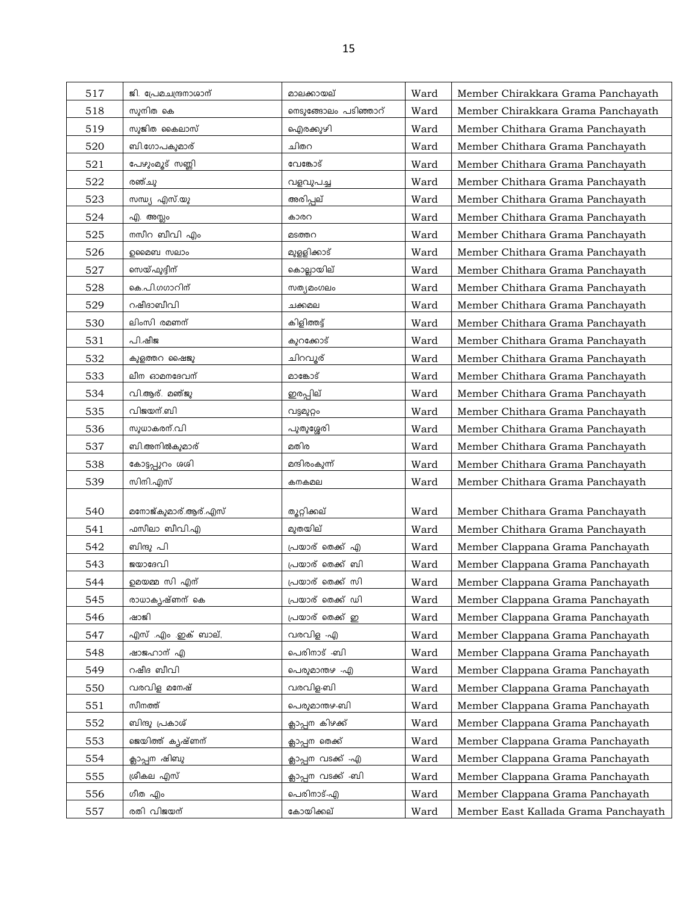| 517 | ജി. പ്രേമചന്ദ്രനാശാന്               | മാലക്കായല്                            | Ward | Member Chirakkara Grama Panchayath   |
|-----|-------------------------------------|---------------------------------------|------|--------------------------------------|
| 518 | സുനിത കെ                            | നെടുങ്ങോലം പടിഞ്ഞാറ്                  | Ward | Member Chirakkara Grama Panchayath   |
| 519 | സുജിത കൈലാസ്                        | ഐരക്കുഴി                              | Ward | Member Chithara Grama Panchayath     |
| 520 | ബി.ഗോപകുമാര്                        | ചിതറ                                  | Ward | Member Chithara Grama Panchayath     |
| 521 | പേഴുംമൂട് സണ്ണി                     | വേങ്കോട്                              | Ward | Member Chithara Grama Panchayath     |
| 522 | രഞ്ചു                               | വളവുപച്ച                              | Ward | Member Chithara Grama Panchayath     |
| 523 | സന്ധ്യ എസ്.യു                       | അരിപ്പല്                              | Ward | Member Chithara Grama Panchayath     |
| 524 | എ. അസ്ലം                            | കാരറ                                  | Ward | Member Chithara Grama Panchayath     |
| 525 | നസീറ ബീവി എം                        | മടത്തറ                                | Ward | Member Chithara Grama Panchayath     |
| 526 | ഉമൈബ സലാം                           | മുളളിക്കാട്                           | Ward | Member Chithara Grama Panchayath     |
| 527 | സെയ് ഫുദ്ദീന്                       | കൊല്ലായില്                            | Ward | Member Chithara Grama Panchayath     |
| 528 | കെ.പി.ഗഗാറിന്                       | സത്യമംഗലം                             | Ward | Member Chithara Grama Panchayath     |
| 529 | റഷീദാബീവി                           | ചക്കമല                                | Ward | Member Chithara Grama Panchayath     |
| 530 | ലിംസി രമണന്                         | കിളിത്തട്ട്                           | Ward | Member Chithara Grama Panchayath     |
| 531 | പി.ഷീജ                              | കുറക്കോട്                             | Ward | Member Chithara Grama Panchayath     |
| 532 | കുളത്തറ ഷൈജു                        | ചിറവൂര്                               | Ward | Member Chithara Grama Panchayath     |
| 533 | ലീന ഓമനദേവന്                        | മാങ്കോട്                              | Ward | Member Chithara Grama Panchayath     |
| 534 | വി.ആര്. മഞ്ജു                       | ഇരപ്പില്                              | Ward | Member Chithara Grama Panchayath     |
| 535 | വിജയന്.ബി                           | വട്ടമുറ്റം                            | Ward | Member Chithara Grama Panchayath     |
| 536 | സുധാകരന്.പി                         | പുതുശ്ശേരി                            | Ward | Member Chithara Grama Panchayath     |
| 537 | ബി.അനിൽകുമാര്                       | മതിര                                  | Ward | Member Chithara Grama Panchayath     |
| 538 | കോട്ടപ്പുറം ശശി                     | മന്ദിരംകുന്ന്                         | Ward | Member Chithara Grama Panchayath     |
| 539 | സിനി.എസ്                            | കനകമല                                 | Ward | Member Chithara Grama Panchayath     |
|     |                                     |                                       |      |                                      |
| 540 | മനോജ്കുമാര്.ആര്.എസ്<br>ഫസീലാ ബീവി.എ | തൂറ്റിക്കല്<br>മുതയില്                | Ward | Member Chithara Grama Panchayath     |
| 541 | ബിന്ദു പി                           |                                       | Ward | Member Chithara Grama Panchayath     |
| 542 | ജയാദേവി                             | പ്രയാര് തെക്ക് എ<br>പ്രയാര് തെക്ക് ബി | Ward | Member Clappana Grama Panchayath     |
| 543 |                                     | പ്രയാര് തെക്ക് സി                     | Ward | Member Clappana Grama Panchayath     |
| 544 | ഉമയമ്മ സി എന്                       |                                       | Ward | Member Clappana Grama Panchayath     |
| 545 | രാധാകൃഷ്ണന് കെ<br>ഷാജി              | പ്രയാര് തെക്ക് ഡി<br>പ്രയാര് തെക്ക് ഇ | Ward | Member Clappana Grama Panchayath     |
| 546 | എസ് .എം .ഇക് ബാല്,                  | വരവിള -എ                              | Ward | Member Clappana Grama Panchayath     |
| 547 |                                     | പെരിനാട് -ബി                          | Ward | Member Clappana Grama Panchayath     |
| 548 | ഷാജഹാന് എ<br>റഷീദ ബീവി              | പെരുമാന്തഴ -എ                         | Ward | Member Clappana Grama Panchayath     |
| 549 | വരവിള മനേഷ്                         | വരവിള-ബി                              | Ward | Member Clappana Grama Panchayath     |
| 550 |                                     |                                       | Ward | Member Clappana Grama Panchayath     |
| 551 | സീനത്ത്                             | പെരുമാന്തഴ-ബി                         | Ward | Member Clappana Grama Panchayath     |
| 552 | ബിന്ദു പ്രകാശ്                      | ക്ലാപ്പന കിഴക്ക്                      | Ward | Member Clappana Grama Panchayath     |
| 553 | ജെയിത്ത് കൃഷ്ണന്                    | ക്ലാപ്പന തെക്ക്                       | Ward | Member Clappana Grama Panchayath     |
| 554 | ക്ലാപ്പന ഷിബു<br>ശ്രീകല എസ്         | ക്ലാപ്പന വടക്ക് -എ                    | Ward | Member Clappana Grama Panchayath     |
| 555 |                                     | ക്ലാപ്പന വടക്ക് -ബി                   | Ward | Member Clappana Grama Panchayath     |
| 556 | ഗീത എം                              | പെരിനാട്-എ                            | Ward | Member Clappana Grama Panchayath     |
| 557 | രതി വിജയന്                          | കോയിക്കല്                             | Ward | Member East Kallada Grama Panchayath |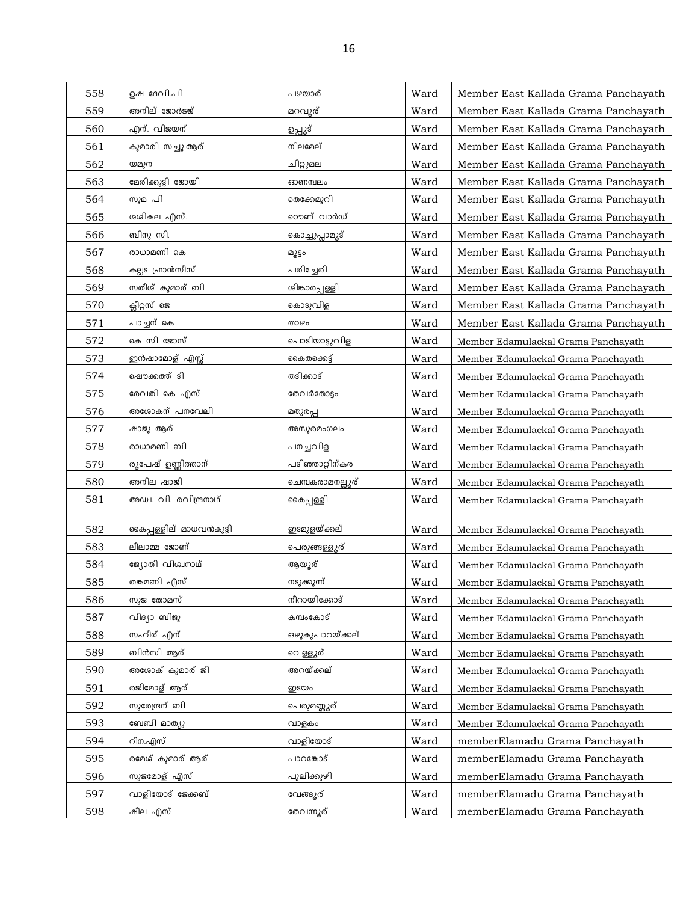| 558 | ഉഷ ദേവി.പി              | പഴയാര്           | Ward | Member East Kallada Grama Panchayath |
|-----|-------------------------|------------------|------|--------------------------------------|
| 559 | അനില് ജോർജ്ജ്           | മറവൂര്           | Ward | Member East Kallada Grama Panchayath |
| 560 | എന്. വിജയന്             | ഉപ്പൂട്          | Ward | Member East Kallada Grama Panchayath |
| 561 | കുമാരി സച്ചു.ആര്        | നിലമേല്          | Ward | Member East Kallada Grama Panchayath |
| 562 | യമുന                    | ചിറ്റുമല         | Ward | Member East Kallada Grama Panchayath |
| 563 | മേരിക്കുട്ടി ജോയി       | ഓണമ്പലം          | Ward | Member East Kallada Grama Panchayath |
| 564 | സുമ പി                  | തെക്കേമുറി       | Ward | Member East Kallada Grama Panchayath |
| 565 | ശശികല എസ്.              | റൌണ് വാർഡ്       | Ward | Member East Kallada Grama Panchayath |
| 566 | ബിനു സി.                | കൊച്ചുപ്ലാമൂട്   | Ward | Member East Kallada Grama Panchayath |
| 567 | രാധാമണി കെ              | മൂട്ടം           | Ward | Member East Kallada Grama Panchayath |
| 568 | കല്ലട ഫ്രാൻസീസ്         | പരിച്ചേരി        | Ward | Member East Kallada Grama Panchayath |
| 569 | സതീശ് കുമാര് ബി         | ശിങ്കാരപ്പള്ളി   | Ward | Member East Kallada Grama Panchayath |
| 570 | ക്ലീറ്റസ് ജെ            | കൊടുവിള          | Ward | Member East Kallada Grama Panchayath |
| 571 | പാച്ചന് കെ              | താഴം             | Ward | Member East Kallada Grama Panchayath |
| 572 | കെ സി ജോസ്              | പൊടിയാട്ടുവിള    | Ward | Member Edamulackal Grama Panchayath  |
| 573 | ഇൻഷാമോള് എസ്സ്          | കൈതക്കെട്ട്      | Ward | Member Edamulackal Grama Panchayath  |
| 574 | ഷൌക്കത്ത് ടി            | തടിക്കാട്        | Ward | Member Edamulackal Grama Panchayath  |
| 575 | രേവതി കെ എസ്            | തേവർതോട്ടം       | Ward | Member Edamulackal Grama Panchayath  |
| 576 | അശോകന് പനവേലി           | മതുരപ്പ          | Ward | Member Edamulackal Grama Panchayath  |
| 577 | ഷാജു ആര്                | അസുരമംഗലം        | Ward | Member Edamulackal Grama Panchayath  |
| 578 | രാധാമണി ബി              | പനച്ചവിള         | Ward | Member Edamulackal Grama Panchayath  |
| 579 | രൂപേഷ് ഉണ്ണിത്താന്      | പടിഞ്ഞാറ്റിന്കര  | Ward | Member Edamulackal Grama Panchayath  |
| 580 | അനില ഷാജി               | ചെമ്പകരാമനല്ലൂര് | Ward | Member Edamulackal Grama Panchayath  |
| 581 | അഡ്വ. വി. രവീന്ദ്രനാഥ്  | കൈപ്പള്ളി        | Ward | Member Edamulackal Grama Panchayath  |
|     |                         |                  |      |                                      |
| 582 | കൈപ്പള്ളില് മാധവൻകുട്ടി | ഇടമുളയ്ക്കല്     | Ward | Member Edamulackal Grama Panchayath  |
| 583 | ലീലാമ്മ ജോണ്            | പെരുങ്ങള്ളൂര്    | Ward | Member Edamulackal Grama Panchayath  |
| 584 | ജ്യോതി വിശ്വനാഥ്        | ആയൂര്            | Ward | Member Edamulackal Grama Panchayath  |
| 585 | തങ്കമണി എസ്             | നടുക്കുന്ന്      | Ward | Member Edamulackal Grama Panchayath  |
| 586 | സുജ തോമസ്               | നീറായിക്കോട്     | Ward | Member Edamulackal Grama Panchayath  |
| 587 | വിദ്യാ ബിജു             | കമ്പംകോട്        | Ward | Member Edamulackal Grama Panchayath  |
| 588 | സഹീര് എന്               | ഔൂകൂപാറയ്ക്കല്   | Ward | Member Edamulackal Grama Panchayath  |
| 589 | ബിൻസി ആര്               | വെള്ളൂര്         | Ward | Member Edamulackal Grama Panchayath  |
| 590 | അശോക് കുമാര് ജി         | അറയ്ക്കല്        | Ward | Member Edamulackal Grama Panchayath  |
| 591 | രജിമോള് ആര്             | ഇടയം             | Ward | Member Edamulackal Grama Panchayath  |
| 592 | സുരേന്ദ്രന് ബി          | പെരുമണ്ണൂര്      | Ward | Member Edamulackal Grama Panchayath  |
| 593 | ബേബി മാത്യു             | വാളകം            | Ward | Member Edamulackal Grama Panchayath  |
| 594 | റീന.എസ്                 | വാളിയോട്         | Ward | memberElamadu Grama Panchayath       |
| 595 | രമേശ് കുമാര് ആര്        | പാറങ്കോട്        | Ward | memberElamadu Grama Panchayath       |
| 596 | സുജമോള് എസ്             | പുലിക്കുഴി       | Ward | memberElamadu Grama Panchayath       |
| 597 | വാളിയോട് ജേക്കബ്        | വേങ്ങൂര്         | Ward | memberElamadu Grama Panchayath       |
| 598 | ഷീല എസ്                 | തേവന്നൂര്        | Ward | memberElamadu Grama Panchayath       |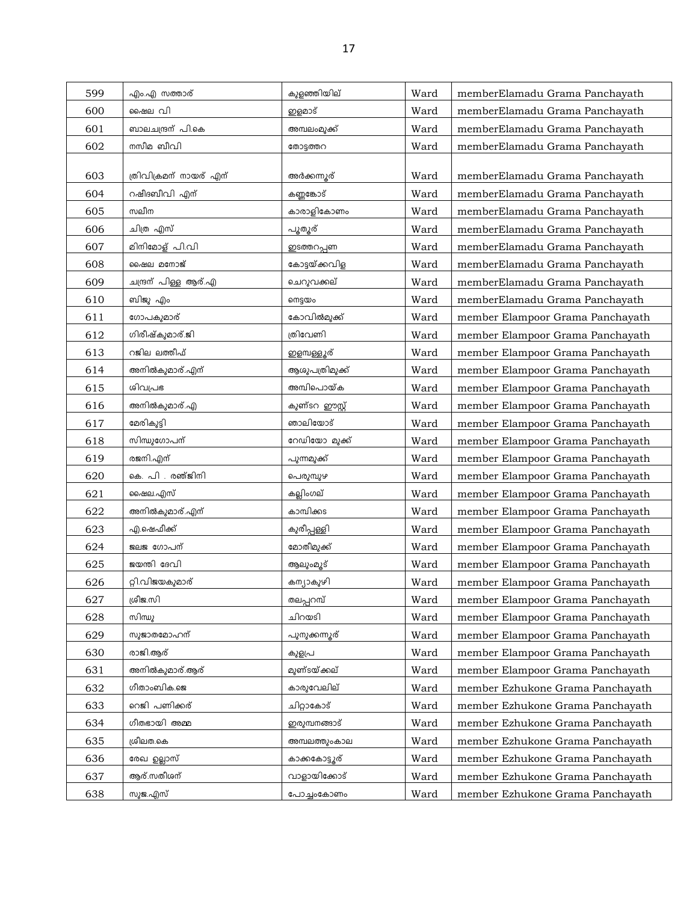| 599 | എം.എ സത്താര്           | കുളഞ്ഞിയില്           | Ward | memberElamadu Grama Panchayath   |
|-----|------------------------|-----------------------|------|----------------------------------|
| 600 | ഷൈല വി                 | ഇളമാട്                | Ward | memberElamadu Grama Panchayath   |
| 601 | ബാലചന്ദ്രന് പി.കെ      | അമ്പലംമുക്ക്          | Ward | memberElamadu Grama Panchayath   |
| 602 | നസീമ ബീവി              | തോട്ടത്തറ             | Ward | memberElamadu Grama Panchayath   |
|     |                        |                       |      |                                  |
| 603 | ത്രിവിക്രമന് നായര് എന് | അർക്കന്നുര്           | Ward | memberElamadu Grama Panchayath   |
| 604 | റഷീദബീവി എന്           | കണ്ണങ്കോട്            | Ward | memberElamadu Grama Panchayath   |
| 605 | സലീന                   | കാരാളികോണം            | Ward | memberElamadu Grama Panchayath   |
| 606 | ചിത്ര എസ്              | പൂതൂര്                | Ward | memberElamadu Grama Panchayath   |
| 607 | മിനിമോള് പി.വി         | ഇടത്തറപ്പണ            | Ward | memberElamadu Grama Panchayath   |
| 608 | ഷൈല മനോജ്              | കോട്ടയ്ക്കവിള         | Ward | memberElamadu Grama Panchayath   |
| 609 | ചന്ദ്രന് പിള്ള ആര്.എ   | ചെറുവക്കല്            | Ward | memberElamadu Grama Panchayath   |
| 610 | ബിജു എം                | നെട്ടയം               | Ward | memberElamadu Grama Panchayath   |
| 611 | ഗോപകുമാര്              | കോവിൽമുക്ക്           | Ward | member Elampoor Grama Panchayath |
| 612 | ഗിരീഷ്കുമാര്.ജി        | ത്രിവേണി              | Ward | member Elampoor Grama Panchayath |
| 613 | റജില ലത്തീഫ്           | ഇളമ്പള്ളൂര്           | Ward | member Elampoor Grama Panchayath |
| 614 | അനിൽകുമാര്.എന്         | ആശുപത്രിമുക്ക്        | Ward | member Elampoor Grama Panchayath |
| 615 | ശിവപ്രഭ                | അമ്പിപൊയ്ക            | Ward | member Elampoor Grama Panchayath |
| 616 | അനിൽകുമാര്.എ           | കുണ്ടറ ഈസ്റ്റ്        | Ward | member Elampoor Grama Panchayath |
| 617 | മേരികുട്ടി             | ഞാലിയോട്              | Ward | member Elampoor Grama Panchayath |
| 618 | സിന്ധുഗോപന്            | റേഡിയോ മുക്ക്         | Ward | member Elampoor Grama Panchayath |
| 619 | രജനി.എന്               | പുന്നമുക്ക്           | Ward | member Elampoor Grama Panchayath |
| 620 | കെ. പി . രഞ്ജിനി       | പെരുമ്പുഴ             | Ward | member Elampoor Grama Panchayath |
| 621 | ഷൈല.എസ്                | കല്ലിംഗല്             | Ward | member Elampoor Grama Panchayath |
| 622 | അനിൽകുമാര്.എന്         | കാമ്പിക്കട            | Ward | member Elampoor Grama Panchayath |
| 623 | എ.ഷെഫീക്ക്             | കുരീപ്പള്ളി           | Ward | member Elampoor Grama Panchayath |
| 624 | ജലജ ഗോപന്              | മോതീമുക്ക്            | Ward | member Elampoor Grama Panchayath |
| 625 | ജയന്തി ദേവി            | ആലുംമൂട്              | Ward | member Elampoor Grama Panchayath |
| 626 | റ്റി.വിജയകുമാര്        | കന്യാകുഴി             | Ward | member Elampoor Grama Panchayath |
| 627 | ശ്രീജ.സി               | തലപ്പറമ്പ്            | Ward | member Elampoor Grama Panchayath |
| 628 | സിന്ധു                 | ചിറയടി                | Ward | member Elampoor Grama Panchayath |
| 629 | സുജാതമോഹന്             | <u>പു</u> നുക്കന്നുര് | Ward | member Elampoor Grama Panchayath |
| 630 | രാജി.ആര്               | കുളപ്ര                | Ward | member Elampoor Grama Panchayath |
| 631 | അനിൽകുമാര്.ആര്         | മുണ്ടയ്ക്കല്          | Ward | member Elampoor Grama Panchayath |
| 632 | ഗീതാംബിക.ജെ            | കാരുവേലില്            | Ward | member Ezhukone Grama Panchayath |
| 633 | റെജി പണിക്കര്          | ചിറ്റാകോട്            | Ward | member Ezhukone Grama Panchayath |
| 634 | ഗീതഭായി അമ്മ           | ഇരുമ്പനങ്ങാട്         | Ward | member Ezhukone Grama Panchayath |
| 635 | ശ്രീലത.കെ              | അമ്പലത്തുംകാല         | Ward | member Ezhukone Grama Panchayath |
| 636 | രേഖ ഉല്ലാസ്            | കാക്കകോട്ടൂര്         | Ward | member Ezhukone Grama Panchayath |
| 637 | ആര്.സതീശന്             | വാളായിക്കോട്          | Ward | member Ezhukone Grama Panchayath |
| 638 | സുജ.എസ്                | പോച്ചംകോണം            | Ward | member Ezhukone Grama Panchayath |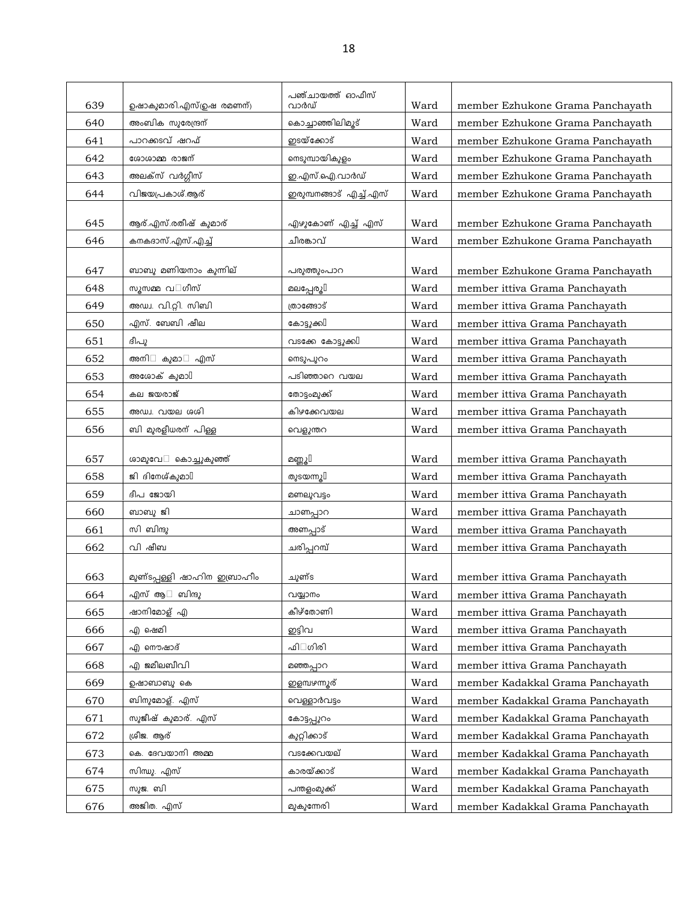| 639 | ഉഷാകുമാരി.എസ്(ഉഷ രമണന്)             | പഞ്ചായത്ത് ഓഫീസ്<br>വാർഡ് | Ward | member Ezhukone Grama Panchayath |
|-----|-------------------------------------|---------------------------|------|----------------------------------|
| 640 | അംബിക സുരേന്ദ്രന്                   | കൊച്ചാഞ്ഞിലിമൂട്          | Ward | member Ezhukone Grama Panchayath |
| 641 | പാറക്കടവ് ഷറഫ്                      | ഇടയ്ക്കോട്                | Ward | member Ezhukone Grama Panchayath |
| 642 | ശോശാമ്മ രാജന്                       | നെടുമ്പായികുളം            | Ward | member Ezhukone Grama Panchayath |
| 643 | അലക്സ് വർഗ്ഗീസ്                     | ഇ.എസ്.ഐ.വാർഡ്             | Ward | member Ezhukone Grama Panchayath |
| 644 | വിജയപ്രകാശ്.ആര്                     | ഇരുമ്പനങ്ങാട് എച്ച്.എസ്   | Ward | member Ezhukone Grama Panchayath |
|     |                                     |                           |      |                                  |
| 645 | ആര്.എസ്.രതീഷ് കുമാര്                | <u>എഴുകോണ് എച്ച് എസ്</u>  | Ward | member Ezhukone Grama Panchayath |
| 646 | കനകദാസ്.എസ്.എച്ച്                   | ചീരങ്കാവ്                 | Ward | member Ezhukone Grama Panchayath |
|     |                                     |                           |      |                                  |
| 647 | ബാബു മണിയനാം കുന്നില്               | പരുത്തുംപാറ               | Ward | member Ezhukone Grama Panchayath |
| 648 | സൂസമ്മ വ ഗീസ്                       | മലപ്പേരു[                 | Ward | member ittiva Grama Panchayath   |
| 649 | അഡ്വ. വി.റ്റി. സിബി                 | ത്രാങ്ങോട്                | Ward | member ittiva Grama Panchayath   |
| 650 | എസ്. ബേബി ഷീല                       | കോട്ടുക്ക∐                | Ward | member ittiva Grama Panchayath   |
| 651 | ദീപു                                | വടക്കേ കോട്ടുക്കി         | Ward | member ittiva Grama Panchayath   |
| 652 | അനി<br>കുമാ<br>എസ്                  | നെടുപുറം                  | Ward | member ittiva Grama Panchayath   |
| 653 | അശോക് കുമാ $\mathbb I$              | പടിഞ്ഞാറെ വയല             | Ward | member ittiva Grama Panchayath   |
| 654 | കല ജയരാജ്                           | തോട്ടംമുക്ക്              | Ward | member ittiva Grama Panchayath   |
| 655 | അഡ്വ. വയല ശശി                       | കിഴക്കേവയല                | Ward | member ittiva Grama Panchayath   |
| 656 | ബി മുരളീധരന് പിള്ള                  | വെളുന്തറ                  | Ward | member ittiva Grama Panchayath   |
| 657 | ശാമുവേ കൊച്ചുകുഞ്ഞ്                 | മണ്ണൂ∏                    | Ward | member ittiva Grama Panchayath   |
| 658 | ജി ദിനേശ്കുമാ $\mathbb I$           | തുടയന്നു[                 | Ward | member ittiva Grama Panchayath   |
| 659 | ദീപ ജോയി                            | മണലുവട്ടം                 | Ward | member ittiva Grama Panchayath   |
| 660 | ബാബു ജി                             | ചാണപ്പാറ                  | Ward | member ittiva Grama Panchayath   |
| 661 | സി ബിന്ദു                           | അണപ്പാട്                  | Ward | member ittiva Grama Panchayath   |
| 662 | വി ഷീബ                              | ചരിപ്പറമ്പ്               | Ward | member ittiva Grama Panchayath   |
|     |                                     |                           |      |                                  |
| 663 | <u>മുണ്ടപ്പള്ളി ഷാ</u> ഹിന ഇബ്രാഹീം | ചുണ്ട                     | Ward | member ittiva Grama Panchayath   |
| 664 | എസ് ആ<br>ബിന്ദു                     | വയ്യാനം                   | Ward | member ittiva Grama Panchayath   |
| 665 | ഷാനിമോള് എ                          | കീഴ്തോണി                  | Ward | member ittiva Grama Panchayath   |
| 666 | എ ഷെമി                              | ഇട്ടിവ                    | Ward | member ittiva Grama Panchayath   |
| 667 | എ നൌഷാദ്                            | ഫി ഗിരി                   | Ward | member ittiva Grama Panchayath   |
| 668 | എ ജമീലബീവി                          | മഞ്ഞപ്പാറ                 | Ward | member ittiva Grama Panchayath   |
| 669 | ഉഷാബാബു കെ                          | ഇളമ്പഴന്നൂര്              | Ward | member Kadakkal Grama Panchayath |
| 670 | ബിനുമോള്. എസ്                       | വെള്ളാർവട്ടം              | Ward | member Kadakkal Grama Panchayath |
| 671 | സുജീഷ് കുമാര്. എസ്                  | കോട്ടപ്പുറം               | Ward | member Kadakkal Grama Panchayath |
| 672 | ശ്രീജ. ആര്                          | കുറ്റിക്കാട്              | Ward | member Kadakkal Grama Panchayath |
| 673 | കെ. ദേവയാനി അമ്മ                    | വടക്കേവയല്                | Ward | member Kadakkal Grama Panchayath |
| 674 | സിന്ധു. എസ്                         | കാരയ്ക്കാട്               | Ward | member Kadakkal Grama Panchayath |
| 675 | സുജ. ബി                             | പന്തളംമുക്ക്              | Ward | member Kadakkal Grama Panchayath |
| 676 | അജിത. എസ്                           | മുകുന്നേരി                | Ward | member Kadakkal Grama Panchayath |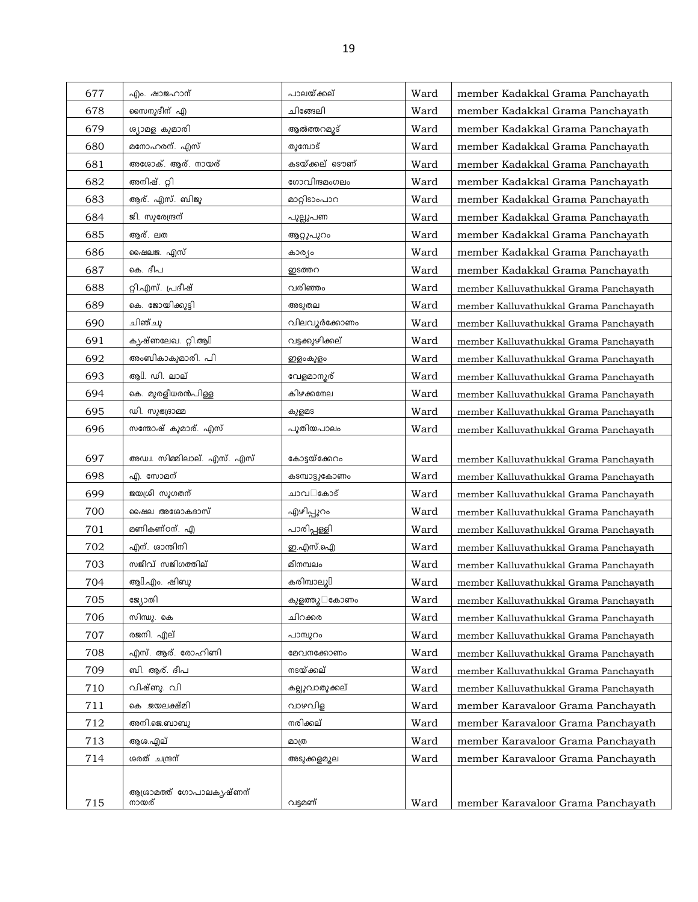| 677 | എം. ഷാജഹാന്                  | പാലയ്ക്കല്      | Ward | member Kadakkal Grama Panchayath       |
|-----|------------------------------|-----------------|------|----------------------------------------|
| 678 | സൈനുദീന് എ                   | ചിങ്ങേലി        | Ward | member Kadakkal Grama Panchayath       |
| 679 | ശ്യാമള കുമാരി                | ആൽത്തറമൂട്      | Ward | member Kadakkal Grama Panchayath       |
| 680 | മനോഹരന്. എസ്                 | തുമ്പോട്        | Ward | member Kadakkal Grama Panchayath       |
| 681 | അശോക്. ആര്. നായര്            | കടയ്ക്കല് ടൌണ്  | Ward | member Kadakkal Grama Panchayath       |
| 682 | അനിഷ്. റ്റി                  | ഗോവിന്ദമംഗലം    | Ward | member Kadakkal Grama Panchayath       |
| 683 | ആര്. എസ്. ബിജു               | മാറ്റിടാംപാറ    | Ward | member Kadakkal Grama Panchayath       |
| 684 | ജി. സുരേന്ദ്രന്              | പുല്ലുപണ        | Ward | member Kadakkal Grama Panchayath       |
| 685 | ആര്. ലത                      | ആറ്റുപുറം       | Ward | member Kadakkal Grama Panchayath       |
| 686 | ഷൈലജ. എസ്                    | കാര്യം          | Ward | member Kadakkal Grama Panchayath       |
| 687 | കെ. ദീപ                      | ഇടത്തറ          | Ward | member Kadakkal Grama Panchayath       |
| 688 | റ്റി.എസ്. പ്രദീഷ്            | വരിഞ്ഞം         | Ward | member Kalluvathukkal Grama Panchayath |
| 689 | കെ. ജോയിക്കുട്ടി             | അടുതല           | Ward | member Kalluvathukkal Grama Panchayath |
| 690 | ചിഞ്ചു                       | വിലവൂർക്കോണം    | Ward | member Kalluvathukkal Grama Panchayath |
| 691 | കൃഷ്ണലേഖ. റ്റി.ആ $\mathbb I$ | വട്ടക്കുഴിക്കല് | Ward | member Kalluvathukkal Grama Panchayath |
| 692 | അംബികാകുമാരി. പി             | ഇളംകുളം         | Ward | member Kalluvathukkal Grama Panchayath |
| 693 | ആ $\mathbb I$ . ഡി. ലാല്     | വേളമാനൂര്       | Ward | member Kalluvathukkal Grama Panchayath |
| 694 | കെ. മുരളീധരൻപിള്ള            | കിഴക്കനേല       | Ward | member Kalluvathukkal Grama Panchayath |
| 695 | ഡി. സുഭദ്രാമ്മ               | കുളമട           | Ward | member Kalluvathukkal Grama Panchayath |
| 696 | സന്തോഷ് കുമാര്. എസ്          | പുതിയപാലം       | Ward | member Kalluvathukkal Grama Panchayath |
| 697 | അഡ്വ. സിമ്മിലാല്. എസ്. എസ്   | കോട്ടയ്ക്കേറം   | Ward | member Kalluvathukkal Grama Panchayath |
| 698 | എ. സോമന്                     | കടമ്പാട്ടുകോണം  | Ward | member Kalluvathukkal Grama Panchayath |
| 699 | ജയശ്രീ സുഗതന്                | ചാവ കോട്        | Ward | member Kalluvathukkal Grama Panchayath |
| 700 | ഷൈല അശോകദാസ്                 | എഴിപ്പുറം       | Ward | member Kalluvathukkal Grama Panchayath |
| 701 | മണികണ്ഠന്. എ                 | പാരിപ്പള്ളി     | Ward | member Kalluvathukkal Grama Panchayath |
| 702 | എന്. ശാന്തിനി                | ഇ.എസ്.ഐ         | Ward | member Kalluvathukkal Grama Panchayath |
| 703 | സജീവ് സജിഗത്തില്             | മീനമ്പലം        | Ward | member Kalluvathukkal Grama Panchayath |
| 704 | ആ $\mathbb{I}.$ എം. ഷിബു     | കരിമ്പാലൂ[      | Ward | member Kalluvathukkal Grama Panchayath |
| 705 | ജ്യോതി                       | കുളത്തു<br>കോണം | Ward | member Kalluvathukkal Grama Panchayath |
| 706 | സിന്ധു. കെ                   | ചിറക്കര         | Ward | member Kalluvathukkal Grama Panchayath |
| 707 | രജനി. എല്                    | പാമ്പുറം        | Ward | member Kalluvathukkal Grama Panchayath |
| 708 | എസ്. ആര്. രോഹിണി             | മേവനക്കോണം      | Ward | member Kalluvathukkal Grama Panchayath |
| 709 | ബി. ആര്. ദീപ                 | നടയ്ക്കല്       | Ward | member Kalluvathukkal Grama Panchayath |
| 710 | വിഷ്ണു. വി                   | കല്ലുവാതുക്കല്  | Ward | member Kalluvathukkal Grama Panchayath |
| 711 | കെ .ജയലക്ഷ്മി                | വാഴവിള          | Ward | member Karavaloor Grama Panchayath     |
| 712 | അനി.ജെ.ബാബു                  | നരിക്കല്        | Ward | member Karavaloor Grama Panchayath     |
| 713 | ആശ.എല്                       | മാത്ര           | Ward | member Karavaloor Grama Panchayath     |
| 714 | ശരത് ചന്ദ്രന്                | അടുക്കുമ്പുല    | Ward | member Karavaloor Grama Panchayath     |
|     |                              |                 |      |                                        |
|     | ആശ്രാമത്ത് ഗോപാലകൃഷ്ണന്      |                 |      |                                        |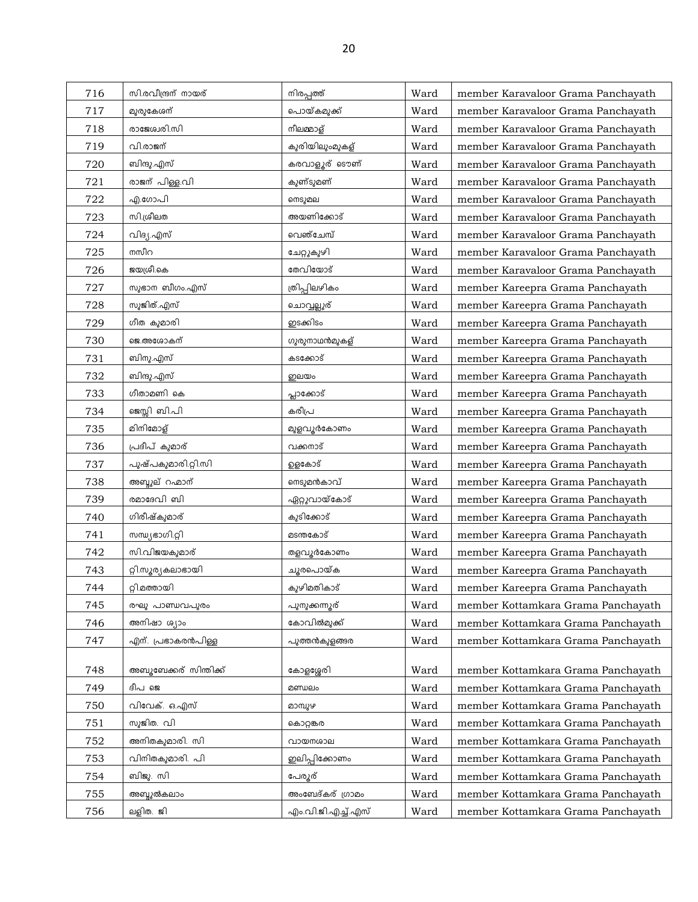| 716 | സി.രവീന്ദ്രന് നായര്     | നിരപ്പത്ത്                 | Ward | member Karavaloor Grama Panchayath |
|-----|-------------------------|----------------------------|------|------------------------------------|
| 717 | മുരുകേശന്               | പൊയ്കമുക്ക്                | Ward | member Karavaloor Grama Panchayath |
| 718 | രാജേശ്വരി.സി            | നീലമ്മാള്                  | Ward | member Karavaloor Grama Panchayath |
| 719 | വി.രാജന്                | കുരിയിലുംമുകള്             | Ward | member Karavaloor Grama Panchayath |
| 720 | ബിന്ദു.എസ്              | കരവാളൂര് ടൌണ്              | Ward | member Karavaloor Grama Panchayath |
| 721 | രാജന് പിള്ള.വി          | കുണ്ടുമണ്                  | Ward | member Karavaloor Grama Panchayath |
| 722 | എ.ഗോപി                  | നെടുമല                     | Ward | member Karavaloor Grama Panchayath |
| 723 | സി.ശ്രീലത               | അയണിക്കോട്                 | Ward | member Karavaloor Grama Panchayath |
| 724 | വിദ്യ.എസ്               | വെഞ്ചേമ്പ്                 | Ward | member Karavaloor Grama Panchayath |
| 725 | നസീറ                    | ചേറ്റുകുഴി                 | Ward | member Karavaloor Grama Panchayath |
| 726 | ജയശ്രീ.കെ               | തേവിയോട്                   | Ward | member Karavaloor Grama Panchayath |
| 727 | സുഭാന ബീഗം.എസ്          | ത്രിപ്പിലഴികം              | Ward | member Kareepra Grama Panchayath   |
| 728 | സുജിത്.എസ്              | ചൊവ്വല്ലൂര്                | Ward | member Kareepra Grama Panchayath   |
| 729 | ഗീത കുമാരി              | ഇടക്കിടം                   | Ward | member Kareepra Grama Panchayath   |
| 730 | ജെ.അശോകന്               | ഗുരുനാഥൻമുകള്              | Ward | member Kareepra Grama Panchayath   |
| 731 | ബിനു.എസ്                | കടക്കോട്                   | Ward | member Kareepra Grama Panchayath   |
| 732 | ബിന്ദു.എസ്              | ഇലയം                       | Ward | member Kareepra Grama Panchayath   |
| 733 | ഗീതാമണി കെ              | പ്ലാക്കോട്                 | Ward | member Kareepra Grama Panchayath   |
| 734 | ജെസ്സി ബി.പി            | കരീപ്ര                     | Ward | member Kareepra Grama Panchayath   |
| 735 | മിനിമോള്                | മുളവൂർകോണം                 | Ward | member Kareepra Grama Panchayath   |
| 736 | പ്രദീപ് കുമാര്          | വക്കനാട്                   | Ward | member Kareepra Grama Panchayath   |
| 737 | പുഷ്പകുമാരി.റ്റി.സി     | ഉളകോട്                     | Ward | member Kareepra Grama Panchayath   |
| 738 | അബ്ദുല് റഹ്മാന്         | നെടുമൻകാവ്                 | Ward | member Kareepra Grama Panchayath   |
| 739 | രമാദേവി ബി              | ഏറ്റുവായ്കോട്              | Ward | member Kareepra Grama Panchayath   |
| 740 | ഗിരീഷ്കുമാര്            | കുടിക്കോട്                 | Ward | member Kareepra Grama Panchayath   |
| 741 | നസ്യഭാഗി.റ്റി           | മടന്തകോട്                  | Ward | member Kareepra Grama Panchayath   |
| 742 | സി.വിജയകുമാര്           | തളവൂർകോണം                  | Ward | member Kareepra Grama Panchayath   |
| 743 | റ്റി.സൂര്യകലാഭായി       | ചൂരപൊയ്ക                   | Ward | member Kareepra Grama Panchayath   |
| 744 | റ്റി.മത്തായി            | കുഴിമതികാട്                | Ward | member Kareepra Grama Panchayath   |
| 745 | രഘു പാണ്ഡവപുരം          | പുനുക്കന്നുര്              | Ward | member Kottamkara Grama Panchayath |
| 746 | അനിഷാ ശ്യാം             | കോവിൽമുക്ക്                | Ward | member Kottamkara Grama Panchayath |
| 747 | എന്. പ്രഭാകരൻപിള്ള      | പുത്തൻകുളങ്ങര              | Ward | member Kottamkara Grama Panchayath |
|     |                         |                            |      |                                    |
| 748 | അബുബേക്കര് സിന്തിക്ക്   | കോളശ്ശേരി                  | Ward | member Kottamkara Grama Panchayath |
| 749 | ദീപ ജെ<br>വിവേക്. ഒ.എസ് | മണ്ഡലം                     | Ward | member Kottamkara Grama Panchayath |
| 750 | സുജിത. വി               | മാമ്പുഴ                    | Ward | member Kottamkara Grama Panchayath |
| 751 |                         | കൊറ്റങ്കര                  | Ward | member Kottamkara Grama Panchayath |
| 752 | അനിതകുമാരി. സി          | വായനശാല                    | Ward | member Kottamkara Grama Panchayath |
| 753 | വിനിതകുമാരി. പി         | ഇലിപ്പിക്കോണം              | Ward | member Kottamkara Grama Panchayath |
| 754 | ബിജു. സി                | പേരുര്<br>അംബേദ്കര് ഗ്രാമം | Ward | member Kottamkara Grama Panchayath |
| 755 | അബ്ദുൽകലാം              |                            | Ward | member Kottamkara Grama Panchayath |
| 756 | ലളിത. ജി                | എം.വി.ജി.എച്ച്.എസ്         | Ward | member Kottamkara Grama Panchayath |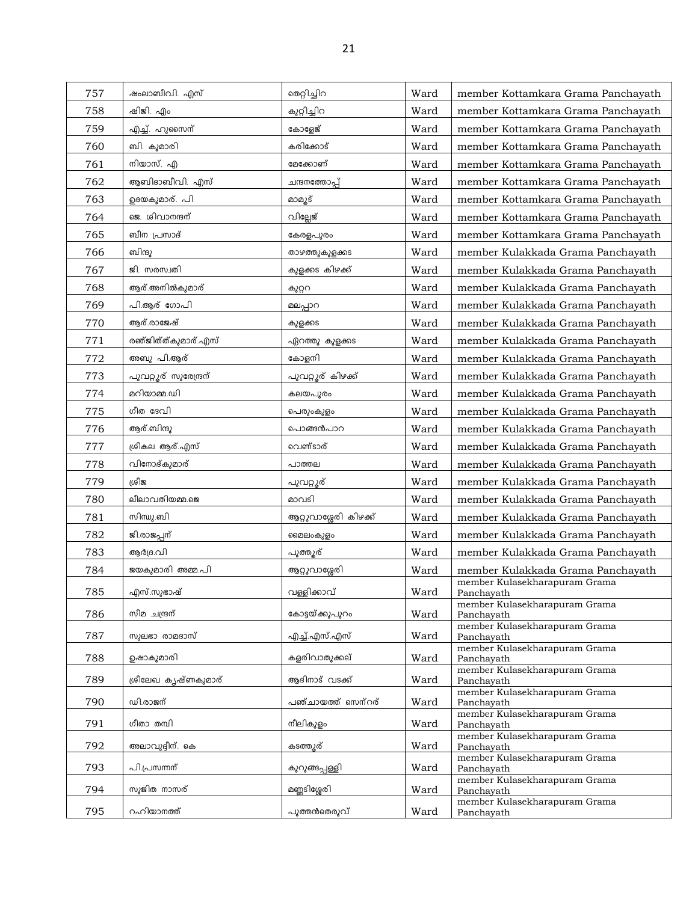| 757 | ഷംലാബീവി. എസ്         | തെറ്റിച്ചിറ           | Ward | member Kottamkara Grama Panchayath          |
|-----|-----------------------|-----------------------|------|---------------------------------------------|
| 758 | ഷിജി. എം              | കുറ്റിച്ചിറ           | Ward | member Kottamkara Grama Panchayath          |
| 759 | എച്ച്. ഹുസൈന്         | കോളേജ്                | Ward | member Kottamkara Grama Panchayath          |
| 760 | ബി. കുമാരി            | കരിക്കോട്             | Ward | member Kottamkara Grama Panchayath          |
| 761 | നിയാസ്. എ             | മേക്കോണ്              | Ward | member Kottamkara Grama Panchayath          |
| 762 | ആബിദാബീവി. എസ്        | ചന്ദനത്തോപ്പ്         | Ward | member Kottamkara Grama Panchayath          |
| 763 | ഉദയകുമാര്. പി         | മാമൂട്                | Ward | member Kottamkara Grama Panchayath          |
| 764 | ജെ. ശിവാനന്ദന്        | വില്ലേജ്              | Ward | member Kottamkara Grama Panchayath          |
| 765 | ബീന പ്രസാദ്           | കേരളപുരം              | Ward | member Kottamkara Grama Panchayath          |
| 766 | ബിന്ദു                | താഴത്തുകുളക്കട        | Ward | member Kulakkada Grama Panchayath           |
| 767 | ജി. സരസ്വതി           | കുളക്കട കിഴക്ക്       | Ward | member Kulakkada Grama Panchayath           |
| 768 | ആര്.അനിൽകുമാര്        | കുറ്ററ                | Ward | member Kulakkada Grama Panchayath           |
| 769 | പി.ആര് ഗോപി           | മലപ്പാറ               | Ward | member Kulakkada Grama Panchayath           |
| 770 | ആര്.രാജേഷ്            | കുളക്കട               | Ward | member Kulakkada Grama Panchayath           |
| 771 | രഞ്ജിത്ത്കുമാര്.എസ്   | ഏറത്തു കുളക്കട        | Ward | member Kulakkada Grama Panchayath           |
| 772 | അബു പി.ആര്            | കോളനി                 | Ward | member Kulakkada Grama Panchayath           |
| 773 | പുവറ്റൂര് സുരേന്ദ്രന് | പുവറ്റൂര് കിഴക്ക്     | Ward | member Kulakkada Grama Panchayath           |
| 774 | മറിയാമ്മ.ഡി           | കലയപുരം               | Ward | member Kulakkada Grama Panchayath           |
| 775 | ഗീത ദേവി              | പെരുംകുളം             | Ward | member Kulakkada Grama Panchayath           |
| 776 | ആര്.ബിന്ദു            | പൊങ്ങൻപാറ             | Ward | member Kulakkada Grama Panchayath           |
| 777 | ശ്രീകല ആര്.എസ്        | വെണ്ടാര്              | Ward | member Kulakkada Grama Panchayath           |
| 778 | വിനോദ്കുമാര്          | പാത്തല                | Ward | member Kulakkada Grama Panchayath           |
| 779 | ശ്രീജ                 | പുവറ്റൂര്             | Ward | member Kulakkada Grama Panchayath           |
| 780 | ലീലാവതിയമ്മ.ജെ        | മാവടി                 | Ward | member Kulakkada Grama Panchayath           |
| 781 | സിന്ധു.ബി             | ആറ്റുവാശ്ശേരി കിഴക്ക് | Ward | member Kulakkada Grama Panchayath           |
| 782 | ജി.രാജപ്പന്           | മൈലംകുളം              | Ward | member Kulakkada Grama Panchayath           |
| 783 | ആർദ്ര.വി              | പുത്തൂര്              | Ward | member Kulakkada Grama Panchayath           |
| 784 | ജയകുമാരി അമ്മ.പി      | ആറ്റുവാശ്ശേരി         | Ward | member Kulakkada Grama Panchayath           |
| 785 | എസ്.സുഭാഷ്            | വള്ളിക്കാവ്           | Ward | member Kulasekharapuram Grama<br>Panchayath |
| 786 | സീമ ചന്ദ്രന്          | കോട്ടയ്ക്കുപുറം       | Ward | member Kulasekharapuram Grama               |
|     |                       |                       |      | Panchavath<br>member Kulasekharapuram Grama |
| 787 | സുലഭാ രാമദാസ്         | എച്ച്.എസ്.എസ്         | Ward | Panchayath<br>member Kulasekharapuram Grama |
| 788 | ഉഷാകുമാരി             | കളരിവാതുക്കല്         | Ward | Panchayath                                  |
| 789 | ശ്രീലേഖ കൃഷ്ണകുമാര്   | ആദിനാട് വടക്ക്        | Ward | member Kulasekharapuram Grama<br>Panchayath |
| 790 | ഡി.രാജന്              | പഞ്ചായത്ത് സെന്റര്    | Ward | member Kulasekharapuram Grama               |
|     |                       |                       |      | Panchayath<br>member Kulasekharapuram Grama |
| 791 | ഗീതാ തമ്പി            | നീലികുളം              | Ward | Panchayath<br>member Kulasekharapuram Grama |
| 792 | അലാവുദ്ദീന്. കെ       | കടത്തുര്              | Ward | Panchayath                                  |
| 793 | പി.പ്രസന്നന്          | കുറുങ്ങപ്പള്ളി        | Ward | member Kulasekharapuram Grama<br>Panchayath |
| 794 | സുജിത നാസര്           | മണ്ണടിശ്ശേരി          | Ward | member Kulasekharapuram Grama<br>Panchayath |
|     |                       |                       |      | member Kulasekharapuram Grama               |
| 795 | റഹിയാനത്ത്            | പുത്തൻതെരുവ്          | Ward | Panchayath                                  |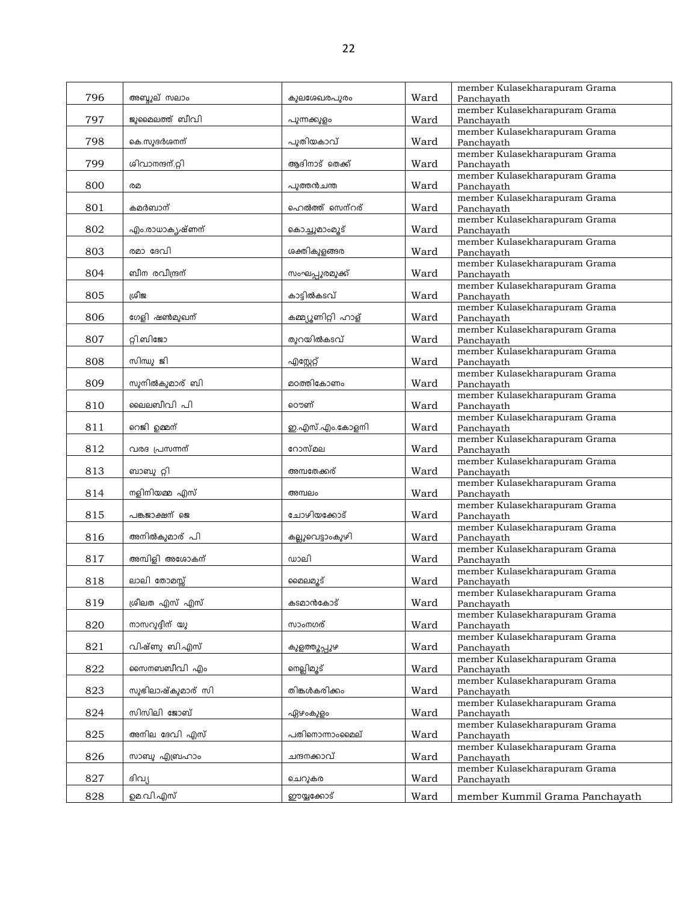|     |                   |                    |      | member Kulasekharapuram Grama               |
|-----|-------------------|--------------------|------|---------------------------------------------|
| 796 | അബ്ബൂല് സലാം      | കുലശേഖരപുരം        | Ward | Panchavath                                  |
| 797 | ജുമൈലത്ത് ബീവി    | പുന്നക്കുളം        | Ward | member Kulasekharapuram Grama<br>Panchayath |
|     |                   |                    |      | member Kulasekharapuram Grama               |
| 798 | കെ.സുദർശനന്       | പുതിയകാവ്          | Ward | Panchayath                                  |
| 799 | ശിവാനന്ദന്.റ്റി   | ആദിനാട് തെക്ക്     |      | member Kulasekharapuram Grama               |
|     |                   |                    | Ward | Panchayath<br>member Kulasekharapuram Grama |
| 800 | രമ                | പുത്തൻചന്ത         | Ward | Panchayath                                  |
|     |                   |                    |      | member Kulasekharapuram Grama               |
| 801 | കമർബാന്           | ഹെൽത്ത് സെന്റര്    | Ward | Panchayath                                  |
| 802 | എം.രാധാകൃഷ്ണന്    | കൊച്ചുമാംമൂട്      | Ward | member Kulasekharapuram Grama<br>Panchayath |
|     |                   |                    |      | member Kulasekharapuram Grama               |
| 803 | രമാ ദേവി          | ശക്തികുളങ്ങര       | Ward | Panchayath                                  |
|     |                   |                    |      | member Kulasekharapuram Grama               |
| 804 | ബീന രവീന്ദ്രന്    | സംഘപ്പുരമുക്ക്     | Ward | Panchayath<br>member Kulasekharapuram Grama |
| 805 | ശ്രീജ             | കാടിൽകടവ്          | Ward | Panchayath                                  |
|     |                   |                    |      | member Kulasekharapuram Grama               |
| 806 | ഗേളി ഷൺമുഖന്      | കമ്മ്യൂണിറ്റി ഹാള് | Ward | Panchayath                                  |
|     | റ്റി.ബിജോ         | തുറയിൽകടവ്         |      | member Kulasekharapuram Grama               |
| 807 |                   |                    | Ward | Panchayath<br>member Kulasekharapuram Grama |
| 808 | സിന്ധു ജി         | എസ്റ്റേറ്റ്        | Ward | Panchayath                                  |
|     |                   |                    |      | member Kulasekharapuram Grama               |
| 809 | സുനിൽകുമാര് ബി    | മഠത്തികോണം         | Ward | Panchayath                                  |
| 810 | ലൈലബീവി പി        | ൌണ്                | Ward | member Kulasekharapuram Grama<br>Panchayath |
|     |                   |                    |      | member Kulasekharapuram Grama               |
| 811 | റെജി ഉമ്മന്       | ഇ.എസ്.എം.കോളനി     | Ward | Panchayath                                  |
|     |                   |                    |      | member Kulasekharapuram Grama               |
| 812 | വരദ പ്രസന്നന്     | റോസ്മല             | Ward | Panchayath                                  |
| 813 | ബാബു റ്റി         | അമ്പതേക്കര്        | Ward | member Kulasekharapuram Grama<br>Panchayath |
|     |                   |                    |      | member Kulasekharapuram Grama               |
| 814 | നളിനിയമ്മ എസ്     | അമ്പലം             | Ward | Panchayath                                  |
|     |                   |                    |      | member Kulasekharapuram Grama               |
| 815 | പങ്കജാക്ഷന് ജെ    | ചോഴിയക്കോട്        | Ward | Panchayath<br>member Kulasekharapuram Grama |
| 816 | അനിൽകുമാര് പി     | കല്ലുവെട്ടാംകുഴി   | Ward | Panchayath                                  |
|     |                   |                    |      | member Kulasekharapuram Grama               |
| 817 | അമ്പിളി അശോകന്    | ഡാലി               | Ward | Panchayath                                  |
| 818 | ലാലി തോമസ്സ്      | മൈലമ്യൂട്          | Ward | member Kulasekharapuram Grama               |
|     |                   |                    |      | Panchayath<br>member Kulasekharapuram Grama |
| 819 | ശ്രീലത എസ് എസ്    | കടമാൻകോട്          | Ward | Panchayath                                  |
|     |                   |                    |      | member Kulasekharapuram Grama               |
| 820 | ധാധന്ദ്വിധ്യ      | സാംനഗര്            | Ward | Panchavath                                  |
| 821 | വിഷ്ണു ബി.എസ്     | കുളത്തൂപ്പുഴ       | Ward | member Kulasekharapuram Grama<br>Panchayath |
|     |                   |                    |      | member Kulasekharapuram Grama               |
| 822 | സൈനബബീവി എം       | നെല്ലിമൂട്         | Ward | Panchayath                                  |
|     |                   |                    |      | member Kulasekharapuram Grama               |
| 823 | സുഭിലാഷ്കുമാര് സി | തിങ്കൾകരിക്കം      | Ward | Panchayath                                  |
| 824 | സിസിലി ജോബ്       | ഏഴംകുളം            | Ward | member Kulasekharapuram Grama<br>Panchayath |
|     |                   |                    |      | member Kulasekharapuram Grama               |
| 825 | അനില ദേവി എസ്     | പതിനൊന്നാംമൈല്     | Ward | Panchayath                                  |
|     |                   |                    |      | member Kulasekharapuram Grama               |
| 826 | സാബു എബ്രഹാം      | ചന്ദനക്കാവ്        | Ward | Panchayath<br>member Kulasekharapuram Grama |
| 827 | ദിവ്യ             | ചെറുകര             | Ward | Panchayath                                  |
| 828 | ഉമ.വി.എസ്         | ഈയ്യക്കോട്         |      |                                             |
|     |                   |                    | Ward | member Kummil Grama Panchayath              |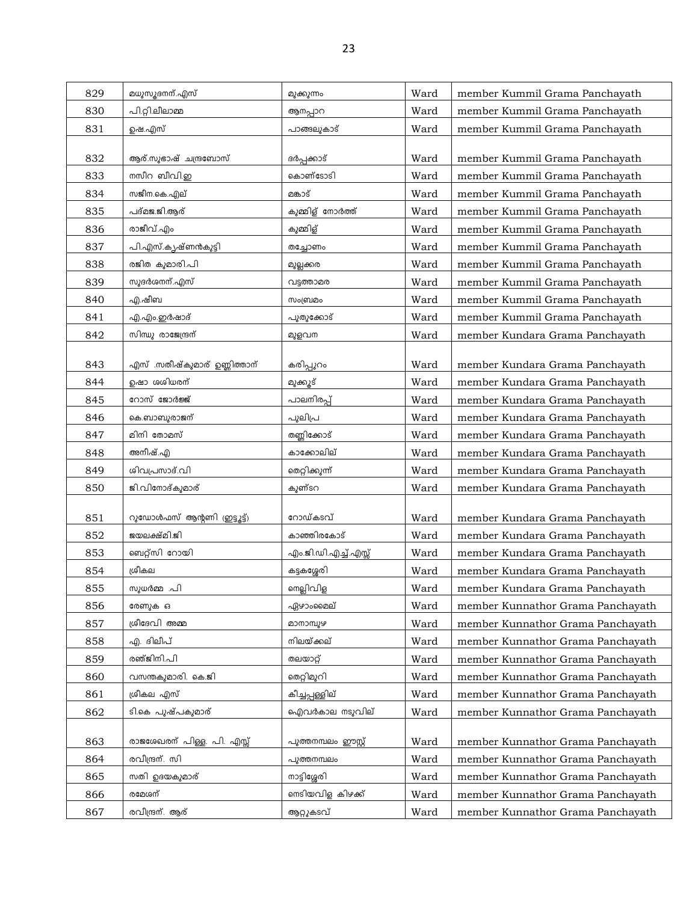| 829 | മധുസൂദനന്.എസ്                | മുക്കുന്നം           | Ward | member Kummil Grama Panchayath    |
|-----|------------------------------|----------------------|------|-----------------------------------|
| 830 | പി.റ്റി.ലീലാമ്മ              | ആനപ്പാറ              | Ward | member Kummil Grama Panchayath    |
| 831 | ഉഷ.എസ്                       | പാങ്ങലുകാട്          | Ward | member Kummil Grama Panchayath    |
|     |                              |                      |      |                                   |
| 832 | ആര്.സുഭാഷ് ചന്ദ്രബോസ്        | ദർപ്പക്കാട്          | Ward | member Kummil Grama Panchayath    |
| 833 | നസീറ ബീവി.ഇ                  | കൊണ്ടോടി             | Ward | member Kummil Grama Panchayath    |
| 834 | സജീന.കെ.എല്                  | മങ്കാട്              | Ward | member Kummil Grama Panchayath    |
| 835 | പദ്മജ.ജി.ആര്                 | കുമ്മിള് നോർത്ത്     | Ward | member Kummil Grama Panchayath    |
| 836 | രാജീവ്.എം                    | കുമ്മിള്             | Ward | member Kummil Grama Panchayath    |
| 837 | പി.എസ്.കൃഷ്ണൻകുട്ടി          | തച്ചോണം              | Ward | member Kummil Grama Panchayath    |
| 838 | രജിത കുമാരി.പി               | മുല്ലക്കര            | Ward | member Kummil Grama Panchayath    |
| 839 | സുദർശനന്.എസ്                 | വട്ടത്താമര           | Ward | member Kummil Grama Panchayath    |
| 840 | എ.ഷീബ                        | സംബ്രമം              | Ward | member Kummil Grama Panchayath    |
| 841 | എ.എം.ഇർഷാദ്                  | പുതുക്കോട്           | Ward | member Kummil Grama Panchayath    |
| 842 | സിന്ധു രാജേന്ദ്രന്           | മുളവന                | Ward | member Kundara Grama Panchayath   |
|     |                              |                      |      |                                   |
| 843 | എസ് .സതീഷ്കുമാര് ഉണ്ണിത്താന് | കരിപ്പുറം            | Ward | member Kundara Grama Panchayath   |
| 844 | ഉഷാ ശശിധരന്                  | മുക്കൂട്             | Ward | member Kundara Grama Panchayath   |
| 845 | റോസ് ജോർജ്ജ്                 | പാലനിരപ്പ്           | Ward | member Kundara Grama Panchayath   |
| 846 | കെ.ബാബുരാജന്                 | പുലിപ്ര              | Ward | member Kundara Grama Panchayath   |
| 847 | മിനി തോമസ്                   | തണ്ണിക്കോട്          | Ward | member Kundara Grama Panchayath   |
| 848 | അനീഷ്.എ                      | കാക്കോലില്           | Ward | member Kundara Grama Panchayath   |
| 849 | ശിവപ്രസാദ്.വി                | തെറ്റിക്കുന്ന്       | Ward | member Kundara Grama Panchayath   |
| 850 | ജി.വിനോദ്കുമാര്              | കുണ്ടറ               | Ward | member Kundara Grama Panchayath   |
| 851 | റുഡോൾഫസ് ആന്റണി (ഇട്ടൂട്ട്)  | റോഡ്കടവ്             | Ward | member Kundara Grama Panchayath   |
| 852 | ജയലക്ഷ്മി.ജി                 | കാഞ്ഞിരകോട്          | Ward | member Kundara Grama Panchayath   |
| 853 | ബെറ്റ്സി റോയി                | എം.ജി.ഡി.എച്ച്.എസ്സ് | Ward | member Kundara Grama Panchayath   |
| 854 | ശ്രീകല                       | കട്ടകശ്ശേരി          | Ward | member Kundara Grama Panchayath   |
| 855 | സുധർമ്മ .പി                  | നെല്ലിവിള            | Ward | member Kundara Grama Panchayath   |
| 856 | രേണുക ഒ                      | ഏഴാംമൈല്             | Ward | member Kunnathor Grama Panchayath |
| 857 | ശ്രീദേവി അമ്മ                | മാനാമ്പുഴ            | Ward | member Kunnathor Grama Panchayath |
| 858 | എ. ദിലീപ്                    | നിലയ്ക്കല്           | Ward | member Kunnathor Grama Panchayath |
| 859 | രഞ്ജിനി.പി                   | തലയാറ്റ്             | Ward | member Kunnathor Grama Panchayath |
| 860 | വസന്തകുമാരി. കെ.ജി           | തെറ്റിമുറി           | Ward | member Kunnathor Grama Panchayath |
| 861 | ശ്രീകല എസ്                   | കീച്ചപ്പള്ളില്       | Ward | member Kunnathor Grama Panchayath |
| 862 | ടി.കെ പുഷ്പകുമാര്            | ഐവർകാല നടുവില്       | Ward | member Kunnathor Grama Panchayath |
|     |                              |                      |      |                                   |
| 863 | രാജശേഖരന് പിള്ള. പി. എസ്സ്   | പുത്തനമ്പലം ഈസ്റ്റ്  | Ward | member Kunnathor Grama Panchayath |
| 864 | രവീന്ദ്രന്. സി               | പുത്തനമ്പലം          | Ward | member Kunnathor Grama Panchayath |
| 865 | സതി ഉദയകുമാര്                | നാട്ടിശ്ശേരി         | Ward | member Kunnathor Grama Panchayath |
| 866 | രമേശന്                       | ണെടിയവിള കിഴക്ക്     | Ward | member Kunnathor Grama Panchayath |
| 867 | രവീന്ദ്രന്. ആര്              | ആറ്റുകടവ്            | Ward | member Kunnathor Grama Panchayath |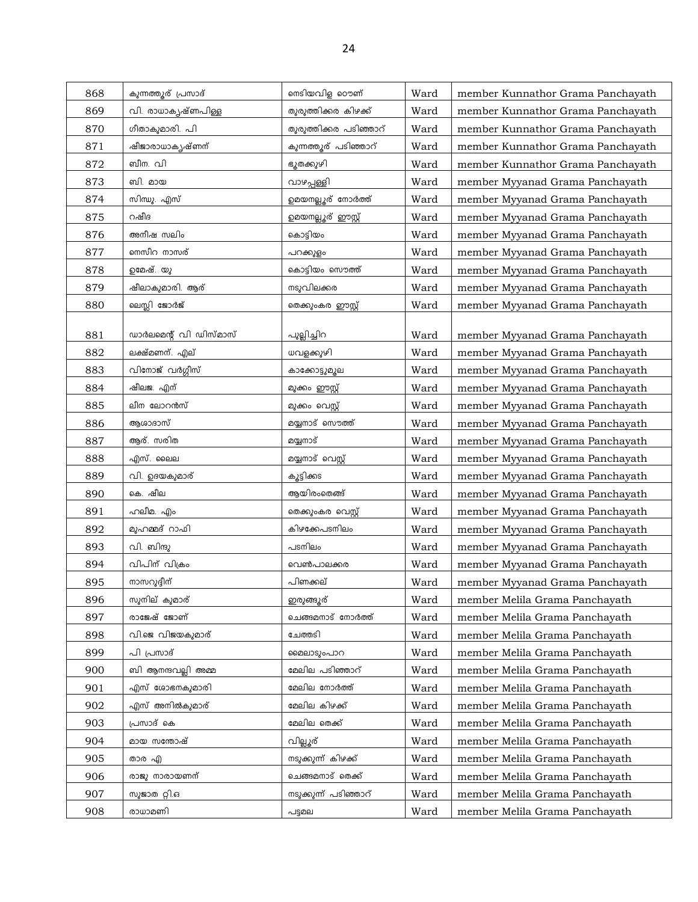| 868 | കുന്നത്തൂര് പ്രസാദ്    | നെടിയവിള ഠൌണ്          | Ward | member Kunnathor Grama Panchayath |
|-----|------------------------|------------------------|------|-----------------------------------|
| 869 | വി. രാധാകൃഷ്ണപിള്ള     | തുരുത്തിക്കര കിഴക്ക്   | Ward | member Kunnathor Grama Panchayath |
| 870 | ഗീതാകുമാരി. പി         | തുരുത്തിക്കര പടിഞ്ഞാറ് | Ward | member Kunnathor Grama Panchayath |
| 871 | ഷീജാരാധാകൃഷ്ണന്        | കുന്നത്തൂര് പടിഞ്ഞാറ്  | Ward | member Kunnathor Grama Panchayath |
| 872 | ബീന. വി                | ഭൂതക്കുഴി              | Ward | member Kunnathor Grama Panchayath |
| 873 | ബി. മായ                | വാഴപ്പള്ളി             | Ward | member Myyanad Grama Panchayath   |
| 874 | സിന്ധു. എസ്            | ഉമയനല്ലൂര് നോർത്ത്     | Ward | member Myyanad Grama Panchayath   |
| 875 | റഷീദ                   | ഉമയനല്ലൂര് ഈസ്റ്റ്     | Ward | member Myyanad Grama Panchayath   |
| 876 | അനീഷ സലിം              | കൊട്ടിയം               | Ward | member Myyanad Grama Panchayath   |
| 877 | നെസീറ നാസര്            | പറക്കുളം               | Ward | member Myyanad Grama Panchayath   |
| 878 | ഉമേഷ്. യു              | കൊട്ടിയം സൌത്ത്        | Ward | member Myyanad Grama Panchayath   |
| 879 | ഷീലാകുമാരി. ആര്        | നടുവിലക്കര             | Ward | member Myyanad Grama Panchayath   |
| 880 | ലെസ്ലി ജോർജ്           | തെക്കുംകര ഈസ്റ്റ്      | Ward | member Myyanad Grama Panchayath   |
|     |                        |                        |      |                                   |
| 881 | ഡാർലമെന്റ് വി ഡിസ്മാസ് | പുല്ലിച്ചിറ            | Ward | member Myyanad Grama Panchayath   |
| 882 | ലക്ഷ്മണന്. എല്         | ധവളക്കുഴി              | Ward | member Myyanad Grama Panchayath   |
| 883 | വിനോജ് വർഗ്ഗീസ്        | കാക്കോട്ടുമൂല          | Ward | member Myyanad Grama Panchayath   |
| 884 | ഷീലജ. എന്              | മുക്കം ഈസ്റ്റ്         | Ward | member Myyanad Grama Panchayath   |
| 885 | ലീന ലോറൻസ്             | മുക്കം വെസ്റ്റ്        | Ward | member Myyanad Grama Panchayath   |
| 886 | ആശാദാസ്                | മയ്യനാട് സൌത്ത്        | Ward | member Myyanad Grama Panchayath   |
| 887 | ആര്. സരിത              | മയ്യനാട്               | Ward | member Myyanad Grama Panchayath   |
| 888 | എസ്. ലൈല               | മയ്യനാട് വെസ്റ്റ്      | Ward | member Myyanad Grama Panchayath   |
| 889 | വി. ഉദയകുമാര്          | കൂട്ടിക്കട             | Ward | member Myyanad Grama Panchayath   |
| 890 | കെ. ഷീല                | ആയിരംതെങ്ങ്            | Ward | member Myyanad Grama Panchayath   |
| 891 | ഹലീമ. എം               | തെക്കുംകര വെസ്റ്റ്     | Ward | member Myyanad Grama Panchayath   |
| 892 | മുഹമ്മദ് റാഫി          | കിഴക്കേപടനിലം          | Ward | member Myyanad Grama Panchayath   |
| 893 | വി. ബിന്ദു             | പടനിലം                 | Ward | member Myyanad Grama Panchayath   |
| 894 | വിപിന് വിക്രം          | വെൺപാലക്കര             | Ward | member Myyanad Grama Panchayath   |
| 895 | നാസറുദ്ദീന്            | പിണക്കല്               | Ward | member Myyanad Grama Panchayath   |
| 896 | സുനില് കുമാര്          | ഇരുങ്ങുര്              | Ward | member Melila Grama Panchayath    |
| 897 | രാജേഷ് ജോണ്            | ചെങ്ങമനാട് നോർത്ത്     | Ward | member Melila Grama Panchayath    |
| 898 | വി.ജെ വിജയകുമാര്       | ചേത്തടി                | Ward | member Melila Grama Panchayath    |
| 899 | പി പ്രസാദ്             | മൈലാടുംപാറ             | Ward | member Melila Grama Panchayath    |
| 900 | ബി ആനന്ദവല്ലി അമ്മ     | മേലില പടിഞ്ഞാറ്        | Ward | member Melila Grama Panchayath    |
| 901 | എസ് ശോഭനകുമാരി         | മേലില നോർത്ത്          | Ward | member Melila Grama Panchayath    |
| 902 | എസ് അനിൽകുമാര്         | മേലില കിഴക്ക്          | Ward | member Melila Grama Panchayath    |
| 903 | പ്രസാദ് കെ             | മേലില തെക്ക്           | Ward | member Melila Grama Panchayath    |
| 904 | മായ സന്തോഷ്            | വില്ലൂര്               | Ward | member Melila Grama Panchayath    |
| 905 | താര എ                  | നടുക്കുന്ന് കിഴക്ക്    | Ward | member Melila Grama Panchayath    |
| 906 | രാജു നാരായണന്          | ചെങ്ങമനാട് തെക്ക്      | Ward | member Melila Grama Panchayath    |
| 907 | സുജാത റ്റി.ഒ           | നടുക്കുന്ന് പടിഞ്ഞാറ്  | Ward | member Melila Grama Panchayath    |
| 908 | രാധാമണി                | പട്ടമല                 | Ward | member Melila Grama Panchayath    |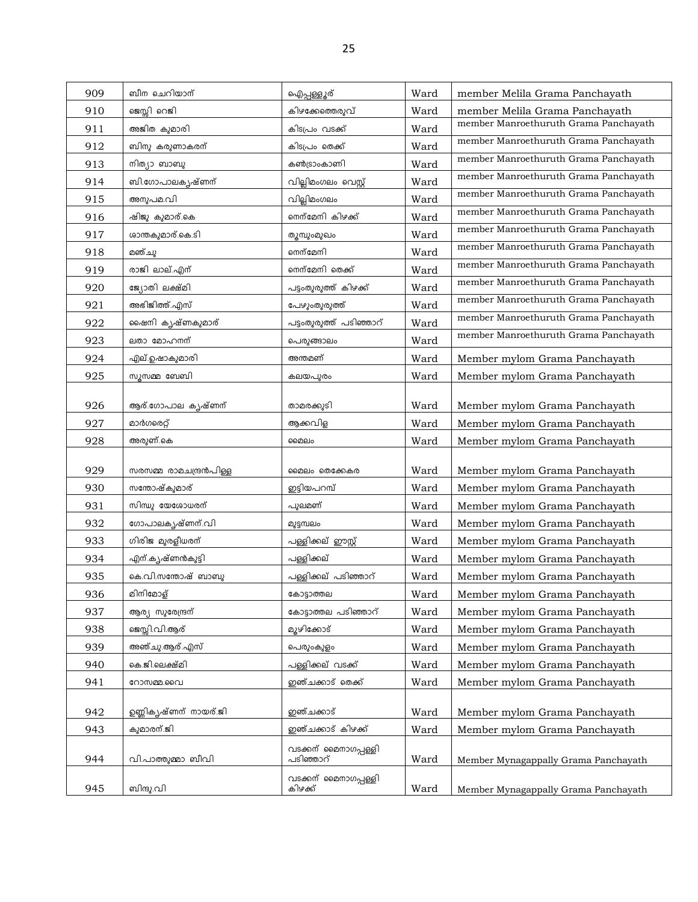| 909 | ബീന ചെറിയാന്           | ഐപ്പള്ളൂര്                        | Ward | member Melila Grama Panchayath        |
|-----|------------------------|-----------------------------------|------|---------------------------------------|
| 910 | ജെസ്സി റെജി            | കിഴക്കേത്തെരുവ്                   | Ward | member Melila Grama Panchayath        |
| 911 | അജിത കുമാരി            | കിടപ്രം വടക്ക്                    | Ward | member Manroethuruth Grama Panchayath |
| 912 | ബിനു കരുണാകരന്         | കിടപ്രം തെക്ക്                    | Ward | member Manroethuruth Grama Panchayath |
| 913 | നിത്യാ ബാബു            | കൺട്രാംകാണി                       | Ward | member Manroethuruth Grama Panchayath |
| 914 | ബി.ഗോപാലകൃഷ്ണന്        | വില്ലിമംഗലം വെസ്റ്റ്              | Ward | member Manroethuruth Grama Panchayath |
| 915 | അനുപമ.വി               | വില്ലിമംഗലം                       | Ward | member Manroethuruth Grama Panchayath |
| 916 | ഷിജു കുമാര്.കെ         | നെന്മേനി കിഴക്ക്                  | Ward | member Manroethuruth Grama Panchayath |
| 917 | ശാന്തകുമാര്.കെ.ടി      | തുമ്പുംമുഖം                       | Ward | member Manroethuruth Grama Panchayath |
| 918 | മഞ്ചു                  | നെന്മേനി                          | Ward | member Manroethuruth Grama Panchayath |
| 919 | രാജി ലാല്.എന്          | നെന്മേനി തെക്ക്                   | Ward | member Manroethuruth Grama Panchayath |
| 920 | ജ്യോതി ലക്ഷ്മി         | പട്ടംതുരുത്ത് കിഴക്ക്             | Ward | member Manroethuruth Grama Panchayath |
| 921 | അഭിജിത്ത്.എസ്          | പേഴുംതുരുത്ത്                     | Ward | member Manroethuruth Grama Panchayath |
| 922 | ഷൈനി കൃഷ്ണകുമാര്       | പട്ടംതുരുത്ത് പടിഞ്ഞാറ്           | Ward | member Manroethuruth Grama Panchayath |
| 923 | ലതാ മോഹനന്             | പെരുങ്ങാലം                        | Ward | member Manroethuruth Grama Panchayath |
| 924 | എല്.ഉഷാകുമാരി          | അന്തമണ്                           | Ward | Member mylom Grama Panchayath         |
| 925 | സൂസമ്മ ബേബി            | കലയപുരം                           | Ward | Member mylom Grama Panchayath         |
|     |                        |                                   |      |                                       |
| 926 | ആര്.ഗോപാല കൃഷ്ണന്      | താമരക്കുടി                        | Ward | Member mylom Grama Panchayath         |
| 927 | മാർഗരെറ്റ്             | ആക്കവിള                           | Ward | Member mylom Grama Panchayath         |
| 928 | അരുണ്.കെ               | മൈലം                              | Ward | Member mylom Grama Panchayath         |
| 929 | സരസമ്മ രാമചന്ദ്രൻപിള്ള | മൈലം തെക്കേകര                     | Ward | Member mylom Grama Panchayath         |
| 930 | സന്തോഷ്കുമാര്          | ഇട്ടിയപറമ്പ്                      | Ward | Member mylom Grama Panchayath         |
| 931 | സിന്ധു യേശോധരന്        | പുലമണ്                            | Ward | Member mylom Grama Panchayath         |
| 932 | ഗോപാലകൃഷ്ണന്.വി        | മുട്ടമ്പലം                        | Ward | Member mylom Grama Panchayath         |
| 933 | ഗിരിജ മുരളീധരന്        | പള്ളിക്കല് ഈസ്റ്റ്                | Ward | Member mylom Grama Panchayath         |
| 934 | എന്.കൃഷ്ണൻകുട്ടി       | പള്ളിക്കല്                        | Ward | Member mylom Grama Panchayath         |
| 935 | കെ.വി.സന്തോഷ് ബാബു     | പള്ളിക്കല് പടിഞ്ഞാറ്              | Ward | Member mylom Grama Panchayath         |
| 936 | മിനിമോള്               | കോട്ടാത്തല                        | Ward | Member mylom Grama Panchayath         |
| 937 | ആര്യ സുരേന്ദ്രന്       | കോട്ടാത്തല പടിഞ്ഞാറ്              | Ward | Member mylom Grama Panchayath         |
| 938 | ജെസ്സി.വി.ആര്          | മുഴിക്കോട്                        | Ward | Member mylom Grama Panchayath         |
| 939 | അഞ്ചു.ആര്.എസ്          | പെരുംകുളം                         | Ward | Member mylom Grama Panchayath         |
| 940 | കെ.ജി.ലെക്ഷ്മി         | പള്ളിക്കല് വടക്ക്                 | Ward | Member mylom Grama Panchayath         |
| 941 | റോസമ്മ.വൈ              | ഇഞ്ചക്കാട് തെക്ക്                 | Ward | Member mylom Grama Panchayath         |
|     |                        |                                   |      |                                       |
| 942 | ഉണ്ണികൃഷ്ണന് നായര്.ജി  | ഇഞ്ചക്കാട്                        | Ward | Member mylom Grama Panchayath         |
| 943 | കുമാരന്.ജി             | ഇഞ്ചക്കാട് കിഴക്ക്                | Ward | Member mylom Grama Panchayath         |
| 944 | വി.പാത്തുമ്മാ ബീവി     | വടക്കന് മൈനാഗപ്പള്ളി<br>പടിഞ്ഞാറ് | Ward | Member Mynagappally Grama Panchayath  |
|     |                        |                                   |      |                                       |
| 945 | ബിന്ദു.വി              | വടക്കന് മൈനാഗപ്പള്ളി<br>കിഴക്ക്   | Ward | Member Mynagappally Grama Panchayath  |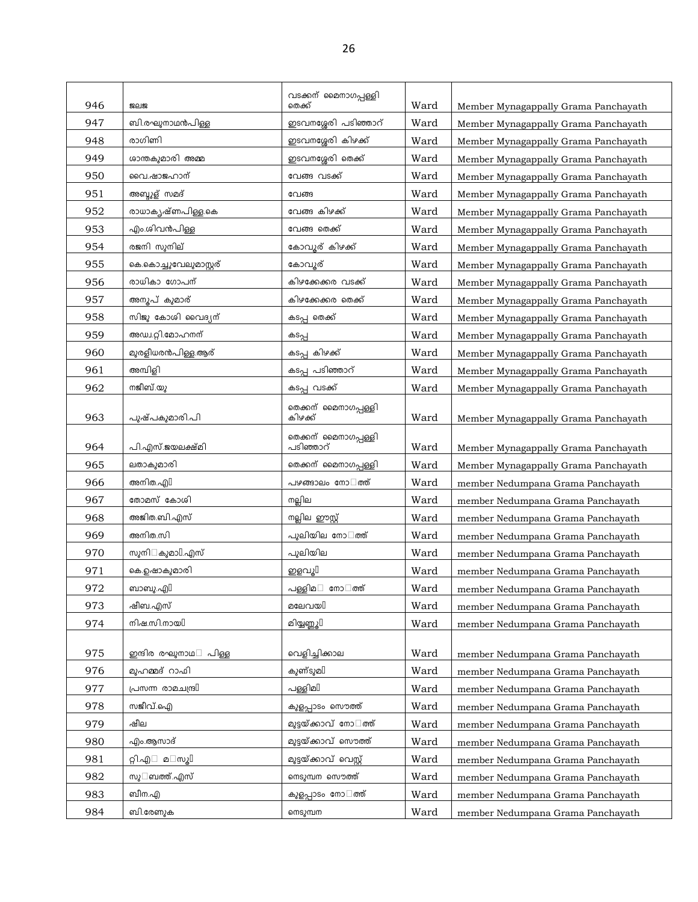| 946 | <b>SER</b>                     | വടക്കന് മൈനാഗപ്പള്ളി<br>തെക്ക്    | Ward | Member Mynagappally Grama Panchayath |
|-----|--------------------------------|-----------------------------------|------|--------------------------------------|
| 947 | ബി.രഘുനാഥൻപിള്ള                | ഇടവനശ്ശേരി പടിഞ്ഞാറ്              | Ward | Member Mynagappally Grama Panchayath |
| 948 | രാഗിണി                         | ഇടവനശ്ശേരി കിഴക്ക്                | Ward | Member Mynagappally Grama Panchayath |
| 949 | ശാന്തകുമാരി അമ്മ               | ഇടവനശ്ശേരി തെക്ക്                 | Ward | Member Mynagappally Grama Panchayath |
| 950 | വൈ.ഷാജഹാന്                     | വേങ്ങ വടക്ക്                      | Ward | Member Mynagappally Grama Panchayath |
| 951 | അബ്ദുള് സമദ്                   | വേങ്ങ                             | Ward | Member Mynagappally Grama Panchayath |
| 952 | രാധാകൃഷ്ണപിള്ള.കെ              | വേങ്ങ കിഴക്ക്                     | Ward | Member Mynagappally Grama Panchayath |
| 953 | എം.ശിവൻപിള്ള                   | വേങ്ങ തെക്ക്                      | Ward | Member Mynagappally Grama Panchayath |
| 954 | രജനി സൂനില്                    | കോവൂര് കിഴക്ക്                    | Ward | Member Mynagappally Grama Panchayath |
| 955 | കെ.കൊച്ചുവേലുമാസ്റ്റര്         | കോവൂര്                            | Ward | Member Mynagappally Grama Panchayath |
| 956 | രാധികാ ഗോപന്                   | കിഴക്കേക്കര വടക്ക്                | Ward | Member Mynagappally Grama Panchayath |
| 957 | അനൂപ് കുമാര്                   | കിഴക്കേക്കര തെക്ക്                | Ward | Member Mynagappally Grama Panchayath |
| 958 | സിജു കോശി വൈദ്യന്              | കടപ്പ തെക്ക്                      | Ward | Member Mynagappally Grama Panchayath |
| 959 | അഡ്വ.റ്റി.മോഹനന്               | കടപ്പ                             | Ward | Member Mynagappally Grama Panchayath |
| 960 | മുരളീധരൻപിള്ള.ആര്              | കടപ്പ കിഴക്ക്                     | Ward | Member Mynagappally Grama Panchayath |
| 961 | അമ്പിളി                        | കടപ്പ പടിഞ്ഞാറ്                   | Ward | Member Mynagappally Grama Panchayath |
| 962 | നജീബ്.യു                       | കടപ്പ വടക്ക്                      | Ward | Member Mynagappally Grama Panchayath |
| 963 | പുഷ്പകുമാരി.പി                 | തെക്കന് മൈനാഗപ്പള്ളി<br>കിഴക്ക്   | Ward | Member Mynagappally Grama Panchayath |
| 964 | പി.എസ്.ജയലക്ഷ്മി               | തെക്കന് മൈനാഗപ്പള്ളി<br>പടിഞ്ഞാറ് | Ward | Member Mynagappally Grama Panchayath |
| 965 | ലതാകുമാരി                      | തെക്കന് മൈനാഗപ്പള്ളി              | Ward | Member Mynagappally Grama Panchayath |
| 966 | അനിത.എി                        | പഴങ്ങാലം നോ ത്ത്                  | Ward | member Nedumpana Grama Panchayath    |
| 967 | തോമസ് കോശി                     | നല്ലില                            | Ward | member Nedumpana Grama Panchayath    |
| 968 | അജിത.ബി.എസ്                    | നല്ലില ഈസ്റ്റ്                    | Ward | member Nedumpana Grama Panchayath    |
| 969 | അനിത.സി                        | പുലിയില നോ ത്ത്                   | Ward | member Nedumpana Grama Panchayath    |
| 970 | കുമാ $\mathbb{I}.$ എസ്<br>സുനി | പുലിയില                           | Ward | member Nedumpana Grama Panchayath    |
| 971 | കെ.ഉഷാകുമാരി                   | ഇളവൂ $\mathbb I$                  | Ward | member Nedumpana Grama Panchayath    |
| 972 | ബാബു.എി                        | പള്ളിമ<br>നോ ത്ത്                 | Ward | member Nedumpana Grama Panchayath    |
| 973 | ഷീബ.എസ്                        | മലേവയി                            | Ward | member Nedumpana Grama Panchayath    |
| 974 | നിഷ.സി.നായി                    | മിയ്യണ്ണൂ[]                       | Ward | member Nedumpana Grama Panchayath    |
|     |                                |                                   |      |                                      |
| 975 | ഇന്ദിര രഘുനാഥ<br>പിള്ള         | വെളിച്ചിക്കാല                     | Ward | member Nedumpana Grama Panchayath    |
| 976 | മുഹമ്മദ് റാഫി                  | കുണ്ടുമി                          | Ward | member Nedumpana Grama Panchayath    |
| 977 | [ബ്വഥമാര ന്നഗ്നപ               | പള്ളിമി                           | Ward | member Nedumpana Grama Panchayath    |
| 978 | സജീവ്.ഐ                        | കുളപ്പാടം സൌത്ത്                  | Ward | member Nedumpana Grama Panchayath    |
| 979 | ഷീല                            | മുട്ടയ്ക്കാവ് നോ ത്ത്             | Ward | member Nedumpana Grama Panchayath    |
| 980 | എം.ആസാദ്                       | മുട്ടയ്ക്കാവ് സൌത്ത്              | Ward | member Nedumpana Grama Panchayath    |
| 981 | മ സൂ $\mathbb I$<br>റ്റി.എ     | മുട്ടയ്ക്കാവ് വെസ്റ്റ്            | Ward | member Nedumpana Grama Panchayath    |
| 982 | ബത്ത്.എസ്<br>സു                | നെടുമ്പന സൌത്ത്                   | Ward | member Nedumpana Grama Panchayath    |
| 983 | ബീന.എ                          | കുളപ്പാടം നോ ത്ത്                 | Ward | member Nedumpana Grama Panchayath    |
| 984 | ബി.രേണുക                       | നെടുമ്പന                          | Ward | member Nedumpana Grama Panchayath    |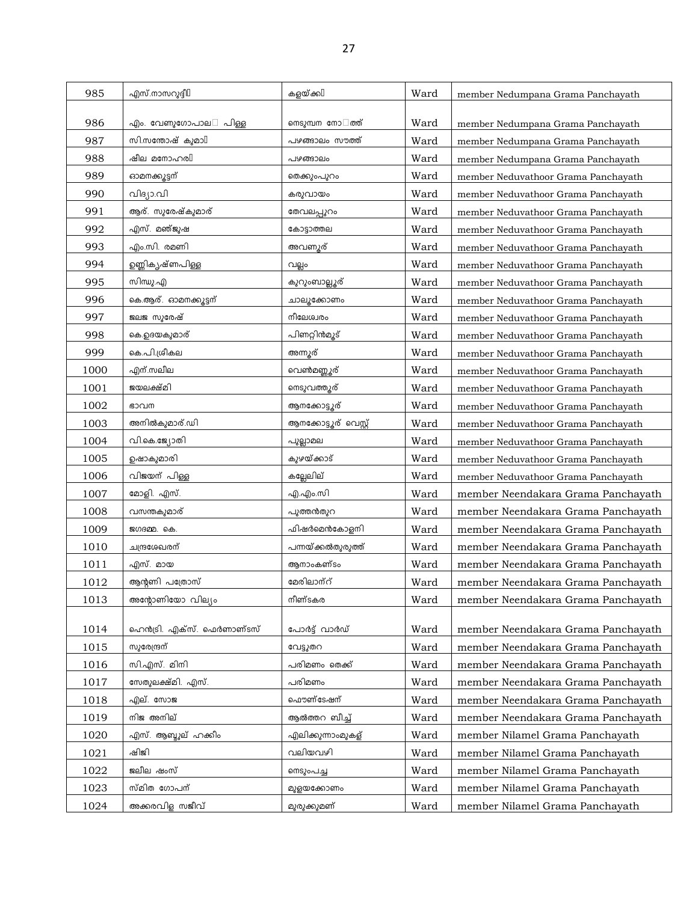| 985  | എസ്.നാസറുദ്ദീ $\mathbb I$   | കളയ്ക്കി              | Ward | member Nedumpana Grama Panchayath   |
|------|-----------------------------|-----------------------|------|-------------------------------------|
|      |                             |                       |      |                                     |
| 986  | പിള്ള<br>എം. വേണുഗോപാല      | നെടുമ്പന നോ ത്ത്      | Ward | member Nedumpana Grama Panchayath   |
| 987  | സി.സന്തോഷ് കുമാ $\mathbb I$ | പഴങ്ങാലം സൗത്ത്       | Ward | member Nedumpana Grama Panchayath   |
| 988  | ഷീല മനോഹരി                  | പഴങ്ങാലം              | Ward | member Nedumpana Grama Panchayath   |
| 989  | ഓമനക്കൂട്ടന്                | തെക്കുംപുറം           | Ward | member Neduvathoor Grama Panchayath |
| 990  | വിദ്യാ.വി                   | കരുവായം               | Ward | member Neduvathoor Grama Panchayath |
| 991  | ആര്. സുരേഷ്കുമാര്           | തേവലപ്പുറം            | Ward | member Neduvathoor Grama Panchayath |
| 992  | എസ്. മഞ്ജുഷ                 | കോട്ടാത്തല            | Ward | member Neduvathoor Grama Panchayath |
| 993  | എം.സി. രമണി                 | അവണ്യര്               | Ward | member Neduvathoor Grama Panchayath |
| 994  | ഉണ്ണികൃഷ്ണപിള്ള             | വല്ലം                 | Ward | member Neduvathoor Grama Panchayath |
| 995  | സിന്ധു.എ                    | കുറുംബാല്ലൂര്         | Ward | member Neduvathoor Grama Panchayath |
| 996  | കെ.ആര്. ഓമനക്കൂട്ടന്        | ചാലൂക്കോണം            | Ward | member Neduvathoor Grama Panchayath |
| 997  | ജലജ സുരേഷ്                  | നീലേശ്വരം             | Ward | member Neduvathoor Grama Panchayath |
| 998  | കെ.ഉദയകുമാര്                | പിണറ്റിൻമൂട്          | Ward | member Neduvathoor Grama Panchayath |
| 999  | കെ.പി.ശ്രീകല                | അന്നൂര്               | Ward | member Neduvathoor Grama Panchayath |
| 1000 | എന്.സലീല                    | വെൺമണ്ണൂര്            | Ward | member Neduvathoor Grama Panchayath |
| 1001 | ജയലക്ഷ്മി                   | നെടുവത്തൂര്           | Ward | member Neduvathoor Grama Panchayath |
| 1002 | ഭാവന                        | ആനക്കോട്ടൂര്          | Ward | member Neduvathoor Grama Panchayath |
| 1003 | അനിൽകുമാര്.ഡി               | ആനക്കോട്ടൂര് വെസ്റ്റ് | Ward | member Neduvathoor Grama Panchayath |
| 1004 | വി.കെ.ജ്യോതി                | പുല്ലാമല              | Ward | member Neduvathoor Grama Panchayath |
| 1005 | ഉഷാകുമാരി                   | കുഴയ്ക്കാട്           | Ward | member Neduvathoor Grama Panchayath |
| 1006 | വിജയന് പിള്ള                | കല്ലേലില്             | Ward | member Neduvathoor Grama Panchayath |
| 1007 | മോളി. എസ്.                  | എ.എം.സി               | Ward | member Neendakara Grama Panchayath  |
| 1008 | വസന്തകുമാര്                 | പുത്തൻതുറ             | Ward | member Neendakara Grama Panchayath  |
| 1009 | ജഗദമ്മ. കെ.                 | ഫിഷർമെൻകോളനി          | Ward | member Neendakara Grama Panchayath  |
| 1010 | ചന്ദ്രശേഖരന്                | പന്നയ്ക്കൽതുരുത്ത്    | Ward | member Neendakara Grama Panchayath  |
| 1011 | എസ്. മായ                    | ആനാംകണ്ടം             | Ward | member Neendakara Grama Panchayath  |
| 1012 | ആന്റണി പത്രോസ്              | മേരിലാന്റ്            | Ward | member Neendakara Grama Panchayath  |
| 1013 | അന്റോണിയോ വില്യം            | നീണ്ടകര               | Ward | member Neendakara Grama Panchayath  |
|      |                             |                       |      |                                     |
| 1014 | ഹെൻട്രി. എക്സ്. ഫെർണാണ്ടസ്  | പോർട്ട് വാർഡ്         | Ward | member Neendakara Grama Panchayath  |
| 1015 | സുരേന്ദ്രന്                 | വേട്ടുതറ              | Ward | member Neendakara Grama Panchayath  |
| 1016 | സി.എസ്. മിനി                | പരിമണം തെക്ക്         | Ward | member Neendakara Grama Panchayath  |
| 1017 | സേതുലക്ഷ്മി. എസ്.           | പരിമണം                | Ward | member Neendakara Grama Panchayath  |
| 1018 | എല്. സോജ                    | ഫൌണ്ടേഷന്             | Ward | member Neendakara Grama Panchayath  |
| 1019 | നിജ അനില്                   | ആൽത്തറ ബീച്ച്         | Ward | member Neendakara Grama Panchayath  |
| 1020 | എസ്. ആബ്ദുല് ഹക്കീം         | എലിക്കുന്നാംമുകള്     | Ward | member Nilamel Grama Panchayath     |
| 1021 | ഷിജി                        | വലിയവഴി               | Ward | member Nilamel Grama Panchayath     |
| 1022 | ജലീല ഷംസ്                   | നെടുംപച്ച             | Ward | member Nilamel Grama Panchayath     |
| 1023 | സ്മിത ഗോപന്                 | മുളയക്കോണം            | Ward | member Nilamel Grama Panchayath     |
| 1024 | അക്കരവിള സജീവ്              | മുരുക്കുമണ്           | Ward | member Nilamel Grama Panchayath     |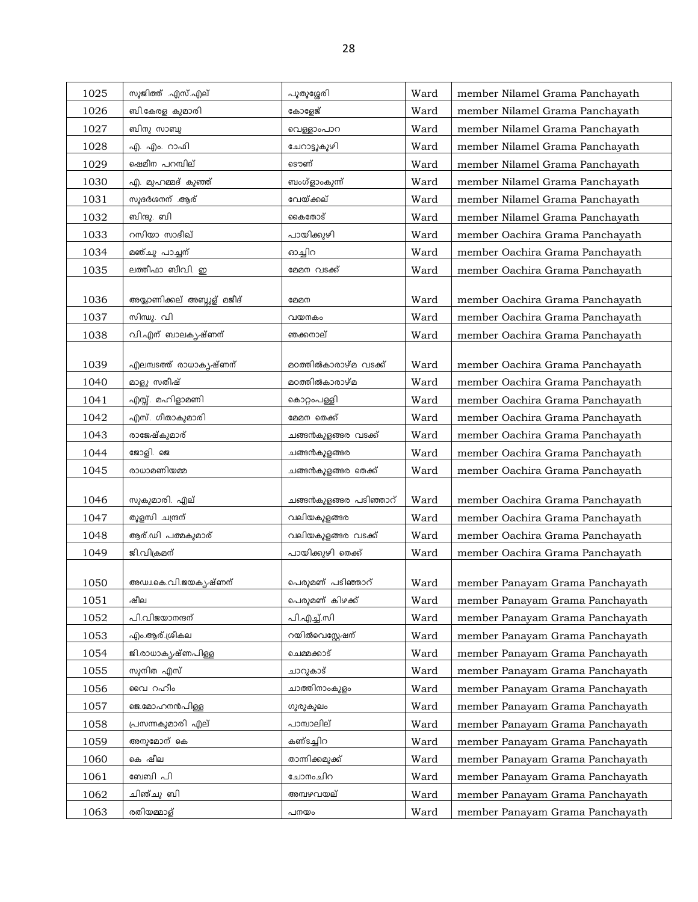| 1025 | സുജിത്ത് .എസ്.എല്          | പുതുശ്ശേരി             | Ward | member Nilamel Grama Panchayath |
|------|----------------------------|------------------------|------|---------------------------------|
| 1026 | ബി.കേരള കുമാരി             | കോളേജ്                 | Ward | member Nilamel Grama Panchayath |
| 1027 | ബിനു സാബു                  | വെള്ളാംപാറ             | Ward | member Nilamel Grama Panchayath |
| 1028 | എ. എം. റാഫി                | ചേറാട്ടുകുഴി           | Ward | member Nilamel Grama Panchayath |
| 1029 | ഷെമീന പറമ്പില്             | ടൌണ്                   | Ward | member Nilamel Grama Panchayath |
| 1030 | എ. മുഹമ്മദ് കുഞ്ഞ്         | ബംഗ്ളാംകുന്ന്          | Ward | member Nilamel Grama Panchayath |
| 1031 | സുദർശനന് .ആര്              | വേയ്ക്കല്              | Ward | member Nilamel Grama Panchayath |
| 1032 | ബിന്ദു. ബി                 | കൈതോട്                 | Ward | member Nilamel Grama Panchayath |
| 1033 | റസിയാ സാദീഖ്               | പായിക്കുഴി             | Ward | member Oachira Grama Panchayath |
| 1034 | മഞ്ചു പാച്ചന്              | ഓച്ചിറ                 | Ward | member Oachira Grama Panchayath |
| 1035 | ലത്തീഫാ ബീവി. ഇ            | മേമന വടക്ക്            | Ward | member Oachira Grama Panchayath |
|      |                            |                        |      |                                 |
| 1036 | അയ്യാണിക്കല് അബ്ദുള് മജീദ് | മേമന                   | Ward | member Oachira Grama Panchayath |
| 1037 | സിന്ധു. വി                 | വയനകം                  | Ward | member Oachira Grama Panchayath |
| 1038 | വി.എന് ബാലകൃഷ്ണന്          | ഞക്കനാല്               | Ward | member Oachira Grama Panchayath |
|      |                            |                        |      |                                 |
| 1039 | എലമ്പടത്ത് രാധാകൃഷ്ണന്     | മഠത്തിൽകാരാഴ്മ വടക്ക്  | Ward | member Oachira Grama Panchayath |
| 1040 | മാളൂ സതീഷ്                 | മഠത്തിൽകാരാഴ്മ         | Ward | member Oachira Grama Panchayath |
| 1041 | എസ്സ്. മഹിളാമണി            | കൊറ്റംപള്ളി            | Ward | member Oachira Grama Panchayath |
| 1042 | എസ്. ഗീതാകുമാരി            | മേമന തെക്ക്            | Ward | member Oachira Grama Panchayath |
| 1043 | രാജേഷ്കുമാര്               | ചങ്ങൻകുളങ്ങര വടക്ക്    | Ward | member Oachira Grama Panchayath |
| 1044 | ജോളി. ജെ                   | ചങ്ങൻകുളങ്ങര           | Ward | member Oachira Grama Panchayath |
| 1045 | രാധാമണിയമ്മ                | ചങ്ങൻകുളങ്ങര തെക്ക്    | Ward | member Oachira Grama Panchayath |
| 1046 | സുകുമാരി. എല്              | ചങ്ങൻകുളങ്ങര പടിഞ്ഞാറ് | Ward | member Oachira Grama Panchayath |
| 1047 | തുളസി ചന്ദ്രന്             | വലിയകുളങ്ങര            | Ward | member Oachira Grama Panchayath |
| 1048 | ആര്.ഡി പത്മകുമാര്          | വലിയകുളങ്ങര വടക്ക്     | Ward | member Oachira Grama Panchayath |
| 1049 | ജി.വിക്രമന്                | പായിക്കുഴി തെക്ക്      | Ward | member Oachira Grama Panchayath |
|      |                            |                        |      |                                 |
| 1050 | അഡ⊥.കെ.വി.ജയകൃഷ്ണന്        | പെരുമണ് പടിഞ്ഞാറ്      | Ward | member Panayam Grama Panchayath |
| 1051 | ഷീല                        | പെരുമണ് കിഴക്ക്        | Ward | member Panayam Grama Panchayath |
| 1052 | പി.വിജയാനന്ദന്             | പി.എച്ച്.സി            | Ward | member Panayam Grama Panchayath |
| 1053 | എം.ആര്.ശ്രീകല              | റയിൽവെസ്റ്റേഷന്        | Ward | member Panayam Grama Panchayath |
| 1054 | ജി.രാധാകൃഷ്ണപിള്ള          | ചെമ്മക്കാട്            | Ward | member Panayam Grama Panchayath |
| 1055 | സുനിത എസ്                  | ചാറുകാട്               | Ward | member Panayam Grama Panchayath |
| 1056 | വൈ റഹീം                    | ചാത്തിനാംകുളം          | Ward | member Panayam Grama Panchayath |
| 1057 | ജെ.മോഹനൻപിള്ള              | ഗുരുകുലം               | Ward | member Panayam Grama Panchayath |
| 1058 | പ്രസന്നകുമാരി എല്          | പാമ്പാലില്             | Ward | member Panayam Grama Panchayath |
| 1059 | അനുമോന് കെ                 | കണ്ടച്ചിറ              | Ward | member Panayam Grama Panchayath |
| 1060 | കെ ഷീല                     | താന്നിക്കമുക്ക്        | Ward | member Panayam Grama Panchayath |
| 1061 | ബേബി പി                    | ചോനംചിറ                | Ward | member Panayam Grama Panchayath |
| 1062 | ചിഞ്ചു ബി                  | അമ്പഴവയല്              | Ward | member Panayam Grama Panchayath |
| 1063 | രതിയമ്മാള്                 | പനയം                   | Ward | member Panayam Grama Panchayath |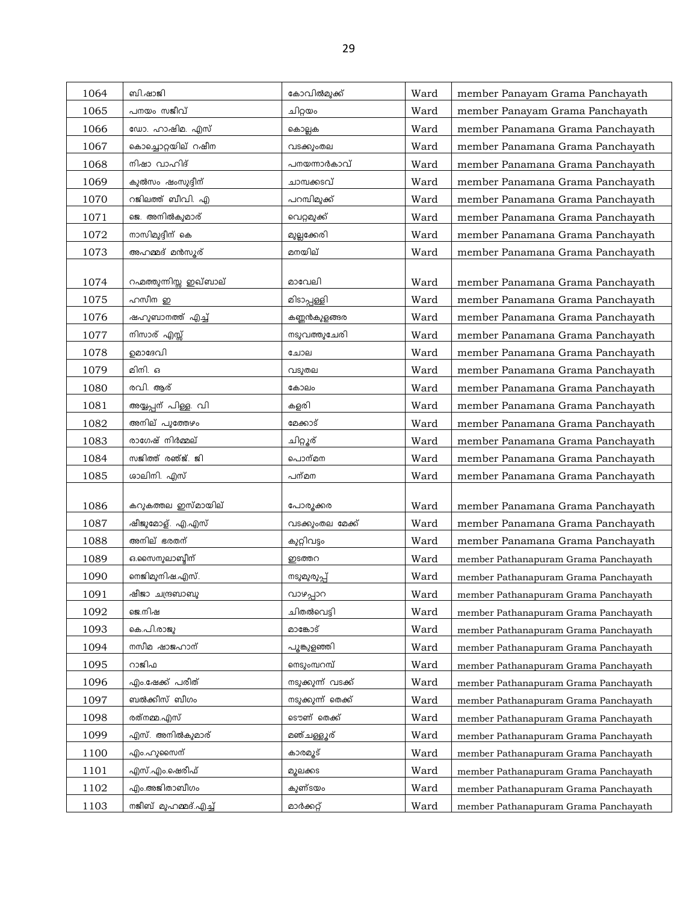| 1064 | ബി.ഷാജി                 | കോവിൽമുക്ക്        | Ward | member Panayam Grama Panchayath      |
|------|-------------------------|--------------------|------|--------------------------------------|
| 1065 | പനയം സജീവ്              | ചിറ്റയം            | Ward | member Panayam Grama Panchayath      |
| 1066 | ഡോ. ഹാഷിമ. എസ്          | കൊല്ലക             | Ward | member Panamana Grama Panchayath     |
| 1067 | കൊച്ചൊറ്റയില് റഷീന      | വടക്കുംതല          | Ward | member Panamana Grama Panchayath     |
| 1068 | നിഷാ വാഹിദ്             | പനയന്നാർകാവ്       | Ward | member Panamana Grama Panchayath     |
| 1069 | കുൽസം ഷംസുദ്ദീന്        | ചാമ്പക്കടവ്        | Ward | member Panamana Grama Panchayath     |
| 1070 | റജിലത്ത് ബീവി. എ        | പറമ്പിമുക്ക്       | Ward | member Panamana Grama Panchayath     |
| 1071 | ജെ. അനിൽകുമാര്          | വെറ്റമുക്ക്        | Ward | member Panamana Grama Panchayath     |
| 1072 | നാസിമുദ്ദീന് കെ         | മുല്ലക്കേരി        | Ward | member Panamana Grama Panchayath     |
| 1073 | അഹമ്മദ് മൻസൂര്          | മനയില്             | Ward | member Panamana Grama Panchayath     |
|      |                         |                    |      |                                      |
| 1074 | റഹ്മത്തുന്നിസ്സ ഇഖ്ബാല് | മാവേലി             | Ward | member Panamana Grama Panchayath     |
| 1075 | ഹസീന ഇ                  | മിടാപ്പള്ളി        | Ward | member Panamana Grama Panchayath     |
| 1076 | ഷഹുബാനത്ത് എച്ച്        | കണ്ണൻകുളങ്ങര       | Ward | member Panamana Grama Panchayath     |
| 1077 | നിസാര് എസ്സ്            | നടുവത്തുചേരി       | Ward | member Panamana Grama Panchayath     |
| 1078 | ഉമാദേവി                 | ചോല                | Ward | member Panamana Grama Panchayath     |
| 1079 | മിനി. ഒ                 | വടുതല              | Ward | member Panamana Grama Panchayath     |
| 1080 | രവി. ആര്                | കോലം               | Ward | member Panamana Grama Panchayath     |
| 1081 | അയ്യപ്പന് പിള്ള വി      | കളരി               | Ward | member Panamana Grama Panchayath     |
| 1082 | അനില് പുത്തേഴം          | മേക്കാട്           | Ward | member Panamana Grama Panchayath     |
| 1083 | രാഗേഷ് നിർമ്മല്         | ചിറ്റൂര്           | Ward | member Panamana Grama Panchayath     |
| 1084 | സജിത്ത് രഞ്ജ്. ജി       | പൊന്മന             | Ward | member Panamana Grama Panchayath     |
| 1085 | ശാലിനി. എസ്             | പന്മന              | Ward | member Panamana Grama Panchayath     |
| 1086 | കറുകത്തല ഇസ്മായില്      | പോരുക്കര           | Ward | member Panamana Grama Panchayath     |
| 1087 | ഷീജുമോള്. എ.എസ്         | വടക്കുംതല മേക്ക്   | Ward | member Panamana Grama Panchayath     |
| 1088 | അനില് ഭരതന്             | കുറ്റിവട്ടം        | Ward | member Panamana Grama Panchayath     |
| 1089 | ഒ.സൈനുലാബ്ദീന്          | ഇടത്തറ             | Ward | member Pathanapuram Grama Panchayath |
| 1090 | നെജിമുനിഷ.എസ്.          | നടുമുരുപ്പ്        | Ward | member Pathanapuram Grama Panchayath |
| 1091 | ഷീജാ ചന്ദ്രബാബു         | വാഴപ്പാറ           | Ward | member Pathanapuram Grama Panchayath |
| 1092 | ജെ.നിഷ                  | ചിതൽവെട്ടി         | Ward | member Pathanapuram Grama Panchayath |
| 1093 | കെ.പി.രാജു              | മാങ്കോട്           | Ward | member Pathanapuram Grama Panchayath |
| 1094 | നസീമ ഷാജഹാന്            | പൂങ്കൂളഞ്ഞി        | Ward | member Pathanapuram Grama Panchayath |
| 1095 | റാജിഫ                   | നെടുംമ്പറമ്പ്      | Ward | member Pathanapuram Grama Panchayath |
| 1096 | എം.ഷേക്ക് പരീത്         | നടുക്കുന്ന് വടക്ക് | Ward | member Pathanapuram Grama Panchayath |
| 1097 | ബൽക്കീസ് ബീഗം           | നടുക്കുന്ന് തെക്ക് | Ward | member Pathanapuram Grama Panchayath |
| 1098 | രത്നമ്മ.എസ്             | ടൌണ് തെക്ക്        | Ward | member Pathanapuram Grama Panchayath |
| 1099 | എസ്. അനിൽകുമാര്         | മഞ്ചള്ളൂര്         | Ward | member Pathanapuram Grama Panchayath |
| 1100 | എം.ഹുസൈന്               | കാരമൂട്            | Ward | member Pathanapuram Grama Panchayath |
| 1101 | എസ്.എം.ഷെരീഫ്           | മുലക്കട            | Ward | member Pathanapuram Grama Panchayath |
| 1102 | എം.അജിതാബീഗം            | കുണ്ടയം            | Ward | member Pathanapuram Grama Panchayath |
| 1103 | നജീബ് മുഹമ്മദ്.എച്ച്    | മാർക്കറ്റ്         | Ward | member Pathanapuram Grama Panchayath |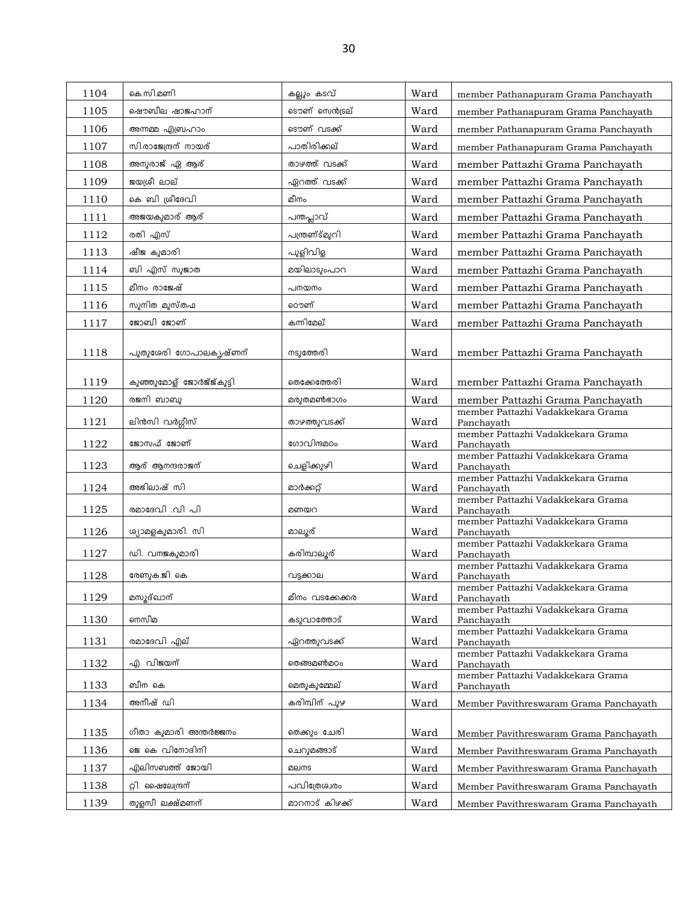| 1104 | കെ.സി.മണി                | കല്ലും കടവ്     | Ward | member Pathanapuram Grama Panchayath            |
|------|--------------------------|-----------------|------|-------------------------------------------------|
| 1105 | ഷൌബീല ഷാജഹാന്            | ടൌണ് സെൻട്രല്   | Ward | member Pathanapuram Grama Panchayath            |
| 1106 | അന്നമ്മ എബ്രഹാം          | ടൌണ് വടക്ക്     | Ward | member Pathanapuram Grama Panchayath            |
| 1107 | സി.രാജേന്ദ്രന് നായര്     | പാതിരിക്കല്     | Ward | member Pathanapuram Grama Panchayath            |
| 1108 | അനുരാജ് ഏ ആര്            | താഴത്ത് വടക്ക്  | Ward | member Pattazhi Grama Panchayath                |
| 1109 | ജയശ്രീ ലാല്              | ഏറത്ത് വടക്ക്   | Ward | member Pattazhi Grama Panchayath                |
| 1110 | കെ ബി ശ്രീദേവി           | മീനം            | Ward | member Pattazhi Grama Panchayath                |
| 1111 | അജയകുമാര് ആര്            | പന്തപ്ലാവ്      | Ward | member Pattazhi Grama Panchayath                |
| 1112 | രതി എസ്                  | പന്ത്രണ്ട്മുറി  | Ward | member Pattazhi Grama Panchayath                |
| 1113 | ഷീജ കുമാരി               | പുളിവിള         | Ward | member Pattazhi Grama Panchayath                |
| 1114 | ബി എസ് സുജാത             | മയിലാടുംപാറ     | Ward | member Pattazhi Grama Panchayath                |
| 1115 | മീനം രാജേഷ്              | പനയനം           | Ward | member Pattazhi Grama Panchayath                |
| 1116 | സുനിത മുസ്തഫ             | ൌണ്             | Ward | member Pattazhi Grama Panchayath                |
| 1117 | ജോബി ജോണ്                | കന്നിമേല്       | Ward | member Pattazhi Grama Panchayath                |
| 1118 | പുതുശേരി ഗോപാലകൃഷ്ണന്    | നടുത്തേരി       | Ward | member Pattazhi Grama Panchayath                |
| 1119 | കുഞ്ഞുമോള് ജോർജ്ജ്കുട്ടി | തെക്കേത്തേരി    | Ward | member Pattazhi Grama Panchayath                |
| 1120 | രജനി ബാബു                | മരുതമൺഭാഗം      | Ward | member Pattazhi Grama Panchayath                |
| 1121 | ലിൻസി വർഗ്ഗീസ്           | താഴത്തുവടക്ക്   | Ward | member Pattazhi Vadakkekara Grama<br>Panchayath |
| 1122 | ജോസഫ് ജോണ്               | ഗോവിന്ദമഠം      | Ward | member Pattazhi Vadakkekara Grama<br>Panchayath |
| 1123 | ആര് ആനന്ദരാജന്           | ചെളിക്കുഴി      | Ward | member Pattazhi Vadakkekara Grama<br>Panchayath |
| 1124 | അഭിലാഷ് സി               | മാർക്കറ്റ്      | Ward | member Pattazhi Vadakkekara Grama<br>Panchayath |
| 1125 | രമാദേവി .വി പി           | മണയറ            | Ward | member Pattazhi Vadakkekara Grama<br>Panchayath |
| 1126 | ശ്യാമളകുമാരി. സി         | മാലൂര്          | Ward | member Pattazhi Vadakkekara Grama<br>Panchayath |
| 1127 | ഡി. വനജകുമാരി            | കരിമ്പാലൂര്     | Ward | member Pattazhi Vadakkekara Grama<br>Panchayath |
| 1128 | രേണുക.ജി കെ              | വട്ടക്കാല       | Ward | member Pattazhi Vadakkekara Grama<br>Panchayath |
| 1129 | മസൂദ്ഖാന്                | മീനം വടക്കേക്കര | Ward | member Pattazhi Vadakkekara Grama<br>Panchayath |
|      |                          |                 |      | member Pattazhi Vadakkekara Grama               |
| 1130 | നെസീമ                    | കടുവാത്തോട്     | Ward | Panchavath<br>member Pattazhi Vadakkekara Grama |
| 1131 | രമാദേവി എല്              | ഏറത്തുവടക്ക്    | Ward | Panchayath<br>member Pattazhi Vadakkekara Grama |
| 1132 | എ. വിജയന്                | തെങ്ങമൺമഠം      | Ward | Panchavath                                      |
| 1133 | ബീന കെ                   | മെതുകുമ്മേല്    | Ward | member Pattazhi Vadakkekara Grama<br>Panchayath |
| 1134 | അനീഷ് ഡി                 | കരിമ്പിന് പുഴ   | Ward | Member Pavithreswaram Grama Panchayath          |
| 1135 | ഗീതാ കുമാരി അന്തർജ്ജനം   | തെക്കും ചേരി    | Ward | Member Pavithreswaram Grama Panchayath          |
| 1136 | ജെ കെ വിനോദിനി           | ചെറുമങ്ങാട്     | Ward | Member Pavithreswaram Grama Panchayath          |
| 1137 | എലിസബത്ത് ജോയി           | മലനട            | Ward | Member Pavithreswaram Grama Panchayath          |
| 1138 | റ്റി. ഷൈലേന്ദ്രന്        | പവിത്രേഖരം      | Ward | Member Pavithreswaram Grama Panchayath          |
| 1139 | തുളസീ ലക്ഷ്മണന്          | മാറനാട് കിഴക്ക് | Ward | Member Pavithreswaram Grama Panchayath          |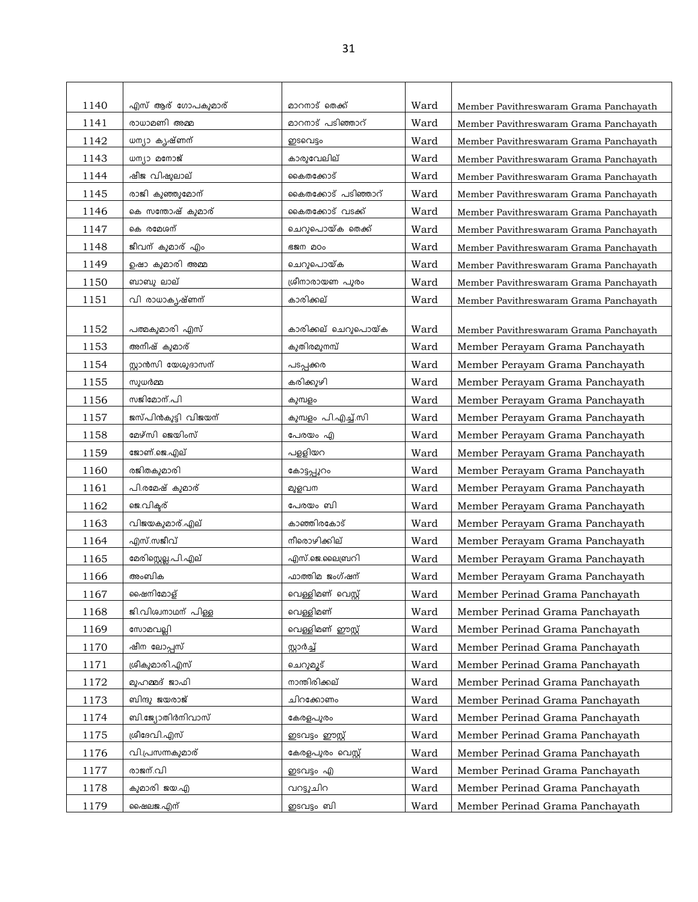| 1140 | എസ് ആര് ഗോപകുമാര്      | മാറനാട് തെക്ക്      | Ward | Member Pavithreswaram Grama Panchayath |
|------|------------------------|---------------------|------|----------------------------------------|
| 1141 | രാധാമണി അമ്മ           | മാറനാട് പടിഞ്ഞാറ്   | Ward | Member Pavithreswaram Grama Panchayath |
| 1142 | ധന്യാ കൃഷ്ണന്          | ഇടവെട്ടം            | Ward | Member Pavithreswaram Grama Panchayath |
| 1143 | ന്ധന്യാ മനോജ്          | കാരുവേലില്          | Ward | Member Pavithreswaram Grama Panchayath |
| 1144 | ഷീജ വിഷുലാല്           | കൈതക്കോട്           | Ward | Member Pavithreswaram Grama Panchayath |
| 1145 | രാജി കുഞ്ഞുമോന്        | കൈതക്കോട് പടിഞ്ഞാറ് | Ward | Member Pavithreswaram Grama Panchayath |
| 1146 | കെ സന്തോഷ് കുമാര്      | കൈതക്കോട് വടക്ക്    | Ward | Member Pavithreswaram Grama Panchayath |
| 1147 | കെ രമേശന്              | ചെറുപൊയ്ക തെക്ക്    | Ward | Member Pavithreswaram Grama Panchayath |
| 1148 | ജീവന് കുമാര് എം        | 620 20o             | Ward | Member Pavithreswaram Grama Panchayath |
| 1149 | ഉഷാ കുമാരി അമ്മ        | ചെറുപൊയ്ക           | Ward | Member Pavithreswaram Grama Panchayath |
| 1150 | ബാബു ലാല്              | ശ്രീനാരായണ പുരം     | Ward | Member Pavithreswaram Grama Panchayath |
| 1151 | <u>വി രാ</u> ധാകൃഷ്ണന് | കാരിക്കല്           | Ward | Member Pavithreswaram Grama Panchayath |
|      |                        |                     |      |                                        |
| 1152 | പത്മകുമാരി എസ്         | കാരിക്കല് ചെറുപൊയ്ക | Ward | Member Pavithreswaram Grama Panchayath |
| 1153 | അനീഷ് കുമാര്           | കുതിരമുനമ്പ്        | Ward | Member Perayam Grama Panchayath        |
| 1154 | സ്റ്റാൻസി യേശുദാസന്    | പടപ്പക്കര           | Ward | Member Perayam Grama Panchayath        |
| 1155 | സുധർമ്മ                | കരിക്കുഴി           | Ward | Member Perayam Grama Panchayath        |
| 1156 | സജിമോന്.പി             | കുമ്പളം             | Ward | Member Perayam Grama Panchayath        |
| 1157 | ജസ്പിൻകുട്ടി വിജയന്    | കുമ്പളം പി.എച്ച്.സി | Ward | Member Perayam Grama Panchayath        |
| 1158 | മേഴ്സി ജെയിംസ്         | പേരയം എ             | Ward | Member Perayam Grama Panchayath        |
| 1159 | ജോണ്.ജെ.എല്            | പള്ളിയറ             | Ward | Member Perayam Grama Panchayath        |
| 1160 | രജിതകുമാരി             | കോട്ടപ്പൂറം         | Ward | Member Perayam Grama Panchayath        |
| 1161 | പി.രമേഷ് കുമാര്        | മുളവന               | Ward | Member Perayam Grama Panchayath        |
| 1162 | ജെ.വിക്ടര്             | പേരയം ബി            | Ward | Member Perayam Grama Panchayath        |
| 1163 | വിജയകുമാര്.എല്         | കാഞ്ഞിരകോട്         | Ward | Member Perayam Grama Panchayath        |
| 1164 | എസ്.സജീവ്              | നീരൊഴിക്കില്        | Ward | Member Perayam Grama Panchayath        |
| 1165 | മേരിസ്റ്റെല്ല.പി.എല്   | എസ്.ജെ.ലൈബ്രറി      | Ward | Member Perayam Grama Panchayath        |
| 1166 | അംബിക                  | ഫാത്തിമ ജംഗ്ഷന്     | Ward | Member Perayam Grama Panchayath        |
| 1167 | ഷൈനിമോള്               | വെള്ളിമണ് വെസ്റ്റ്  | Ward | Member Perinad Grama Panchayath        |
| 1168 | ജി.വിശ്വനാഥന് പിള്ള    | വെള്ളിമണ്           | Ward | Member Perinad Grama Panchayath        |
| 1169 | സോമവല്ലി               | വെള്ളിമണ് ഈസ്റ്റ്   | Ward | Member Perinad Grama Panchayath        |
| 1170 | ഷീന ലോപ്പസ്            | സ്റ്റാർച്ച്         | Ward | Member Perinad Grama Panchayath        |
| 1171 | ശ്രീകുമാരി.എസ്         | ചെറുമുട്            | Ward | Member Perinad Grama Panchayath        |
| 1172 | മുഹമ്മദ് ജാഫി          | നാന്തിരിക്കല്       | Ward | Member Perinad Grama Panchayath        |
| 1173 | ബിന്ദു ജയരാജ്          | ചിറക്കോണം           | Ward | Member Perinad Grama Panchayath        |
| 1174 | ബി.ജ്യോതിർനിവാസ്       | കേരളപുരം            | Ward | Member Perinad Grama Panchayath        |
| 1175 | ശ്രീദേവി.എസ്           | ഇടവട്ടം ഈസ്റ്റ്     | Ward | Member Perinad Grama Panchayath        |
| 1176 | വി.പ്രസന്നകുമാര്       | കേരളപുരം വെസ്റ്റ്   | Ward | Member Perinad Grama Panchayath        |
| 1177 | രാജന്.വി               | ഇടവട്ടം എ           | Ward | Member Perinad Grama Panchayath        |
| 1178 | കുമാരി ജയ.എ            | വറട്ടുചിറ           | Ward | Member Perinad Grama Panchayath        |
| 1179 | ഷൈലജ.എന്               | ഇടവട്ടം ബി          | Ward | Member Perinad Grama Panchayath        |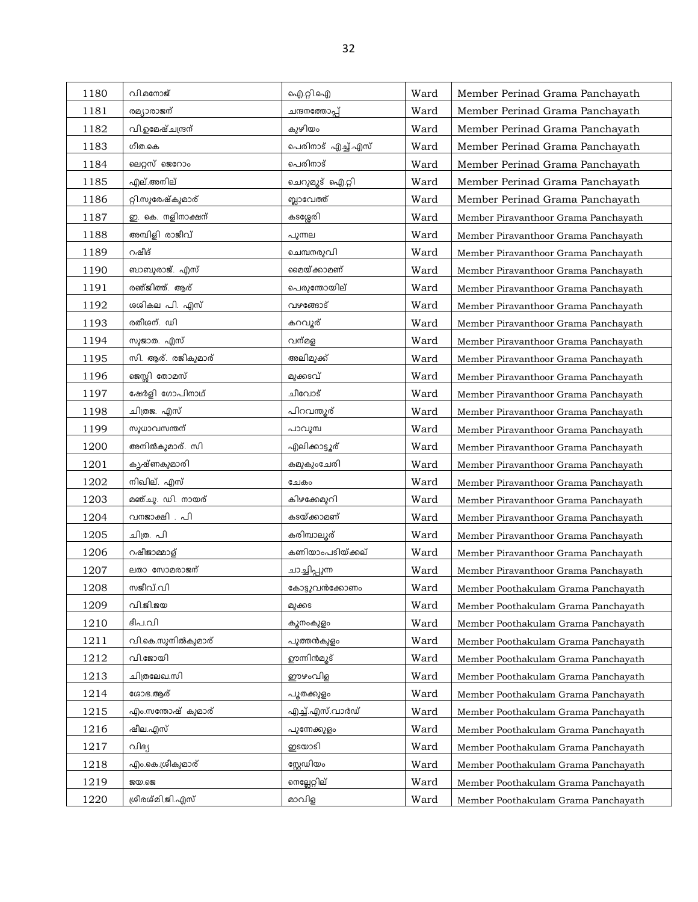| 1180 | വി.മനോജ്           | ഐ.റ്റി.ഐ                    | Ward | Member Perinad Grama Panchayath      |
|------|--------------------|-----------------------------|------|--------------------------------------|
| 1181 | രമ്യാരാജന്         | ചന്ദനത്തോപ്പ്               | Ward | Member Perinad Grama Panchayath      |
| 1182 | വി.ഉമേഷ്ചന്ദ്രന്   | കുഴിയം                      | Ward | Member Perinad Grama Panchayath      |
| 1183 | ഗീത.കെ             | പെരിനാട് എ <u>ച്ച്</u> .എസ് | Ward | Member Perinad Grama Panchayath      |
| 1184 | ലെറ്റസ് ജെറോം      | പെരിനാട്                    | Ward | Member Perinad Grama Panchayath      |
| 1185 | എല്.അനില്          | ചെറുമൂട് ഐ.റ്റി             | Ward | Member Perinad Grama Panchayath      |
| 1186 | റ്റി.സുരേഷ്കുമാര്  | ബ്ലാവേത്ത്                  | Ward | Member Perinad Grama Panchayath      |
| 1187 | ഇ. കെ. നളിനാക്ഷന്  | കടശ്ശേരി                    | Ward | Member Piravanthoor Grama Panchayath |
| 1188 | അമ്പിളി രാജീവ്     | പുന്നല                      | Ward | Member Piravanthoor Grama Panchayath |
| 1189 | റഷീദ്              | ചെമ്പനരുവി                  | Ward | Member Piravanthoor Grama Panchayath |
| 1190 | ബാബുരാജ്. എസ്      | മൈയ്ക്കാമണ്                 | Ward | Member Piravanthoor Grama Panchayath |
| 1191 | രഞ്ജിത്ത്. ആര്     | പെരുന്തോയില്                | Ward | Member Piravanthoor Grama Panchayath |
| 1192 | ശശികല പി. എസ്      | വഴങ്ങോട്                    | Ward | Member Piravanthoor Grama Panchayath |
| 1193 | രതീശന്. ഡി         | കറവൂര്                      | Ward | Member Piravanthoor Grama Panchayath |
| 1194 | സുജാത. എസ്         | വന്മള                       | Ward | Member Piravanthoor Grama Panchayath |
| 1195 | സി. ആര്. രജികുമാര് | അലിമുക്ക്                   | Ward | Member Piravanthoor Grama Panchayath |
| 1196 | ജെസ്സി തോമസ്       | മുക്കടവ്                    | Ward | Member Piravanthoor Grama Panchayath |
| 1197 | ഷേർളി ഗോപിനാഥ്     | ചീവോട്                      | Ward | Member Piravanthoor Grama Panchayath |
| 1198 | ചിത്രജ. എസ്        | പിറവന്തുര്                  | Ward | Member Piravanthoor Grama Panchayath |
| 1199 | സുധാവസന്തന്        | പാവുമ്പ                     | Ward | Member Piravanthoor Grama Panchayath |
| 1200 | അനിൽകുമാര്. സി     | എലിക്കാട്ടൂര്               | Ward | Member Piravanthoor Grama Panchayath |
| 1201 | കൃഷ്ണകുമാരി        | കമുകുംചേരി                  | Ward | Member Piravanthoor Grama Panchayath |
| 1202 | നിഖില്. എസ്        | ചേകം                        | Ward | Member Piravanthoor Grama Panchayath |
| 1203 | മഞ്ചു. ഡി. നായര്   | കിഴക്കേമുറി                 | Ward | Member Piravanthoor Grama Panchayath |
| 1204 | വനജാക്ഷി . പി      | കടയ്ക്കാമണ്                 | Ward | Member Piravanthoor Grama Panchayath |
| 1205 | ചിത്ര. പി          | കരിമ്പാലൂര്                 | Ward | Member Piravanthoor Grama Panchayath |
| 1206 | റഷീജാമ്മാള്        | കണിയാംപടിയ്ക്കല്            | Ward | Member Piravanthoor Grama Panchayath |
| 1207 | ലതാ സോമരാജന്       | ചാച്ചിപ്പുന്ന               | Ward | Member Piravanthoor Grama Panchayath |
| 1208 | സജീവ്.വി           | കോട്ടുവൻക്കോണം              | Ward | Member Poothakulam Grama Panchayath  |
| 1209 | വി.ജി.ജയ           | മുക്കട                      | Ward | Member Poothakulam Grama Panchayath  |
| 1210 | ദീപ.വി             | കുനംകുളം                    | Ward | Member Poothakulam Grama Panchayath  |
| 1211 | വി.കെ.സുനിൽകുമാര്  | പുത്തൻകുളം                  | Ward | Member Poothakulam Grama Panchayath  |
| 1212 | വി.ജോയി            | ഊന്നിൻമൂട്                  | Ward | Member Poothakulam Grama Panchayath  |
| 1213 | ചിത്രലേഖ.സി        | ഈഴംവിള                      | Ward | Member Poothakulam Grama Panchayath  |
| 1214 | ശോഭ.ആര്            | പുതക്കുളം                   | Ward | Member Poothakulam Grama Panchayath  |
| 1215 | എം.സന്തോഷ് കുമാര്  | എച്ച്.എസ്.വാർഡ്             | Ward | Member Poothakulam Grama Panchayath  |
| 1216 | ഷീല.എസ്            | പുന്നേക്കുളം                | Ward | Member Poothakulam Grama Panchayath  |
| 1217 | വിദ്യ              | ഇടയാടി                      | Ward | Member Poothakulam Grama Panchayath  |
| 1218 | എം.കെ.ശ്രീകുമാര്   | സ്റ്റേഡിയം                  | Ward | Member Poothakulam Grama Panchayath  |
| 1219 | <b>200.623</b>     | നെല്ലേറ്റില്                | Ward | Member Poothakulam Grama Panchayath  |
| 1220 | ശ്രീരശ്മി,ജി.എസ്   | മാവിള                       | Ward | Member Poothakulam Grama Panchayath  |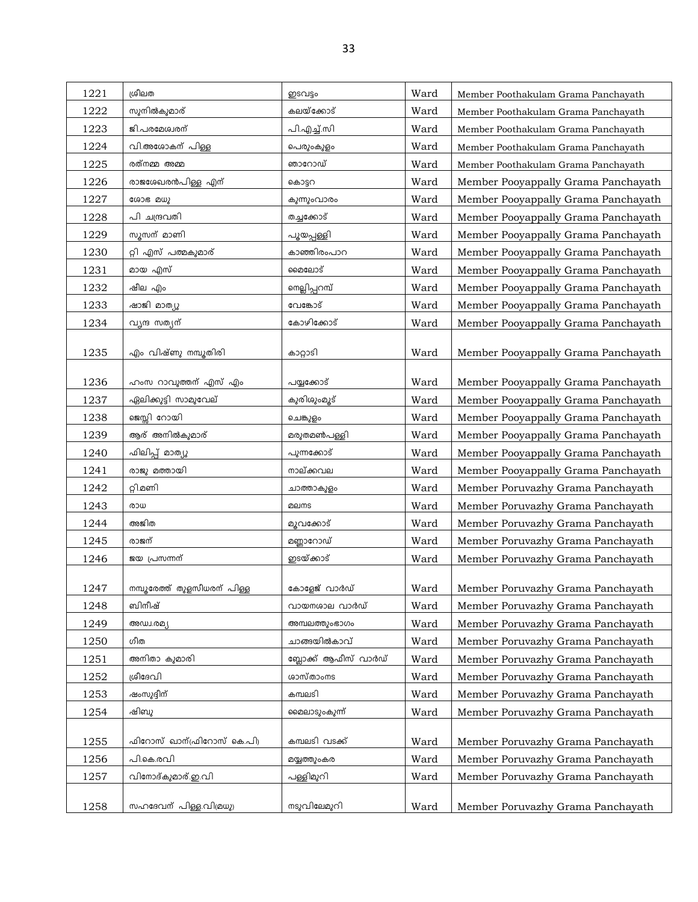| 1221 | ശ്രീലത                      | ഇടവട്ടം              | Ward | Member Poothakulam Grama Panchayath |
|------|-----------------------------|----------------------|------|-------------------------------------|
| 1222 | സുനിൽകുമാര്                 | കലയ്ക്കോട്           | Ward | Member Poothakulam Grama Panchayath |
| 1223 | ജി.പരമേശ്വരന്               | പി.എച്ച്.സി          | Ward | Member Poothakulam Grama Panchayath |
| 1224 | വി.അശോകന് പിള്ള             | പെരുംകുളം            | Ward | Member Poothakulam Grama Panchayath |
| 1225 | രത്നമ്മ അമ്മ                | ഞാറോഡ്               | Ward | Member Poothakulam Grama Panchayath |
| 1226 | രാജശേഖരൻപിള്ള എന്           | കൊട്ടറ               | Ward | Member Pooyappally Grama Panchayath |
| 1227 | ശോഭ മധു                     | കുന്നുംവാരം          | Ward | Member Pooyappally Grama Panchayath |
| 1228 | പി ചന്ദ്രവതി                | തച്ചക്കോട്           | Ward | Member Pooyappally Grama Panchayath |
| 1229 | സൂസന് മാണി                  | പൂയപ്പള്ളി           | Ward | Member Pooyappally Grama Panchayath |
| 1230 | റ്റി എസ് പത്മകുമാര്         | കാഞ്ഞിരംപാറ          | Ward | Member Pooyappally Grama Panchayath |
| 1231 | മായ എസ്                     | മൈലോട്               | Ward | Member Pooyappally Grama Panchayath |
| 1232 | ഷീല എം                      | നെല്ലിപ്പറമ്പ്       | Ward | Member Pooyappally Grama Panchayath |
| 1233 | ഷാജി മാത്യു                 | വേങ്കോട്             | Ward | Member Pooyappally Grama Panchayath |
| 1234 | വൃന്ദ സത്യന്                | കോഴിക്കോട്           | Ward | Member Pooyappally Grama Panchayath |
| 1235 | എം വിഷ്ണു നമ്പൂതിരി         | കാറ്റാടി             | Ward | Member Pooyappally Grama Panchayath |
| 1236 | ഹംസ റാവുത്തന് എസ് എം        | പയ്യക്കോട്           | Ward | Member Pooyappally Grama Panchayath |
| 1237 | ഏലിക്കുട്ടി സാമുവേല്        | കുരിശുംമൂട്          | Ward | Member Pooyappally Grama Panchayath |
| 1238 | ജെസ്സി റോയി                 | ചെങ്കുളം             | Ward | Member Pooyappally Grama Panchayath |
| 1239 | ആര് അനിൽകുമാര്              | മരുതമൺപള്ളി          | Ward | Member Pooyappally Grama Panchayath |
| 1240 | ഫിലിപ്പ് മാത്യൂ             | പുന്നക്കോട്          | Ward | Member Pooyappally Grama Panchayath |
| 1241 | രാജു മത്തായി                | നാല്ക്കവല            | Ward | Member Pooyappally Grama Panchayath |
| 1242 | റ്റി.മണി                    | ചാത്താകുളം           | Ward | Member Poruvazhy Grama Panchayath   |
| 1243 | രാധ                         | മലനട                 | Ward | Member Poruvazhy Grama Panchayath   |
| 1244 | അജിത                        | മുവക്കോട്            | Ward | Member Poruvazhy Grama Panchayath   |
| 1245 | രാജന്                       | മണ്ണാറോഡ്            | Ward | Member Poruvazhy Grama Panchayath   |
| 1246 | ജയ പ്രസന്നന്                | ഇടയ്ക്കാട്           | Ward | Member Poruvazhy Grama Panchayath   |
|      |                             |                      |      |                                     |
| 1247 | നമ്പൂരേത്ത് തുളസീധരന് പിള്ള | കോളേജ് വാർഡ്         | Ward | Member Poruvazhy Grama Panchayath   |
| 1248 | ബിനീഷ്                      | വായനശാല വാർഡ്        | Ward | Member Poruvazhy Grama Panchayath   |
| 1249 | അഡ്വ.രമ്യ                   | അമ്പലത്തുംഭാഗം       | Ward | Member Poruvazhy Grama Panchayath   |
| 1250 | ഗീത                         | ചാങ്ങയിൽകാവ്         | Ward | Member Poruvazhy Grama Panchayath   |
| 1251 | അനിതാ കുമാരി                | ബ്ലോക്ക് ആഫീസ് വാർഡ് | Ward | Member Poruvazhy Grama Panchayath   |
| 1252 | ശ്രീദേവി                    | ശാസ്താംനട            | Ward | Member Poruvazhy Grama Panchayath   |
| 1253 | ഷംസൂദ്ദീന്                  | കമ്പലടി              | Ward | Member Poruvazhy Grama Panchayath   |
| 1254 | ഷിബു                        | മൈലാടുംകുന്ന്        | Ward | Member Poruvazhy Grama Panchayath   |
| 1255 | ഫിറോസ് ഖാന്(ഫിറോസ് കെ.പി)   | കമ്പലടി വടക്ക്       | Ward | Member Poruvazhy Grama Panchayath   |
| 1256 | പി.കെ.രവി                   | മയ്യത്തുംകര          | Ward | Member Poruvazhy Grama Panchayath   |
| 1257 | വിനോദ്കുമാര്.ഇ.വി           | പള്ളിമുറി            | Ward | Member Poruvazhy Grama Panchayath   |
|      |                             |                      |      |                                     |
| 1258 | സഹദേവന് പിള്ള.വിമ്രധു)      | നടുവിലേമുറി          | Ward | Member Poruvazhy Grama Panchayath   |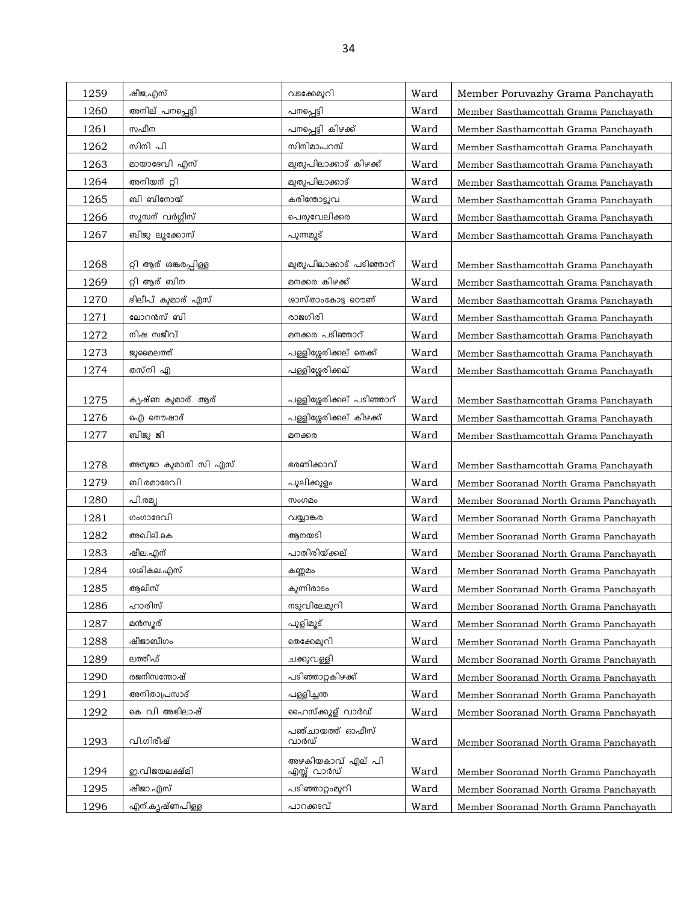| 1259         | ഷീജ,എസ്                    | വടക്കേമുറി                           | Ward         | Member Poruvazhy Grama Panchayath                                                |
|--------------|----------------------------|--------------------------------------|--------------|----------------------------------------------------------------------------------|
| 1260         | അനില് പനപ്പെട്ടി           | പനപ്പെട്ടി                           | Ward         | Member Sasthamcottah Grama Panchayath                                            |
| 1261         | സഫീന                       | പനപ്പെട്ടി കിഴക്ക്                   | Ward         | Member Sasthamcottah Grama Panchayath                                            |
| 1262         | സിനി പി                    | സിനിമാപറമ്പ്                         | Ward         | Member Sasthamcottah Grama Panchayath                                            |
| 1263         | മായാദേവി എസ്               | മുതുപിലാക്കാട് കിഴക്ക്               | Ward         | Member Sasthamcottah Grama Panchayath                                            |
| 1264         | അനിയന് റ്റി                | മുതുപിലാക്കാട്                       | Ward         | Member Sasthamcottah Grama Panchayath                                            |
| 1265         | ബി ബിനോയ്                  | കരിന്തോട്ടുവ                         | Ward         | Member Sasthamcottah Grama Panchayath                                            |
| 1266         | സൂസന് വർഗ്ഗീസ്             | പെരുവേലിക്കര                         | Ward         | Member Sasthamcottah Grama Panchayath                                            |
| 1267         | ബിജു ലൂക്കോസ്              | പുന്നമൂട്                            | Ward         | Member Sasthamcottah Grama Panchayath                                            |
|              |                            |                                      |              |                                                                                  |
| 1268         | റ്റി ആര് ശങ്കരപ്പിള്ള      | മുതുപിലാക്കാട് പടിഞ്ഞാറ്             | Ward         | Member Sasthamcottah Grama Panchayath                                            |
| 1269         | റ്റി ആര് ബിന               | മനക്കര കിഴക്ക്                       | Ward         | Member Sasthamcottah Grama Panchayath                                            |
| 1270         | ദിലീപ് കുമാര് എസ്          | ശാസ്താംകോട്ട റൌണ്                    | Ward         | Member Sasthamcottah Grama Panchayath                                            |
| 1271         | ലോറൻസ് ബി                  | രാജഗിരി                              | Ward         | Member Sasthamcottah Grama Panchayath                                            |
| 1272         | നിഷ സജീവ്                  | മനക്കര പടിഞ്ഞാറ്                     | Ward         | Member Sasthamcottah Grama Panchayath                                            |
| 1273         | ജുമൈലത്ത്                  | പള്ളിശ്ശേരിക്കല് തെക്ക്              | Ward         | Member Sasthamcottah Grama Panchayath                                            |
| 1274         | തസ്നി എ                    | പള്ളിശ്ശേരിക്കല്                     | Ward         | Member Sasthamcottah Grama Panchayath                                            |
|              |                            |                                      |              |                                                                                  |
| 1275         | കൃഷ്ണ കുമാര്. ആര്          | പള്ളിശ്ശേരിക്കല് പടിഞ്ഞാറ്           | Ward         | Member Sasthamcottah Grama Panchayath                                            |
| 1276         | ഐ നൌഷാദ്                   | പള്ളിശ്ശേരിക്കല് കിഴക്ക്             | Ward         | Member Sasthamcottah Grama Panchayath                                            |
| 1277         | ബിജു ജി                    | മനക്കര                               | Ward         | Member Sasthamcottah Grama Panchayath                                            |
|              |                            |                                      |              |                                                                                  |
| 1278         | അനുജാ കുമാരി സി എസ്        | ഭരണിക്കാവ്                           |              |                                                                                  |
| 1279         | ബി.രമാദേവി                 |                                      | Ward<br>Ward | Member Sasthamcottah Grama Panchayath                                            |
| 1280         | പി.രമ്യ                    | പുലിക്കുളം<br>സംഗമം                  | Ward         | Member Sooranad North Grama Panchayath                                           |
| 1281         | ഗംഗാദേവി                   | വയ്യാങ്കര                            | Ward         | Member Sooranad North Grama Panchayath                                           |
| 1282         | അഖില്.കെ                   | ആനയടി                                | Ward         | Member Sooranad North Grama Panchayath<br>Member Sooranad North Grama Panchayath |
| 1283         | ഷീല.എന്                    | പാതിരിയ്ക്കല്                        | Ward         |                                                                                  |
| 1284         | ശശികല.എസ്                  | കണ്ണമം                               | Ward         | Member Sooranad North Grama Panchayath<br>Member Sooranad North Grama Panchayath |
| 1285         | ആലീസ്                      | കുന്നിരാടം                           | Ward         | Member Sooranad North Grama Panchayath                                           |
| 1286         | ഹാരിസ്                     | നടുവിലേമുറി                          | Ward         | Member Sooranad North Grama Panchayath                                           |
| 1287         | മൻസൂര്                     | പുളിമൂട്                             | Ward         | Member Sooranad North Grama Panchayath                                           |
| 1288         | ഷീജാബീഗം                   | തെക്കേമുറി                           | Ward         | Member Sooranad North Grama Panchayath                                           |
| 1289         | ലത്തീഫ്                    | ചക്കുവള്ളി                           | Ward         | Member Sooranad North Grama Panchayath                                           |
| 1290         | രജനീസന്തോഷ്                | പടിഞ്ഞാറ്റകിഴക്ക്                    | Ward         |                                                                                  |
| 1291         | അനിതാപ്രസാദ്               | പള്ളിച്ചന്ത                          | Ward         | Member Sooranad North Grama Panchayath<br>Member Sooranad North Grama Panchayath |
| 1292         | കെ വി അഭിലാഷ്              |                                      |              |                                                                                  |
|              |                            | ഹൈസ്ക്കൂള് വാർഡ്<br>പഞ്ചായത്ത് ഓഫീസ് | Ward         | Member Sooranad North Grama Panchayath                                           |
| 1293         | വി.ഗിരീഷ്                  | വാർഡ്                                | Ward         | Member Sooranad North Grama Panchayath                                           |
|              |                            | അഴകിയകാവ് എല് പി                     |              |                                                                                  |
| 1294         | ഇ.വിജയലക്ഷ്മി              | എസ്സ് വാർഡ്                          | Ward         | Member Sooranad North Grama Panchayath                                           |
| 1295<br>1296 | ഷീജാ.എസ്<br>എന്.കൃഷ്ണപിള്ള | പടിഞ്ഞാറ്റംമുറി<br>പാറക്കടവ്         | Ward<br>Ward | Member Sooranad North Grama Panchayath<br>Member Sooranad North Grama Panchayath |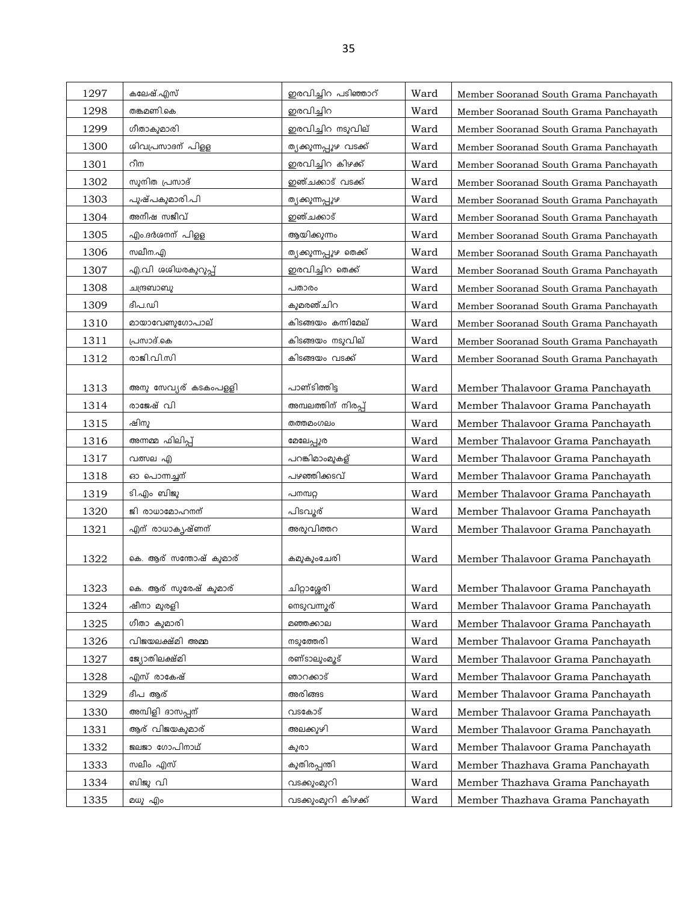| 1297 | കലേഷ്.എസ്              | ഇരവിച്ചിറ പടിഞ്ഞാറ്    | Ward | Member Sooranad South Grama Panchayath |
|------|------------------------|------------------------|------|----------------------------------------|
| 1298 | തങ്കമണി.കെ             | ഇരവിച്ചിറ              | Ward | Member Sooranad South Grama Panchayath |
| 1299 | ഗീതാകുമാരി             | ഇരവിച്ചിറ നടുവില്      | Ward | Member Sooranad South Grama Panchayath |
| 1300 | ശിവപ്രസാദന് പിള്ള      | ത്യക്കുന്നപ്പുഴ വടക്ക് | Ward | Member Sooranad South Grama Panchayath |
| 1301 | റീന                    | ഇരവിച്ചിറ കിഴക്ക്      | Ward | Member Sooranad South Grama Panchayath |
| 1302 | സുനിത പ്രസാദ്          | ഇഞ്ചക്കാട് വടക്ക്      | Ward | Member Sooranad South Grama Panchayath |
| 1303 | പുഷ്പകുമാരി.പി         | ത്യക്കുന്നപ്പുഴ        | Ward | Member Sooranad South Grama Panchayath |
| 1304 | അനീഷ സജീവ്             | ഇഞ്ചക്കാട്             | Ward | Member Sooranad South Grama Panchayath |
| 1305 | എം.ദർശനന് പിളള         | ആയിക്കുന്നം            | Ward | Member Sooranad South Grama Panchayath |
| 1306 | സലീന.എ                 | ത്യക്കുന്നപ്പുഴ തെക്ക് | Ward | Member Sooranad South Grama Panchayath |
| 1307 | എ.വി ശശിധരകുറുപ്പ്     | ഇരവിച്ചിറ തെക്ക്       | Ward | Member Sooranad South Grama Panchayath |
| 1308 | ചന്ദ്രബാബു             | പതാരം                  | Ward | Member Sooranad South Grama Panchayath |
| 1309 | ദീപ.ഡി                 | കുമരഞ്ചിറ              | Ward | Member Sooranad South Grama Panchayath |
| 1310 | മായാവേണുഗോപാല്         | കിടങ്ങയം കന്നിമേല്     | Ward | Member Sooranad South Grama Panchayath |
| 1311 | പ്രസാദ്.കെ             | കിടങ്ങയം നടുവില്       | Ward | Member Sooranad South Grama Panchayath |
| 1312 | രാജി.വി.സി             | കിടങ്ങയം വടക്ക്        | Ward | Member Sooranad South Grama Panchayath |
|      |                        |                        |      |                                        |
| 1313 | അനു സേവ്യര് കടകംപളളി   | പാണ്ടിത്തിട്ട          | Ward | Member Thalavoor Grama Panchayath      |
| 1314 | രാജേഷ് വി              | അമ്പലത്തിന് നിരപ്പ്    | Ward | Member Thalavoor Grama Panchayath      |
| 1315 | ഷിനു                   | തത്തമംഗലം              | Ward | Member Thalavoor Grama Panchayath      |
| 1316 | അന്നമ്മ ഫിലിപ്പ്       | മേലേപ്പുര              | Ward | Member Thalavoor Grama Panchayath      |
| 1317 | വത്സല എ                | പറങ്കിമാംമുകള്         | Ward | Member Thalavoor Grama Panchayath      |
| 1318 | ഓ പൊന്നച്ചന്           | പഴഞ്ഞിക്കടവ്           | Ward | Member Thalavoor Grama Panchayath      |
| 1319 | ടി.എം ബിജു             | പനമ്പറ്റ               | Ward | Member Thalavoor Grama Panchayath      |
| 1320 | ജി രാധാമോഹനന്          | പിടവൂര്                | Ward | Member Thalavoor Grama Panchayath      |
| 1321 | എന് രാധാകൃഷ്ണന്        | അരുവിത്തറ              | Ward | Member Thalavoor Grama Panchayath      |
| 1322 | കെ. ആര് സന്തോഷ് കുമാര് | കമുകുംചേരി             | Ward | Member Thalavoor Grama Panchayath      |
|      |                        |                        |      |                                        |
| 1323 | കെ. ആര് സുരേഷ് കുമാര്  | ചിറ്റാശ്ശേരി           | Ward | Member Thalavoor Grama Panchayath      |
| 1324 | ഷീനാ മുരളി             | നെടുവന്നുര്            | Ward | Member Thalavoor Grama Panchayath      |
| 1325 | ഗീതാ കുമാരി            | മഞ്ഞക്കാല              | Ward | Member Thalavoor Grama Panchayath      |
| 1326 | വിജയലക്ഷ്മി അമ്മ       | നടുത്തേരി              | Ward | Member Thalavoor Grama Panchayath      |
| 1327 | ജ്യോതിലക്ഷ്മി          | രണ്ടാലുംമൂട്           | Ward | Member Thalavoor Grama Panchayath      |
| 1328 | എസ് രാകേഷ്             | ഞാറക്കാട്              | Ward | Member Thalavoor Grama Panchayath      |
| 1329 | ദീപ ആര്                | അരിങ്ങട                | Ward | Member Thalavoor Grama Panchayath      |
| 1330 | അമ്പിളി ദാസപ്പന്       | വടകോട്                 | Ward | Member Thalavoor Grama Panchayath      |
| 1331 | ആര് വിജയകുമാര്         | അലക്കുഴി               | Ward | Member Thalavoor Grama Panchayath      |
| 1332 | ജലജാ ഗോപിനാഥ്          | കുരാ                   | Ward | Member Thalavoor Grama Panchayath      |
| 1333 | സലീം എസ്               | കുതിരപ്പന്തി           | Ward | Member Thazhava Grama Panchayath       |
| 1334 | ബിജു വി                | വടക്കുംമുറി            | Ward | Member Thazhava Grama Panchayath       |
| 1335 | മധു എം                 | വടക്കുംമുറി കിഴക്ക്    | Ward | Member Thazhava Grama Panchayath       |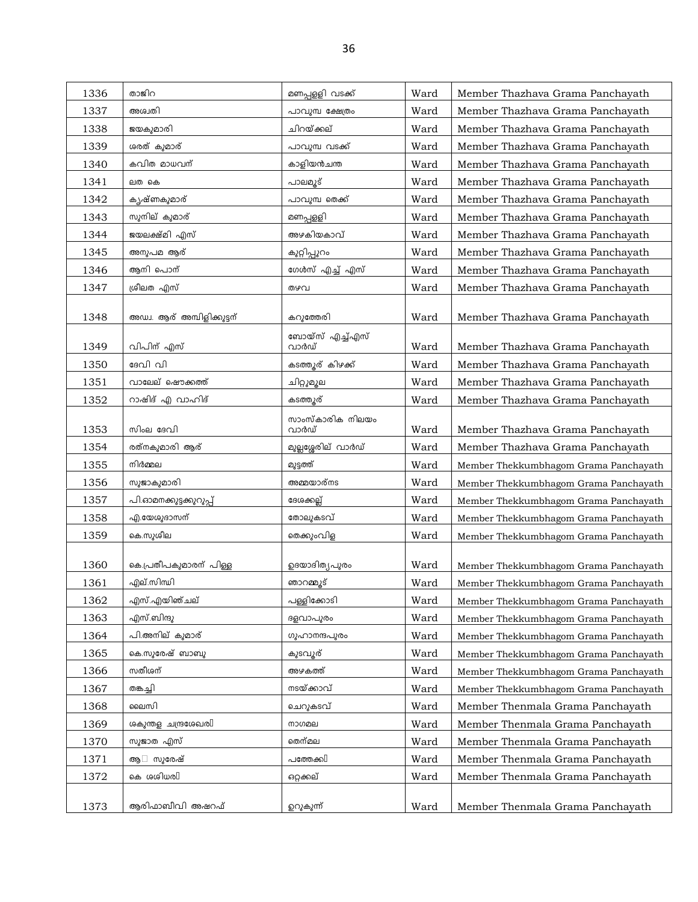| 1336 | താജിറ                      | മണപ്പളളി വടക്ക്          | Ward | Member Thazhava Grama Panchayath      |
|------|----------------------------|--------------------------|------|---------------------------------------|
| 1337 | അശ്വതി                     | പാവുമ്പ ക്ഷേത്രം         | Ward | Member Thazhava Grama Panchayath      |
| 1338 | ജയകുമാരി                   | ചിറയ്ക്കല്               | Ward | Member Thazhava Grama Panchayath      |
| 1339 | ശരത് കുമാര്                | പാവുമ്പ വടക്ക്           | Ward | Member Thazhava Grama Panchayath      |
| 1340 | കവിത മാധവന്                | കാളിയൻചന്ത               | Ward | Member Thazhava Grama Panchayath      |
| 1341 | ലത കെ                      | പാലമൂട്                  | Ward | Member Thazhava Grama Panchayath      |
| 1342 | കൃഷ്ണകുമാര്                | പാവുമ്പ തെക്ക്           | Ward | Member Thazhava Grama Panchayath      |
| 1343 | സുനില് കുമാര്              | മണപ്പളളി                 | Ward | Member Thazhava Grama Panchayath      |
| 1344 | ജയലക്ഷ്മി എസ്              | അഴകിയകാവ്                | Ward | Member Thazhava Grama Panchayath      |
| 1345 | അനുപമ ആര്                  | കുറ്റിപ്പുറം             | Ward | Member Thazhava Grama Panchayath      |
| 1346 | ആനി പൊന്                   | ഗേൾസ് എച്ച് എസ്          | Ward | Member Thazhava Grama Panchayath      |
| 1347 | ശ്രീലത എസ്                 | തഴവ                      | Ward | Member Thazhava Grama Panchayath      |
|      |                            |                          |      |                                       |
| 1348 | അഡ്വ. ആര് അമ്പിളിക്കുട്ടന് | കറുത്തേരി                | Ward | Member Thazhava Grama Panchayath      |
| 1349 | വിപിന് എസ്                 | ബോയ്സ് എച്ച്എസ്<br>വാർഡ് | Ward | Member Thazhava Grama Panchayath      |
| 1350 | ദേവി വി                    | കടത്തൂര് കിഴക്ക്         | Ward | Member Thazhava Grama Panchayath      |
| 1351 | വാലേല് ഷൌക്കത്ത്           | ചിറ്റുമൂല                | Ward | Member Thazhava Grama Panchayath      |
| 1352 | റാഷിദ് എ വാഹിദ്            | കടത്തുര്                 | Ward | Member Thazhava Grama Panchayath      |
|      |                            | സാംസ്കാരിക നിലയം         |      |                                       |
| 1353 | സിംല ദേവി                  | വാർഡ്                    | Ward | Member Thazhava Grama Panchayath      |
| 1354 | രത്നകുമാരി ആര്             | മുല്ലശ്ശേരില് വാർഡ്      | Ward | Member Thazhava Grama Panchayath      |
| 1355 | നിർമ്മല                    | മുട്ടത്ത്                | Ward | Member Thekkumbhagom Grama Panchayath |
| 1356 | സുജാകുമാരി                 | അമ്മയാര്നട               | Ward | Member Thekkumbhagom Grama Panchayath |
| 1357 | പി.ഓമനക്കുട്ടക്കുറുപ്പ്    | ദേശക്കല്ല്               | Ward | Member Thekkumbhagom Grama Panchayath |
| 1358 | എ.യേശുദാസന്                | തോലുകടവ്                 | Ward | Member Thekkumbhagom Grama Panchayath |
| 1359 | കെ.സുശീല                   | തെക്കുംവിള               | Ward | Member Thekkumbhagom Grama Panchayath |
|      |                            |                          |      |                                       |
| 1360 | കെ.പ്രതീപകുമാരന് പിള്ള     | ഉദയാദിത്യപുരം            | Ward | Member Thekkumbhagom Grama Panchayath |
| 1361 | എല്.സിന്ധി                 | ഞാറമ്മൂട്                | Ward | Member Thekkumbhagom Grama Panchayath |
| 1362 | എസ്.എയിഞ്ചല്               | പള്ളിക്കോടി              | Ward | Member Thekkumbhagom Grama Panchayath |
| 1363 | എസ്.ബിന്ദു                 | ദളവാപുരം                 | Ward | Member Thekkumbhagom Grama Panchayath |
| 1364 | പി.അനില് കുമാര്            | ഗുഹാനന്ദപുരം             | Ward | Member Thekkumbhagom Grama Panchayath |
| 1365 | കെ.സുരേഷ് ബാബു             | കുടവൂര്                  | Ward | Member Thekkumbhagom Grama Panchayath |
| 1366 | സതീശന്                     | അഴകത്ത്                  | Ward | Member Thekkumbhagom Grama Panchayath |
| 1367 | തങ്കച്ചി                   | നടയ്ക്കാവ്               | Ward | Member Thekkumbhagom Grama Panchayath |
| 1368 | ലൈസി                       | ചെറുകടവ്                 | Ward | Member Thenmala Grama Panchayath      |
| 1369 | ശകുന്തള ചന്ദ്രശേഖരി        | നാഗമല                    | Ward | Member Thenmala Grama Panchayath      |
| 1370 | സുജാത എസ്                  | തെന്മല                   | Ward | Member Thenmala Grama Panchayath      |
| 1371 | സുരേഷ്<br>ആ                | പത്തേക്ക $\mathbb I$     | Ward | Member Thenmala Grama Panchayath      |
| 1372 | കെ ശശിധര $\mathbb I$       | ഒറ്റക്കല്                | Ward | Member Thenmala Grama Panchayath      |
| 1373 | ആരിഫാബീവി അഷറഫ്            | ഉറുകുന്ന്                | Ward | Member Thenmala Grama Panchayath      |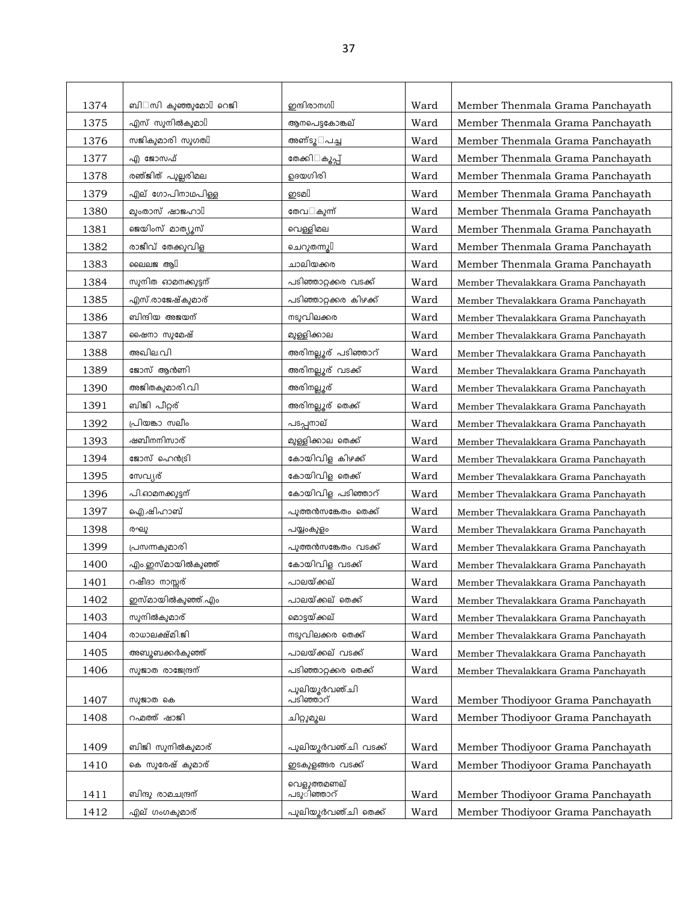| 1374 | ബി സി കുഞ്ഞുമോ $\mathbb I$ റെജി | ഇന്ദിരാനഗി             | Ward | Member Thenmala Grama Panchayath     |
|------|---------------------------------|------------------------|------|--------------------------------------|
| 1375 | എസ് സുനിൽകുമാ $\mathbb I$       | ആനപെട്ടകോങ്കല്         | Ward | Member Thenmala Grama Panchayath     |
| 1376 | സജികുമാരി സുഗതി                 | അണ്ടൂ പച്ച             | Ward | Member Thenmala Grama Panchayath     |
| 1377 | എ ജോസഫ്                         | തേക്കി കൂപ്പ്          | Ward | Member Thenmala Grama Panchayath     |
| 1378 | രഞ്ജിത് പുല്ലരിമല               | ഉദയഗിരി                | Ward | Member Thenmala Grama Panchayath     |
| 1379 | എല് ഗോപിനാഥപിള്ള                | ഇsമ[                   | Ward | Member Thenmala Grama Panchayath     |
| 1380 | മുംതാസ് ഷാജഹാ $\mathbb I$       | തേവ കുന്ന്             | Ward | Member Thenmala Grama Panchayath     |
| 1381 | ജെയിംസ് മാത്യൂസ്                | വെള്ളിമല               | Ward | Member Thenmala Grama Panchayath     |
| 1382 | രാജീവ് തേക്കുവിള                | ചെറുതന്നു $[]$         | Ward | Member Thenmala Grama Panchayath     |
| 1383 | ലൈലജ ആ $\mathbb I$              | ചാലിയക്കര              | Ward | Member Thenmala Grama Panchayath     |
| 1384 | സുനിത ഓമനക്കുട്ടന്              | പടിഞ്ഞാറ്റക്കര വടക്ക്  | Ward | Member Thevalakkara Grama Panchayath |
| 1385 | എസ്.രാജേഷ്കുമാര്                | പടിഞ്ഞാറ്റക്കര കിഴക്ക് | Ward | Member Thevalakkara Grama Panchayath |
| 1386 | ബിന്ദിയ അജയന്                   | നടുവിലക്കര             | Ward | Member Thevalakkara Grama Panchayath |
| 1387 | ഷൈനാ സുമേഷ്                     | മുള്ളിക്കാല            | Ward | Member Thevalakkara Grama Panchayath |
| 1388 | അഖില.വി                         | അരിനല്ലൂര് പടിഞ്ഞാറ്   | Ward | Member Thevalakkara Grama Panchayath |
| 1389 | ജോസ് ആൻണി                       | അരിനല്ലൂര് വടക്ക്      | Ward | Member Thevalakkara Grama Panchayath |
| 1390 | അജിതകുമാരി.വി                   | അരിനല്ലൂര്             | Ward | Member Thevalakkara Grama Panchayath |
| 1391 | ബിജി പീറ്റര്                    | അരിനല്ലൂര് തെക്ക്      | Ward | Member Thevalakkara Grama Panchayath |
| 1392 | പ്രിയങ്കാ സലീം                  | പടപ്പനാല്              | Ward | Member Thevalakkara Grama Panchayath |
| 1393 | ഷബീനനിസാര്                      | മുള്ളിക്കാല തെക്ക്     | Ward | Member Thevalakkara Grama Panchayath |
| 1394 | ജോസ് ഹെൻട്രി                    | കോയിവിള കിഴക്ക്        | Ward | Member Thevalakkara Grama Panchayath |
| 1395 | സേവ്യര്                         | കോയിവിള തെക്ക്         | Ward | Member Thevalakkara Grama Panchayath |
| 1396 | പി.ഓമനക്കുട്ടന്                 | കോയിവിള പടിഞ്ഞാറ്      | Ward | Member Thevalakkara Grama Panchayath |
| 1397 | ഐ.ഷിഹാബ്                        | പുത്തൻസങ്കേതം തെക്ക്   | Ward | Member Thevalakkara Grama Panchayath |
| 1398 | രഘു                             | പയ്യംകുളം              | Ward | Member Thevalakkara Grama Panchayath |
| 1399 | പ്രസന്നകുമാരി                   | പുത്തൻസങ്കേതം വടക്ക്   | Ward | Member Thevalakkara Grama Panchayath |
| 1400 | എം.ഇസ്മായിൽകുഞ്ഞ്               | കോയിവിള വടക്ക്         | Ward | Member Thevalakkara Grama Panchayath |
| 1401 | റഷീദാ നാസ്സര്                   | പാലയ്ക്കല്             | Ward | Member Thevalakkara Grama Panchayath |
| 1402 | ഇസ്മായിൽകുഞ്ഞ്.എം               | പാലയ്ക്കല് തെക്ക്      | Ward | Member Thevalakkara Grama Panchayath |
| 1403 | സുനിൽകുമാര്                     | മൊട്ടയ്ക്കല്           | Ward | Member Thevalakkara Grama Panchayath |
| 1404 | രാധാലക്ഷ്മി.ജി                  | നടുവിലക്കര തെക്ക്      | Ward | Member Thevalakkara Grama Panchayath |
| 1405 | അബുബക്കർകുഞ്ഞ്                  | പാലയ്ക്കല് വടക്ക്      | Ward | Member Thevalakkara Grama Panchayath |
| 1406 | സുജാത രാജേന്ദ്രന്               | പടിഞ്ഞാറ്റക്കര തെക്ക്  | Ward | Member Thevalakkara Grama Panchayath |
|      |                                 | പുലിയൂർവഞ്ചി           |      |                                      |
| 1407 | സുജാത കെ                        | പടിഞ്ഞാറ്              | Ward | Member Thodiyoor Grama Panchayath    |
| 1408 | റഹ്മത്ത് ഷാജി                   | ചിറ്റുമൂല              | Ward | Member Thodiyoor Grama Panchayath    |
| 1409 | ബിജി സുനിൽകുമാര്                | പുലിയൂർവഞ്ചി വടക്ക്    | Ward | Member Thodiyoor Grama Panchayath    |
| 1410 | കെ സുരേഷ് കുമാര്                | ഇടകുളങ്ങര വടക്ക്       | Ward | Member Thodiyoor Grama Panchayath    |
|      |                                 | വെളുത്തമണല്            |      |                                      |
| 1411 | ബിന്ദു രാമചന്ദ്രന്              | പടുിഞ്ഞാറ്             | Ward | Member Thodiyoor Grama Panchayath    |
| 1412 | എല് ഗംഗകുമാര്                   | പുലിയൂർവഞ്ചി തെക്ക്    | Ward | Member Thodiyoor Grama Panchayath    |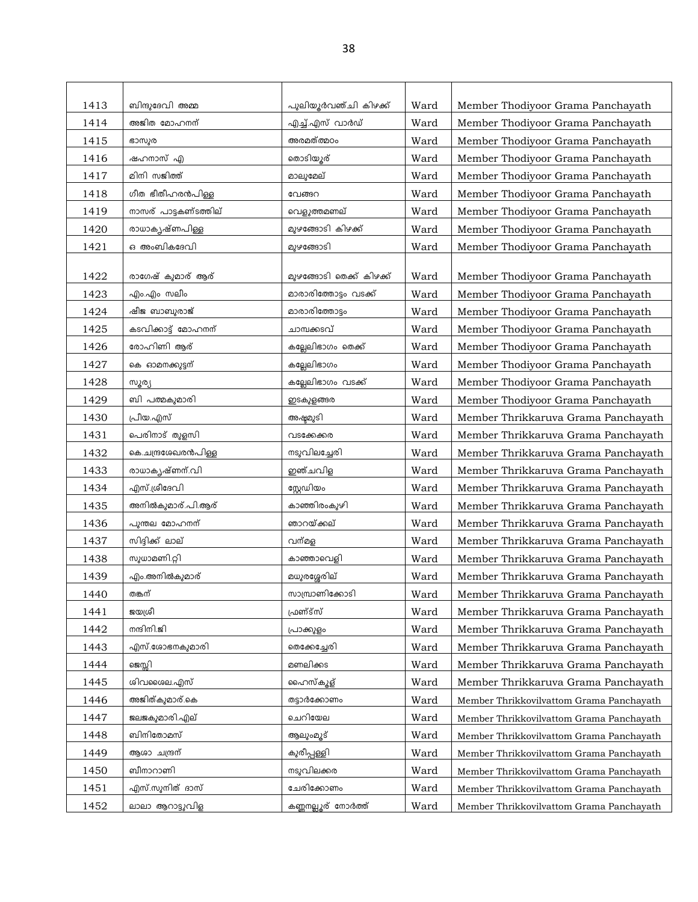| 1413 | ബിന്ദുദേവി അമ്മ       | പുലിയൂർവഞ്ചി കിഴക്ക്     | Ward | Member Thodiyoor Grama Panchayath        |
|------|-----------------------|--------------------------|------|------------------------------------------|
| 1414 | അജിത മോഹനന്           | <u>എച്ച്.എ</u> സ് വാർഡ്  | Ward | Member Thodiyoor Grama Panchayath        |
| 1415 | ഭാസുര                 | അരമത്ത്മഠം               | Ward | Member Thodiyoor Grama Panchayath        |
| 1416 | ഷഹനാസ് എ              | തൊടിയൂര്                 | Ward | Member Thodiyoor Grama Panchayath        |
| 1417 | മിനി സജിത്ത്          | മാലുമേല്                 | Ward | Member Thodiyoor Grama Panchayath        |
| 1418 | ഗീത ഭീതീഹരൻപിള്ള      | വേങ്ങറ                   | Ward | Member Thodiyoor Grama Panchayath        |
| 1419 | നാസര് പാട്ടകണ്ടത്തില് | വെളുത്തമണല്              | Ward | Member Thodiyoor Grama Panchayath        |
| 1420 | രാധാകൃഷ്ണപിള്ള        | മുഴങ്ങോടി കിഴക്ക്        | Ward | Member Thodiyoor Grama Panchayath        |
| 1421 | ഒ അംബികദേവി           | മുഴങ്ങോടി                | Ward | Member Thodiyoor Grama Panchayath        |
|      |                       |                          |      |                                          |
| 1422 | രാഗേഷ് കുമാര് ആര്     | മുഴങ്ങോടി തെക്ക് കിഴക്ക് | Ward | Member Thodiyoor Grama Panchayath        |
| 1423 | എം.എം സലീം            | മാരാരിത്തോട്ടം വടക്ക്    | Ward | Member Thodiyoor Grama Panchayath        |
| 1424 | ഷീജ ബാബുരാജ്          | മാരാരിത്തോട്ടം           | Ward | Member Thodiyoor Grama Panchayath        |
| 1425 | കടവിക്കാട്ട് മോഹനന്   | ചാമ്പക്കടവ്              | Ward | Member Thodiyoor Grama Panchayath        |
| 1426 | രോഹിണി ആര്            | കല്ലേലിഭാഗം തെക്ക്       | Ward | Member Thodiyoor Grama Panchayath        |
| 1427 | കെ ഓമനക്കുട്ടന്       | കല്ലേലിഭാഗം              | Ward | Member Thodiyoor Grama Panchayath        |
| 1428 | സൂര്യ                 | കല്ലേലിഭാഗം വടക്ക്       | Ward | Member Thodiyoor Grama Panchayath        |
| 1429 | ബി പത്മകുമാരി         | ഇടകുളങ്ങര                | Ward | Member Thodiyoor Grama Panchayath        |
| 1430 | പ്രീയ.എസ്             | അഷ്ടമുടി                 | Ward | Member Thrikkaruva Grama Panchayath      |
| 1431 | പെരിനാട് തുളസി        | വടക്കേക്കര               | Ward | Member Thrikkaruva Grama Panchayath      |
| 1432 | കെ.ചന്ദ്രശേഖരൻപിള്ള   | നടുവിലച്ചേരി             | Ward | Member Thrikkaruva Grama Panchayath      |
| 1433 | രാധാകൃഷ്ണന്.വി        | ഇഞ്ചവിള                  | Ward | Member Thrikkaruva Grama Panchayath      |
| 1434 | എസ്.ശ്രീദേവി          | സ്റ്റേഡിയം               | Ward | Member Thrikkaruva Grama Panchayath      |
| 1435 | അനിൽകുമാര്.പി.ആര്     | കാഞ്ഞിരംകുഴി             | Ward | Member Thrikkaruva Grama Panchayath      |
| 1436 | പുന്തല മോഹനന്         | ഞാറയ്ക്കല്               | Ward | Member Thrikkaruva Grama Panchayath      |
| 1437 | സിദ്ദിക്ക് ലാല്       | വന്മള                    | Ward | Member Thrikkaruva Grama Panchayath      |
| 1438 | സുധാമണി.റ്റി          | കാഞ്ഞാവെളി               | Ward | Member Thrikkaruva Grama Panchayath      |
| 1439 | എം.അനിൽകുമാര്         | മധുരശ്ശേരില്             | Ward | Member Thrikkaruva Grama Panchayath      |
| 1440 | തങ്കന്                | സാമ്പ്രാണിക്കോടി         | Ward | Member Thrikkaruva Grama Panchayath      |
| 1441 | ജയശ്രീ                | ഫ്രണ്ട്സ്                | Ward | Member Thrikkaruva Grama Panchayath      |
| 1442 | നന്ദിനി.ജി            | പ്രാക്കുളം               | Ward | Member Thrikkaruva Grama Panchayath      |
| 1443 | എസ്.ശോഭനകുമാരി        | തെക്കേച്ചേരി             | Ward | Member Thrikkaruva Grama Panchayath      |
| 1444 | ജെസ്സി                | മണലിക്കട                 | Ward | Member Thrikkaruva Grama Panchayath      |
| 1445 | ശിവശൈല.എസ്            | ഹൈസ്കൂള്                 | Ward | Member Thrikkaruva Grama Panchayath      |
| 1446 | അജിത്കുമാര്.കെ        | തട്ടാർക്കോണം             | Ward | Member Thrikkovilvattom Grama Panchayath |
| 1447 | ജലജകുമാരി.എല്         | ചെറിയേല                  | Ward | Member Thrikkovilvattom Grama Panchayath |
| 1448 | ബിനിതോമസ്             | ആലുംമൂട്                 | Ward | Member Thrikkovilvattom Grama Panchayath |
| 1449 | ആശാ ചന്ദ്രന്          | കുരീപ്പള്ളി              | Ward | Member Thrikkovilvattom Grama Panchayath |
| 1450 | ബീനാറാണി              | നടുവിലക്കര               | Ward | Member Thrikkovilvattom Grama Panchayath |
| 1451 | എസ്.സുനിത് ദാസ്       | ചേരിക്കോണം               | Ward | Member Thrikkovilvattom Grama Panchayath |
| 1452 | ലാലാ ആറാട്ടുവിള       | കണ്ണനല്ലൂര് നോർത്ത്      | Ward | Member Thrikkovilvattom Grama Panchayath |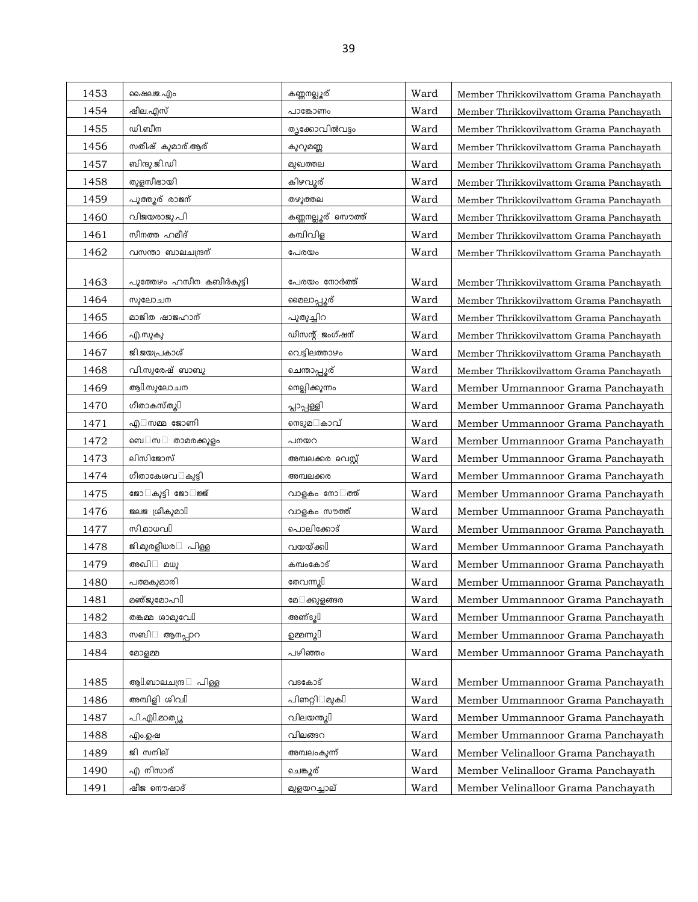| 1453 | ഷൈലജ.എം                          | കണ്ണനല്ലൂര്          | Ward | Member Thrikkovilvattom Grama Panchayath |
|------|----------------------------------|----------------------|------|------------------------------------------|
| 1454 | ഷീല.എസ്                          | പാങ്കോണം             | Ward | Member Thrikkovilvattom Grama Panchayath |
| 1455 | ഡി.ബീന                           | തൃക്കോവിൽവട്ടം       | Ward | Member Thrikkovilvattom Grama Panchayath |
| 1456 | സതീഷ് കുമാര്.ആര്                 | കുറുമണ്ണ             | Ward | Member Thrikkovilvattom Grama Panchayath |
| 1457 | ബിന്ദു.ജി.ഡി                     | മുഖത്തല              | Ward | Member Thrikkovilvattom Grama Panchayath |
| 1458 | തുളസീഭായി                        | കിഴവൂര്              | Ward | Member Thrikkovilvattom Grama Panchayath |
| 1459 | പുത്തൂര് രാജന്                   | തഴുത്തല              | Ward | Member Thrikkovilvattom Grama Panchayath |
| 1460 | വിജയരാജു.പി                      | കണ്ണനല്ലൂര് സൌത്ത്   | Ward | Member Thrikkovilvattom Grama Panchayath |
| 1461 | സീനത്ത ഹമീദ്                     | കമ്പിവിള             | Ward | Member Thrikkovilvattom Grama Panchayath |
| 1462 | വസന്താ ബാലചന്ദ്രന്               | പേരയം                | Ward | Member Thrikkovilvattom Grama Panchayath |
|      |                                  |                      |      |                                          |
| 1463 | പുത്തേഴം ഹസീന കബീർകുട്ടി         | പേരയം നോർത്ത്        | Ward | Member Thrikkovilvattom Grama Panchayath |
| 1464 | സുലോചന                           | മൈലാപ്പൂര്           | Ward | Member Thrikkovilvattom Grama Panchayath |
| 1465 | മാജിത ഷാജഹാന്                    | പുതുച്ചിറ            | Ward | Member Thrikkovilvattom Grama Panchayath |
| 1466 | എ.സുകു                           | ഡീസന്റ് ജംഗ്ഷന്      | Ward | Member Thrikkovilvattom Grama Panchayath |
| 1467 | ജി.ജയപ്രകാശ്                     | വെട്ടിലത്താഴം        | Ward | Member Thrikkovilvattom Grama Panchayath |
| 1468 | വി.സുരേഷ് ബാബു                   | ചെന്താപ്പൂര്         | Ward | Member Thrikkovilvattom Grama Panchayath |
| 1469 | ആ $\mathbb{I}$ .സുലോചന           | നെല്ലിക്കുന്നം       | Ward | Member Ummannoor Grama Panchayath        |
| 1470 | ഗീതാകസ്തൂ[]                      | പ്ലാപ്പള്ളി          | Ward | Member Ummannoor Grama Panchayath        |
| 1471 | എ സമ്മ ജോണി                      | നെടുമ കാവ്           | Ward | Member Ummannoor Grama Panchayath        |
| 1472 | ബെ സ<br>താമരക്കുളം               | പനയറ                 | Ward | Member Ummannoor Grama Panchayath        |
| 1473 | ലിസിജോസ്                         | അമ്പലക്കര വെസ്റ്റ്   | Ward | Member Ummannoor Grama Panchayath        |
| 1474 | ഗീതാകേശവ കൂട്ടി                  | അമ്പലക്കര            | Ward | Member Ummannoor Grama Panchayath        |
| 1475 | ജോ കുട്ടി ജോ ജ്ജ്                | വാളകം നോ ത്ത്        | Ward | Member Ummannoor Grama Panchayath        |
| 1476 | ജലജ ശ്രീകുമാ $\mathbb I$         | വാളകം സൗത്ത്         | Ward | Member Ummannoor Grama Panchayath        |
| 1477 | സി.മാധവി                         | പൊലിക്കോട്           | Ward | Member Ummannoor Grama Panchayath        |
| 1478 | ജി.മുരളീധര<br>പിള്ള              | വയയ്ക്കി             | Ward | Member Ummannoor Grama Panchayath        |
| 1479 | അഖി<br>മധു                       | കമ്പംകോട്            | Ward | Member Ummannoor Grama Panchayath        |
| 1480 | പത്മകുമാരി                       | തേവന്നു $\mathbb I$  | Ward | Member Ummannoor Grama Panchayath        |
| 1481 | മഞ്ജുമോഹി                        | മേ ക്കുളങ്ങര         | Ward | Member Ummannoor Grama Panchayath        |
| 1482 | തങ്കമ്മ ശാമുവേ[                  | അണ്ടു $\mathbb I$    | Ward | Member Ummannoor Grama Panchayath        |
| 1483 | സബി<br>ആനപ്പാറ                   | ഉമ്മന്നൂ $\mathbb I$ | Ward | Member Ummannoor Grama Panchayath        |
| 1484 | മോളമ്മ                           | പഴിഞ്ഞം              | Ward | Member Ummannoor Grama Panchayath        |
|      |                                  |                      |      |                                          |
| 1485 | ആ $\mathbb L$ ബാലചന്ദ്ര<br>പിള്ള | വടകോട്               | Ward | Member Ummannoor Grama Panchayath        |
| 1486 | അമ്പിളി ശിവി                     | പിണറ്റി മൂകി         | Ward | Member Ummannoor Grama Panchayath        |
| 1487 | പി.എി.മാത്യൂ                     | വിലയന്തു $\mathbb I$ | Ward | Member Ummannoor Grama Panchayath        |
| 1488 | എം.ഉഷ                            | വിലങ്ങറ              | Ward | Member Ummannoor Grama Panchayath        |
| 1489 | ജി സനില്                         | അമ്പലംകുന്ന്         | Ward | Member Velinalloor Grama Panchayath      |
| 1490 | എ നിസാര്                         | ചെങ്കൂര്             | Ward | Member Velinalloor Grama Panchayath      |
| 1491 | ഷീജ നൌഷാദ്                       | മുളയറച്ചാല്          | Ward | Member Velinalloor Grama Panchayath      |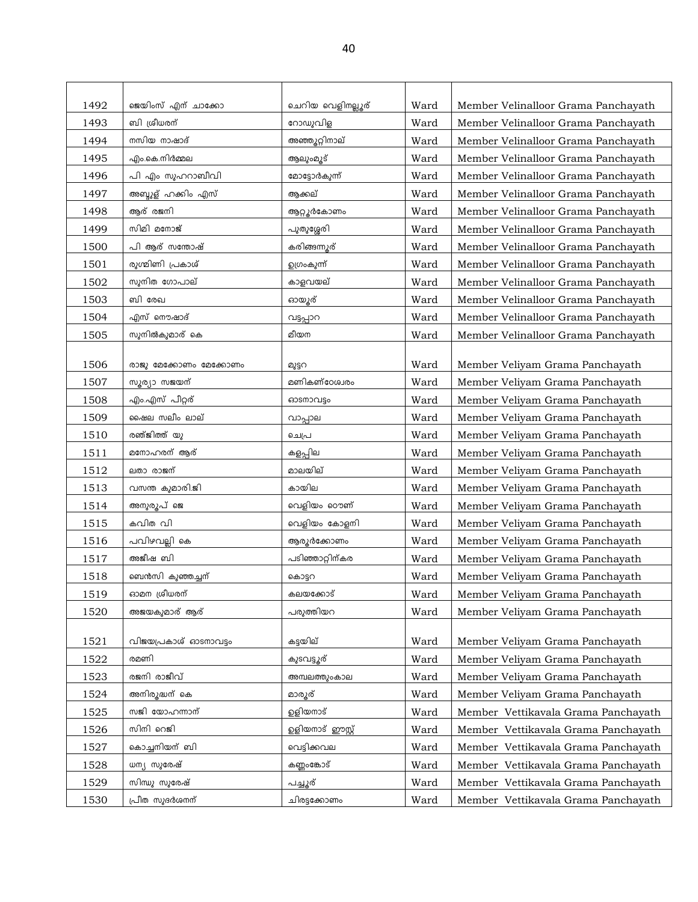| 1492 | ജെയിംസ് എന് ചാക്കോ     | ചെറിയ വെളിനല്ലൂര് | Ward | Member Velinalloor Grama Panchayath |
|------|------------------------|-------------------|------|-------------------------------------|
| 1493 | ബി ശ്രീധരന്            | റോഡുവിള           | Ward | Member Velinalloor Grama Panchayath |
| 1494 | നസിയ നാഷാദ്            | അഞ്ഞൂറ്റിനാല്     | Ward | Member Velinalloor Grama Panchayath |
| 1495 | എം.കെ.നിർമ്മല          | ആലുംമൂട്          | Ward | Member Velinalloor Grama Panchayath |
| 1496 | പി എം സുഹറാബീവി        | മോട്ടോർകുന്ന്     | Ward | Member Velinalloor Grama Panchayath |
| 1497 | അബ്ദുള് ഹക്കിം എസ്     | ആക്കല്            | Ward | Member Velinalloor Grama Panchayath |
| 1498 | ആര് രജനി               | ആറ്റ്യൂർകോണം      | Ward | Member Velinalloor Grama Panchayath |
| 1499 | സിമി മനോജ്             | പുതുശ്ശേരി        | Ward | Member Velinalloor Grama Panchayath |
| 1500 | പി ആര് സന്തോഷ്         | കരിങ്ങന്നൂര്      | Ward | Member Velinalloor Grama Panchayath |
| 1501 | രുഗ്മിണി പ്രകാശ്       | ഉഗ്രംകുന്ന്       | Ward | Member Velinalloor Grama Panchayath |
| 1502 | സുനിത ഗോപാല്           | കാളവയല്           | Ward | Member Velinalloor Grama Panchayath |
| 1503 | ബി രേഖ                 | ഓയ്യൂര്           | Ward | Member Velinalloor Grama Panchayath |
| 1504 | എസ് നൌഷാദ്             | വട്ടപ്പാറ         | Ward | Member Velinalloor Grama Panchayath |
| 1505 | സുനിൽകുമാര് കെ         | മീയന              | Ward | Member Velinalloor Grama Panchayath |
|      |                        |                   |      |                                     |
| 1506 | രാജു മേക്കോണം മേക്കോണം | മുട്ടറ            | Ward | Member Veliyam Grama Panchayath     |
| 1507 | ധ്യര്വാ ധജയന്          | മണികണ്ഠേശ്വരം     | Ward | Member Veliyam Grama Panchayath     |
| 1508 | എം.എസ് പീറ്റര്         | ഓടനാവട്ടം         | Ward | Member Veliyam Grama Panchayath     |
| 1509 | ഷൈല സലീം ലാല്          | വാപ്പാല           | Ward | Member Veliyam Grama Panchayath     |
| 1510 | രഞ്ജിത്ത് യു           | ചെപ്ര             | Ward | Member Veliyam Grama Panchayath     |
| 1511 | മനോഹരന് ആര്            | കളപ്പില           | Ward | Member Veliyam Grama Panchayath     |
| 1512 | ലതാ രാജന്              | മാലയില്           | Ward | Member Veliyam Grama Panchayath     |
| 1513 | വസന്ത കുമാരി.ജി        | കായില             | Ward | Member Veliyam Grama Panchayath     |
| 1514 | അനുരൂപ് ജെ             | വെളിയം റൌണ്       | Ward | Member Veliyam Grama Panchayath     |
| 1515 | കവിത വി                | വെളിയം കോളനി      | Ward | Member Veliyam Grama Panchayath     |
| 1516 | പവിഴവല്ലി കെ           | ആരുർക്കോണം        | Ward | Member Veliyam Grama Panchayath     |
| 1517 | അജീഷ ബി                | പടിഞ്ഞാറ്റിന്കര   | Ward | Member Veliyam Grama Panchayath     |
| 1518 | ബെൻസി കുഞ്ഞച്ചന്       | കൊട്ടറ            | Ward | Member Veliyam Grama Panchayath     |
| 1519 | ഓമന ശ്രീധരന്           | കലയക്കോട്         | Ward | Member Veliyam Grama Panchayath     |
| 1520 | അജയകുമാര് ആര്          | പരുത്തിയറ         | Ward | Member Veliyam Grama Panchayath     |
|      |                        |                   |      |                                     |
| 1521 | വിജയപ്രകാശ് ഓണാവട്ടം   | കട്ടയില്          | Ward | Member Veliyam Grama Panchayath     |
| 1522 | രമണി                   | കുടവട്ടൂര്        | Ward | Member Veliyam Grama Panchayath     |
| 1523 | രജനി രാജീവ്            | അമ്പലത്തുംകാല     | Ward | Member Veliyam Grama Panchayath     |
| 1524 | അനിരുദ്ധന് കെ          | മാരൂര്            | Ward | Member Veliyam Grama Panchayath     |
| 1525 | സജി യോഹന്നാന്          | ഉളിയനാട്          | Ward | Member Vettikavala Grama Panchayath |
| 1526 | സിനി റെജി              | ഉളിയനാട് ഈസ്റ്റ്  | Ward | Member Vettikavala Grama Panchayath |
| 1527 | കൊച്ചനിയന് ബി          | വെട്ടിക്കവല       | Ward | Member Vettikavala Grama Panchayath |
| 1528 | ധന്യ സുരേഷ്            | കണ്ണംങ്കോട്       | Ward | Member Vettikavala Grama Panchayath |
| 1529 | സിന്ധു സുരേഷ്          | പച്ചൂര്           | Ward | Member Vettikavala Grama Panchayath |
| 1530 | പ്രീത സൂദർശനന്         | ചിരട്ടക്കോണം      | Ward | Member Vettikavala Grama Panchayath |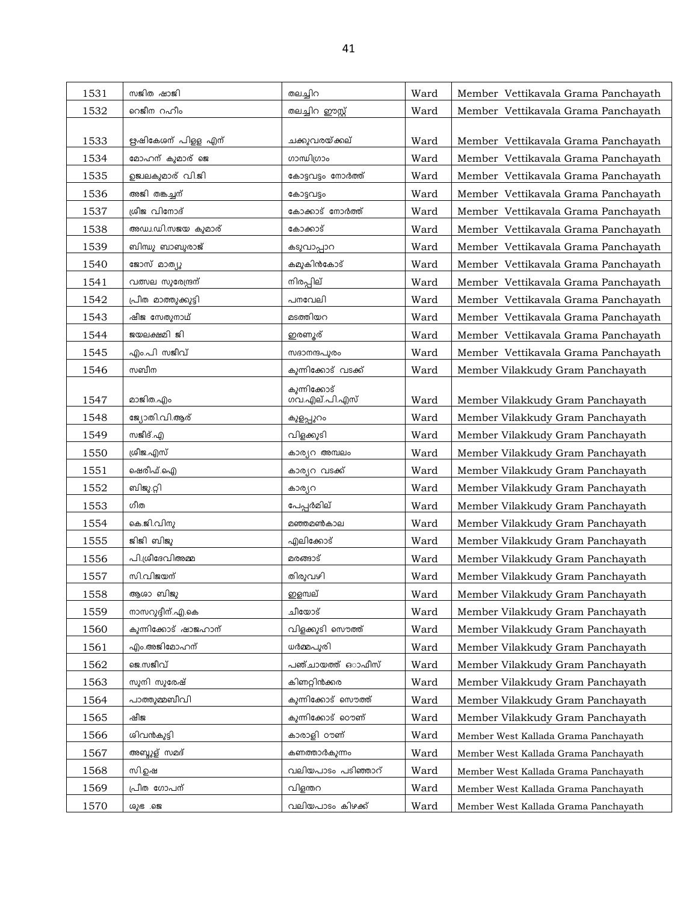| 1531 | സജിത ഷാജി            | തലച്ചിറ                       | Ward | Member Vettikavala Grama Panchavath  |
|------|----------------------|-------------------------------|------|--------------------------------------|
| 1532 | റെജീന റഹീം           | തലച്ചിറ ഈസ്റ്റ്               | Ward | Member Vettikavala Grama Panchayath  |
|      |                      |                               |      |                                      |
| 1533 | ഋഷികേശന് പിളള എന്    | ചക്കുവരയ്ക്കല്                | Ward | Member Vettikavala Grama Panchayath  |
| 1534 | മോഹന് കുമാര് ജെ      | ഗാന്ധിഗ്രാം                   | Ward | Member Vettikavala Grama Panchayath  |
| 1535 | ഉജ്വലകുമാര് വി.ജി    | കോട്ടവട്ടം നോർത്ത്            | Ward | Member Vettikavala Grama Panchayath  |
| 1536 | അജി തങ്കച്ചന്        | കോട്ടവട്ടം                    | Ward | Member Vettikavala Grama Panchayath  |
| 1537 | ശ്രീജ വിനോദ്         | കോക്കാട് നോർത്ത്              | Ward | Member Vettikavala Grama Panchayath  |
| 1538 | അഡ്വ.ഡി.സജയ കുമാര്   | കോക്കാട്                      | Ward | Member Vettikavala Grama Panchayath  |
| 1539 | ബിന്ധു ബാബുരാജ്      | കടുവാപ്പാറ                    | Ward | Member Vettikavala Grama Panchayath  |
| 1540 | ജോസ് മാത്യു          | കമുകിൻകോട്                    | Ward | Member Vettikavala Grama Panchayath  |
| 1541 | വത്സല സുരേന്ദ്രന്    | നിരപ്പില്                     | Ward | Member Vettikavala Grama Panchayath  |
| 1542 | പ്രീത മാത്തുക്കുട്ടി | പനവേലി                        | Ward | Member Vettikavala Grama Panchayath  |
| 1543 | ഷീജ സേതുനാഥ്         | മടത്തിയറ                      | Ward | Member Vettikavala Grama Panchayath  |
| 1544 | ജയലക്ഷമി ജി          | ഇരണ്യര്                       | Ward | Member Vettikavala Grama Panchayath  |
| 1545 | എം.പി സജീവ്          | സദാനന്ദപുരം                   | Ward | Member Vettikavala Grama Panchayath  |
| 1546 | സബീന                 | കുന്നിക്കോട് വടക്ക്           | Ward | Member Vilakkudy Gram Panchayath     |
| 1547 | മാജിത.എം             | കുന്നിക്കോട്<br>ഗവ.എല്.പി.എസ് | Ward | Member Vilakkudy Gram Panchayath     |
| 1548 | ജ്യോതി.വി.ആര്        | കുളപ്പുറം                     | Ward | Member Vilakkudy Gram Panchayath     |
| 1549 | സജീദ്.എ              | വിളക്കുടി                     | Ward | Member Vilakkudy Gram Panchayath     |
| 1550 | ശ്രീജ.എസ്            | കാര്യറ അമ്പലം                 | Ward | Member Vilakkudy Gram Panchayath     |
| 1551 | ഷെരീഫ്.ഐ             | കാര്യറ വടക്ക്                 | Ward | Member Vilakkudy Gram Panchayath     |
| 1552 | ബിജു.റ്റി            | കാര്യറ                        | Ward | Member Vilakkudy Gram Panchayath     |
| 1553 | ഗീത                  | പേപ്പർമില്                    | Ward | Member Vilakkudy Gram Panchayath     |
| 1554 | കെ.ജി.വിനു           | മഞ്ഞമൺകാല                     | Ward | Member Vilakkudy Gram Panchayath     |
| 1555 | ജിജി ബിജു            | എലിക്കോട്                     | Ward | Member Vilakkudy Gram Panchayath     |
| 1556 | പി.ശ്രീദേവിഅമ്മ      | മരങ്ങാട്                      | Ward | Member Vilakkudy Gram Panchayath     |
| 1557 | സി.വിജയന്            | തിരുവഴി                       | Ward | Member Vilakkudy Gram Panchayath     |
| 1558 | ആശാ ബിജു             | <u>ഇള</u> മ്പല്               | Ward | Member Vilakkudy Gram Panchayath     |
| 1559 | നാസറുദ്ദീന്.എ.കെ     | ചീയോട്                        | Ward | Member Vilakkudy Gram Panchayath     |
| 1560 | കുന്നിക്കോട് ഷാജഹാന് | വിളക്കുടി സൌത്ത്              | Ward | Member Vilakkudy Gram Panchayath     |
| 1561 | എം.അജിമോഹന്          | ധർമ്മപൂരി                     | Ward | Member Vilakkudy Gram Panchayath     |
| 1562 | ജെ.സജീവ്             | പഞ്ചായത്ത് ഒാഫീസ്             | Ward | Member Vilakkudy Gram Panchayath     |
| 1563 | സുനി സുരേഷ്          | കിണറ്റിൻക്കര                  | Ward | Member Vilakkudy Gram Panchayath     |
| 1564 | പാത്തുമ്മബീവി        | കുന്നിക്കോട് സൌത്ത്           | Ward | Member Vilakkudy Gram Panchayath     |
| 1565 | ഷീജ                  | കുന്നിക്കോട് ഠൌണ്             | Ward | Member Vilakkudy Gram Panchayath     |
| 1566 | ശിവൻകുട്ടി           | കാരാളി ഠൗണ്                   | Ward | Member West Kallada Grama Panchayath |
| 1567 | അബ്ദുള് സമദ്         | കണത്താർകുന്നം                 | Ward | Member West Kallada Grama Panchayath |
| 1568 | സി.ഉഷ                | വലിയപാടം പടിഞ്ഞാറ്            | Ward | Member West Kallada Grama Panchayath |
| 1569 | പ്രീത ഗോപന്          | വിളന്തറ                       | Ward | Member West Kallada Grama Panchayath |
| 1570 | രുഭ .ജെ              | വലിയപാടം കിഴക്ക്              | Ward | Member West Kallada Grama Panchayath |